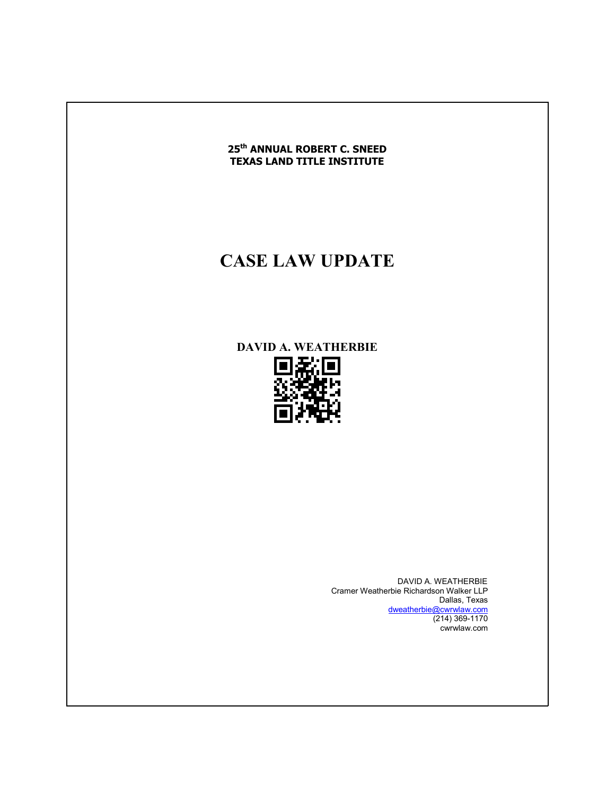

# **CASE LAW UPDATE**

# **DAVID A. WEATHERBIE**

DAVID A. WEATHERBIE Cramer Weatherbie Richardson Walker LLP Dallas, Texas dweatherbie@cwrwlaw.com  $(214)$  369-1170 cwrwlaw.com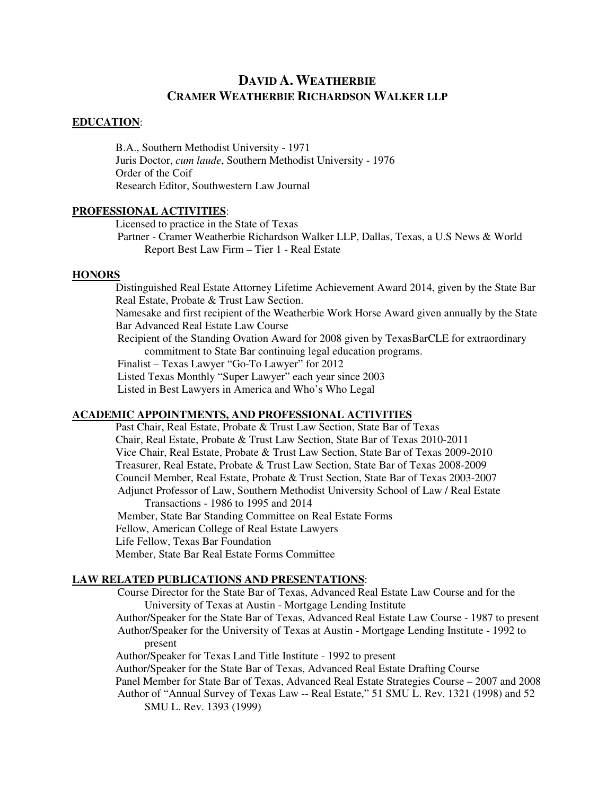# **DAVID A. WEATHERBIE CRAMER WEATHERBIE RICHARDSON WALKER LLP**

#### **EDUCATION**:

 B.A., Southern Methodist University - 1971 Juris Doctor, *cum laude*, Southern Methodist University - 1976 Order of the Coif Research Editor, Southwestern Law Journal

#### **PROFESSIONAL ACTIVITIES**:

 Licensed to practice in the State of Texas Partner - Cramer Weatherbie Richardson Walker LLP, Dallas, Texas, a U.S News & World Report Best Law Firm – Tier 1 - Real Estate

#### **HONORS**

 Distinguished Real Estate Attorney Lifetime Achievement Award 2014, given by the State Bar Real Estate, Probate & Trust Law Section.

 Namesake and first recipient of the Weatherbie Work Horse Award given annually by the State Bar Advanced Real Estate Law Course

Recipient of the Standing Ovation Award for 2008 given by TexasBarCLE for extraordinary commitment to State Bar continuing legal education programs.

Finalist – Texas Lawyer "Go-To Lawyer" for 2012

Listed Texas Monthly "Super Lawyer" each year since 2003

Listed in Best Lawyers in America and Who's Who Legal

#### **ACADEMIC APPOINTMENTS, AND PROFESSIONAL ACTIVITIES**

 Past Chair, Real Estate, Probate & Trust Law Section, State Bar of Texas Chair, Real Estate, Probate & Trust Law Section, State Bar of Texas 2010-2011 Vice Chair, Real Estate, Probate & Trust Law Section, State Bar of Texas 2009-2010 Treasurer, Real Estate, Probate & Trust Law Section, State Bar of Texas 2008-2009 Council Member, Real Estate, Probate & Trust Section, State Bar of Texas 2003-2007 Adjunct Professor of Law, Southern Methodist University School of Law / Real Estate Transactions - 1986 to 1995 and 2014 Member, State Bar Standing Committee on Real Estate Forms Fellow, American College of Real Estate Lawyers Life Fellow, Texas Bar Foundation Member, State Bar Real Estate Forms Committee

#### **LAW RELATED PUBLICATIONS AND PRESENTATIONS**:

Course Director for the State Bar of Texas, Advanced Real Estate Law Course and for the University of Texas at Austin - Mortgage Lending Institute

 Author/Speaker for the State Bar of Texas, Advanced Real Estate Law Course - 1987 to present Author/Speaker for the University of Texas at Austin - Mortgage Lending Institute - 1992 to present

Author/Speaker for Texas Land Title Institute - 1992 to present

Author/Speaker for the State Bar of Texas, Advanced Real Estate Drafting Course

Panel Member for State Bar of Texas, Advanced Real Estate Strategies Course – 2007 and 2008

Author of "Annual Survey of Texas Law -- Real Estate," 51 SMU L. Rev. 1321 (1998) and 52 SMU L. Rev. 1393 (1999)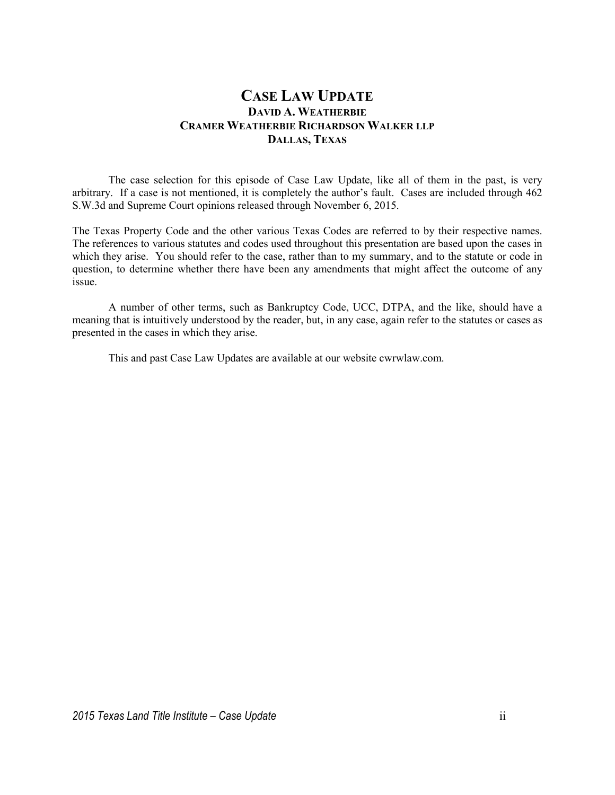# **CASE LAW UPDATE DAVID A. WEATHERBIE CRAMER WEATHERBIE RICHARDSON WALKER LLP DALLAS, TEXAS**

 The case selection for this episode of Case Law Update, like all of them in the past, is very arbitrary. If a case is not mentioned, it is completely the author's fault. Cases are included through 462 S.W.3d and Supreme Court opinions released through November 6, 2015.

The Texas Property Code and the other various Texas Codes are referred to by their respective names. The references to various statutes and codes used throughout this presentation are based upon the cases in which they arise. You should refer to the case, rather than to my summary, and to the statute or code in question, to determine whether there have been any amendments that might affect the outcome of any issue.

 A number of other terms, such as Bankruptcy Code, UCC, DTPA, and the like, should have a meaning that is intuitively understood by the reader, but, in any case, again refer to the statutes or cases as presented in the cases in which they arise.

This and past Case Law Updates are available at our website cwrwlaw.com.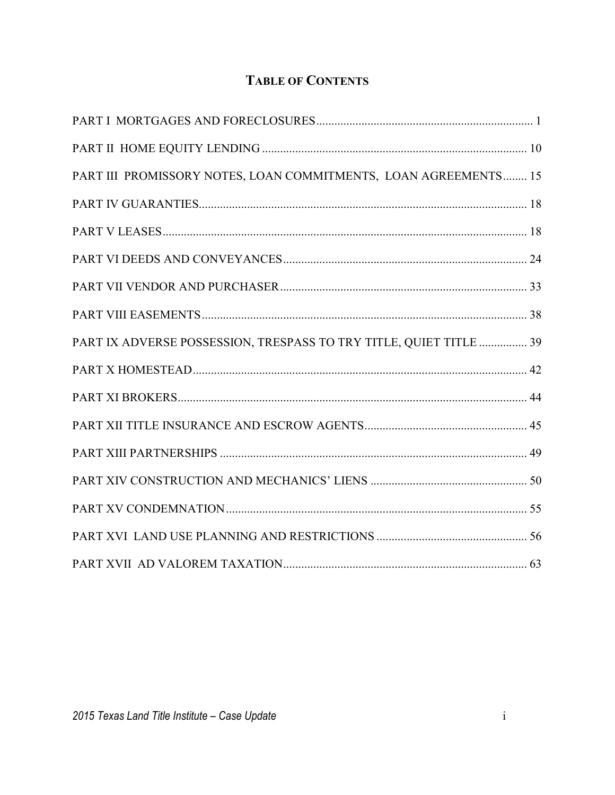# **TABLE OF CONTENTS**

| PART III PROMISSORY NOTES, LOAN COMMITMENTS, LOAN AGREEMENTS 15    |
|--------------------------------------------------------------------|
|                                                                    |
|                                                                    |
|                                                                    |
|                                                                    |
|                                                                    |
| PART IX ADVERSE POSSESSION, TRESPASS TO TRY TITLE, QUIET TITLE  39 |
|                                                                    |
|                                                                    |
|                                                                    |
|                                                                    |
|                                                                    |
|                                                                    |
|                                                                    |
|                                                                    |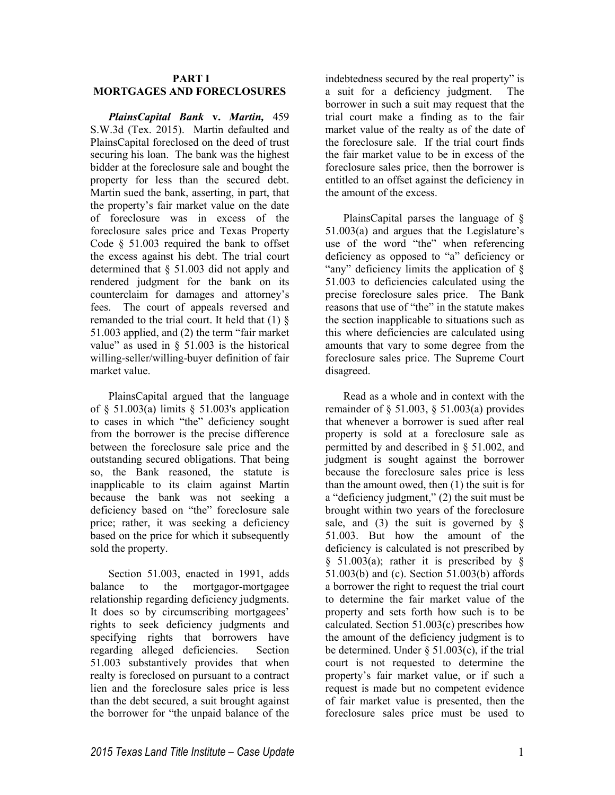### **PART I MORTGAGES AND FORECLOSURES**

*PlainsCapital Bank* **v.** *Martin,* 459 S.W.3d (Tex. 2015). Martin defaulted and PlainsCapital foreclosed on the deed of trust securing his loan. The bank was the highest bidder at the foreclosure sale and bought the property for less than the secured debt. Martin sued the bank, asserting, in part, that the property's fair market value on the date of foreclosure was in excess of the foreclosure sales price and Texas Property Code  $§$  51.003 required the bank to offset the excess against his debt. The trial court determined that § 51.003 did not apply and rendered judgment for the bank on its counterclaim for damages and attorney's fees. The court of appeals reversed and remanded to the trial court. It held that (1) § 51.003 applied, and (2) the term "fair market value" as used in  $\S$  51.003 is the historical willing-seller/willing-buyer definition of fair market value.

PlainsCapital argued that the language of  $\S$  51.003(a) limits  $\S$  51.003's application to cases in which "the" deficiency sought from the borrower is the precise difference between the foreclosure sale price and the outstanding secured obligations. That being so, the Bank reasoned, the statute is inapplicable to its claim against Martin because the bank was not seeking a deficiency based on "the" foreclosure sale price; rather, it was seeking a deficiency based on the price for which it subsequently sold the property.

Section 51.003, enacted in 1991, adds balance to the mortgagor-mortgagee relationship regarding deficiency judgments. It does so by circumscribing mortgagees' rights to seek deficiency judgments and specifying rights that borrowers have regarding alleged deficiencies. Section 51.003 substantively provides that when realty is foreclosed on pursuant to a contract lien and the foreclosure sales price is less than the debt secured, a suit brought against the borrower for "the unpaid balance of the

indebtedness secured by the real property" is a suit for a deficiency judgment. The borrower in such a suit may request that the trial court make a finding as to the fair market value of the realty as of the date of the foreclosure sale. If the trial court finds the fair market value to be in excess of the foreclosure sales price, then the borrower is entitled to an offset against the deficiency in the amount of the excess.

PlainsCapital parses the language of § 51.003(a) and argues that the Legislature's use of the word "the" when referencing deficiency as opposed to "a" deficiency or "any" deficiency limits the application of § 51.003 to deficiencies calculated using the precise foreclosure sales price. The Bank reasons that use of "the" in the statute makes the section inapplicable to situations such as this where deficiencies are calculated using amounts that vary to some degree from the foreclosure sales price. The Supreme Court disagreed.

Read as a whole and in context with the remainder of  $\S$  51.003,  $\S$  51.003(a) provides that whenever a borrower is sued after real property is sold at a foreclosure sale as permitted by and described in § 51.002, and judgment is sought against the borrower because the foreclosure sales price is less than the amount owed, then (1) the suit is for a "deficiency judgment," (2) the suit must be brought within two years of the foreclosure sale, and (3) the suit is governed by  $\S$ 51.003. But how the amount of the deficiency is calculated is not prescribed by  $§$  51.003(a); rather it is prescribed by  $§$ 51.003(b) and (c). Section 51.003(b) affords a borrower the right to request the trial court to determine the fair market value of the property and sets forth how such is to be calculated. Section 51.003(c) prescribes how the amount of the deficiency judgment is to be determined. Under § 51.003(c), if the trial court is not requested to determine the property's fair market value, or if such a request is made but no competent evidence of fair market value is presented, then the foreclosure sales price must be used to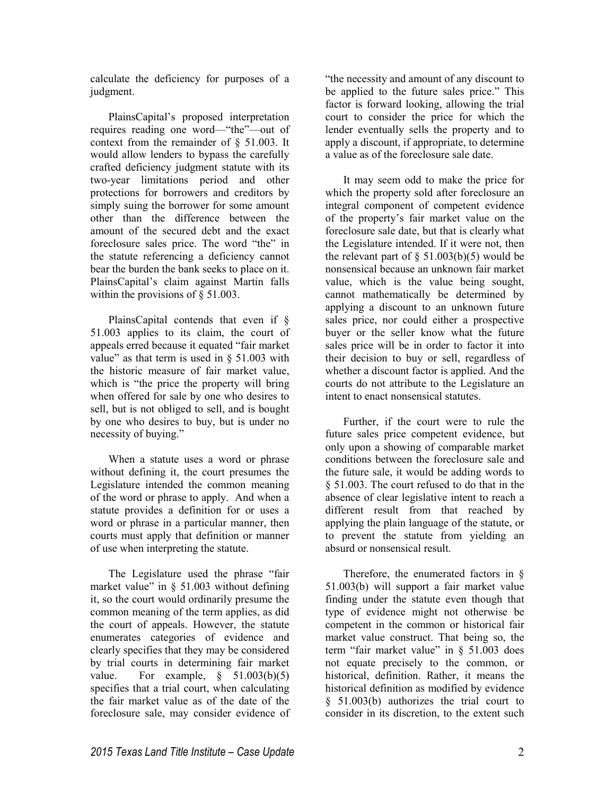calculate the deficiency for purposes of a judgment.

PlainsCapital's proposed interpretation requires reading one word—"the"—out of context from the remainder of § 51.003. It would allow lenders to bypass the carefully crafted deficiency judgment statute with its two-year limitations period and other protections for borrowers and creditors by simply suing the borrower for some amount other than the difference between the amount of the secured debt and the exact foreclosure sales price. The word "the" in the statute referencing a deficiency cannot bear the burden the bank seeks to place on it. PlainsCapital's claim against Martin falls within the provisions of  $\S$  51.003.

PlainsCapital contends that even if § 51.003 applies to its claim, the court of appeals erred because it equated "fair market value" as that term is used in  $\delta$  51.003 with the historic measure of fair market value, which is "the price the property will bring when offered for sale by one who desires to sell, but is not obliged to sell, and is bought by one who desires to buy, but is under no necessity of buying."

When a statute uses a word or phrase without defining it, the court presumes the Legislature intended the common meaning of the word or phrase to apply. And when a statute provides a definition for or uses a word or phrase in a particular manner, then courts must apply that definition or manner of use when interpreting the statute.

The Legislature used the phrase "fair market value" in  $\S$  51.003 without defining it, so the court would ordinarily presume the common meaning of the term applies, as did the court of appeals. However, the statute enumerates categories of evidence and clearly specifies that they may be considered by trial courts in determining fair market value. For example,  $\S$  51.003(b)(5) specifies that a trial court, when calculating the fair market value as of the date of the foreclosure sale, may consider evidence of

"the necessity and amount of any discount to be applied to the future sales price." This factor is forward looking, allowing the trial court to consider the price for which the lender eventually sells the property and to apply a discount, if appropriate, to determine a value as of the foreclosure sale date.

It may seem odd to make the price for which the property sold after foreclosure an integral component of competent evidence of the property's fair market value on the foreclosure sale date, but that is clearly what the Legislature intended. If it were not, then the relevant part of  $\S$  51.003(b)(5) would be nonsensical because an unknown fair market value, which is the value being sought, cannot mathematically be determined by applying a discount to an unknown future sales price, nor could either a prospective buyer or the seller know what the future sales price will be in order to factor it into their decision to buy or sell, regardless of whether a discount factor is applied. And the courts do not attribute to the Legislature an intent to enact nonsensical statutes.

Further, if the court were to rule the future sales price competent evidence, but only upon a showing of comparable market conditions between the foreclosure sale and the future sale, it would be adding words to § 51.003. The court refused to do that in the absence of clear legislative intent to reach a different result from that reached by applying the plain language of the statute, or to prevent the statute from yielding an absurd or nonsensical result.

Therefore, the enumerated factors in § 51.003(b) will support a fair market value finding under the statute even though that type of evidence might not otherwise be competent in the common or historical fair market value construct. That being so, the term "fair market value" in  $\S$  51.003 does not equate precisely to the common, or historical, definition. Rather, it means the historical definition as modified by evidence § 51.003(b) authorizes the trial court to consider in its discretion, to the extent such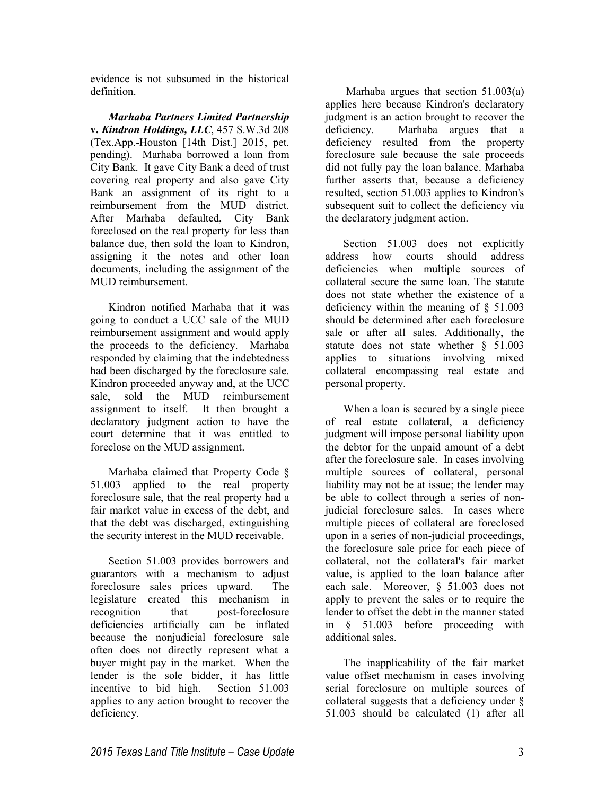evidence is not subsumed in the historical definition.

*Marhaba Partners Limited Partnership*  **v.** *Kindron Holdings, LLC*, 457 S.W.3d 208 (Tex.App.-Houston [14th Dist.] 2015, pet. pending). Marhaba borrowed a loan from City Bank. It gave City Bank a deed of trust covering real property and also gave City Bank an assignment of its right to a reimbursement from the MUD district. After Marhaba defaulted, City Bank foreclosed on the real property for less than balance due, then sold the loan to Kindron, assigning it the notes and other loan documents, including the assignment of the MUD reimbursement.

Kindron notified Marhaba that it was going to conduct a UCC sale of the MUD reimbursement assignment and would apply the proceeds to the deficiency. Marhaba responded by claiming that the indebtedness had been discharged by the foreclosure sale. Kindron proceeded anyway and, at the UCC sale, sold the MUD reimbursement assignment to itself. It then brought a declaratory judgment action to have the court determine that it was entitled to foreclose on the MUD assignment.

Marhaba claimed that Property Code § 51.003 applied to the real property foreclosure sale, that the real property had a fair market value in excess of the debt, and that the debt was discharged, extinguishing the security interest in the MUD receivable.

Section 51.003 provides borrowers and guarantors with a mechanism to adjust foreclosure sales prices upward. The legislature created this mechanism in recognition that post-foreclosure deficiencies artificially can be inflated because the nonjudicial foreclosure sale often does not directly represent what a buyer might pay in the market. When the lender is the sole bidder, it has little incentive to bid high. Section 51.003 applies to any action brought to recover the deficiency.

 Marhaba argues that section 51.003(a) applies here because Kindron's declaratory judgment is an action brought to recover the deficiency. Marhaba argues that a deficiency resulted from the property foreclosure sale because the sale proceeds did not fully pay the loan balance. Marhaba further asserts that, because a deficiency resulted, section 51.003 applies to Kindron's subsequent suit to collect the deficiency via the declaratory judgment action.

Section 51.003 does not explicitly address how courts should address deficiencies when multiple sources of collateral secure the same loan. The statute does not state whether the existence of a deficiency within the meaning of § 51.003 should be determined after each foreclosure sale or after all sales. Additionally, the statute does not state whether § 51.003 applies to situations involving mixed collateral encompassing real estate and personal property.

When a loan is secured by a single piece of real estate collateral, a deficiency judgment will impose personal liability upon the debtor for the unpaid amount of a debt after the foreclosure sale. In cases involving multiple sources of collateral, personal liability may not be at issue; the lender may be able to collect through a series of nonjudicial foreclosure sales. In cases where multiple pieces of collateral are foreclosed upon in a series of non-judicial proceedings, the foreclosure sale price for each piece of collateral, not the collateral's fair market value, is applied to the loan balance after each sale. Moreover, § 51.003 does not apply to prevent the sales or to require the lender to offset the debt in the manner stated in § 51.003 before proceeding with additional sales.

The inapplicability of the fair market value offset mechanism in cases involving serial foreclosure on multiple sources of collateral suggests that a deficiency under § 51.003 should be calculated (1) after all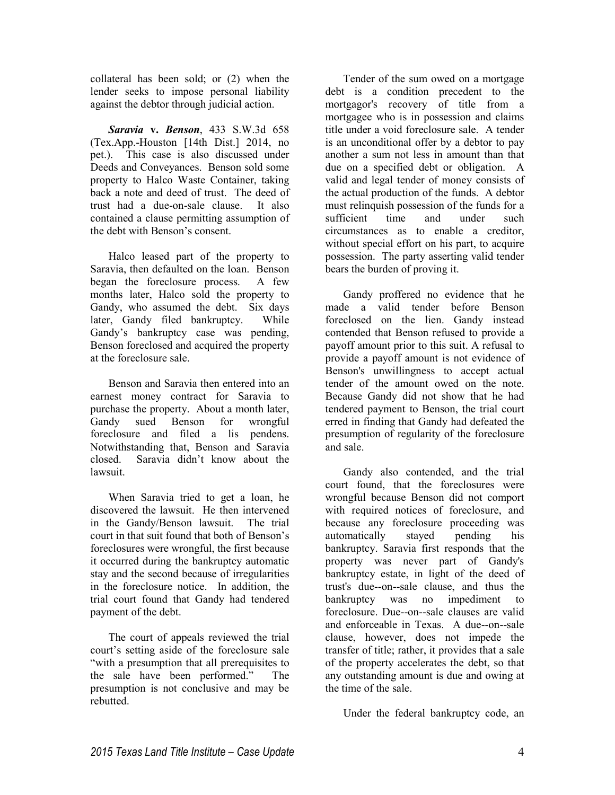collateral has been sold; or (2) when the lender seeks to impose personal liability against the debtor through judicial action.

*Saravia* **v.** *Benson*, 433 S.W.3d 658 (Tex.App.-Houston [14th Dist.] 2014, no pet.). This case is also discussed under Deeds and Conveyances. Benson sold some property to Halco Waste Container, taking back a note and deed of trust. The deed of trust had a due-on-sale clause. It also contained a clause permitting assumption of the debt with Benson's consent.

Halco leased part of the property to Saravia, then defaulted on the loan. Benson began the foreclosure process. A few months later, Halco sold the property to Gandy, who assumed the debt. Six days later, Gandy filed bankruptcy. While Gandy's bankruptcy case was pending, Benson foreclosed and acquired the property at the foreclosure sale.

Benson and Saravia then entered into an earnest money contract for Saravia to purchase the property. About a month later, Gandy sued Benson for wrongful foreclosure and filed a lis pendens. Notwithstanding that, Benson and Saravia closed. Saravia didn't know about the lawsuit.

When Saravia tried to get a loan, he discovered the lawsuit. He then intervened in the Gandy/Benson lawsuit. The trial court in that suit found that both of Benson's foreclosures were wrongful, the first because it occurred during the bankruptcy automatic stay and the second because of irregularities in the foreclosure notice. In addition, the trial court found that Gandy had tendered payment of the debt.

The court of appeals reviewed the trial court's setting aside of the foreclosure sale "with a presumption that all prerequisites to the sale have been performed." The presumption is not conclusive and may be rebutted.

Tender of the sum owed on a mortgage debt is a condition precedent to the mortgagor's recovery of title from a mortgagee who is in possession and claims title under a void foreclosure sale. A tender is an unconditional offer by a debtor to pay another a sum not less in amount than that due on a specified debt or obligation. A valid and legal tender of money consists of the actual production of the funds. A debtor must relinquish possession of the funds for a sufficient time and under such circumstances as to enable a creditor, without special effort on his part, to acquire possession. The party asserting valid tender bears the burden of proving it.

Gandy proffered no evidence that he made a valid tender before Benson foreclosed on the lien. Gandy instead contended that Benson refused to provide a payoff amount prior to this suit. A refusal to provide a payoff amount is not evidence of Benson's unwillingness to accept actual tender of the amount owed on the note. Because Gandy did not show that he had tendered payment to Benson, the trial court erred in finding that Gandy had defeated the presumption of regularity of the foreclosure and sale.

Gandy also contended, and the trial court found, that the foreclosures were wrongful because Benson did not comport with required notices of foreclosure, and because any foreclosure proceeding was automatically stayed pending his bankruptcy. Saravia first responds that the property was never part of Gandy's bankruptcy estate, in light of the deed of trust's due--on--sale clause, and thus the bankruptcy was no impediment to foreclosure. Due--on--sale clauses are valid and enforceable in Texas. A due--on--sale clause, however, does not impede the transfer of title; rather, it provides that a sale of the property accelerates the debt, so that any outstanding amount is due and owing at the time of the sale.

Under the federal bankruptcy code, an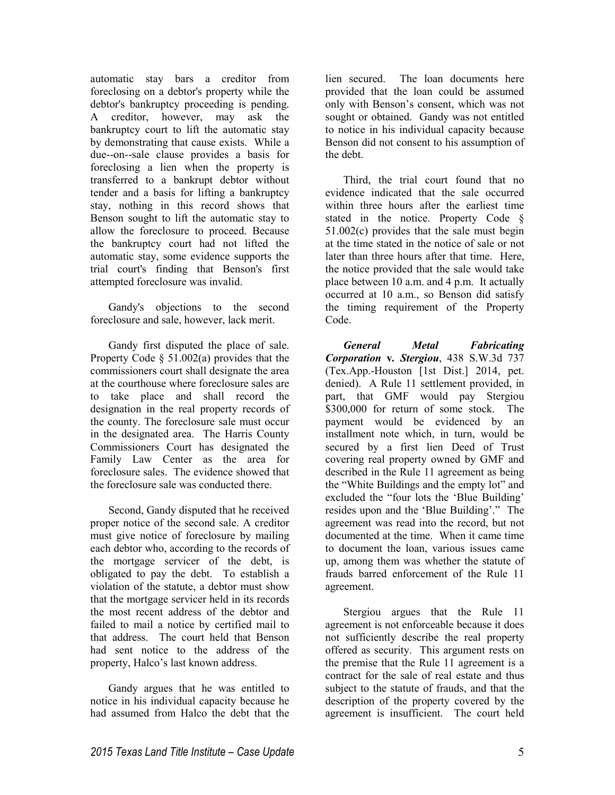automatic stay bars a creditor from foreclosing on a debtor's property while the debtor's bankruptcy proceeding is pending. A creditor, however, may ask the bankruptcy court to lift the automatic stay by demonstrating that cause exists. While a due--on--sale clause provides a basis for foreclosing a lien when the property is transferred to a bankrupt debtor without tender and a basis for lifting a bankruptcy stay, nothing in this record shows that Benson sought to lift the automatic stay to allow the foreclosure to proceed. Because the bankruptcy court had not lifted the automatic stay, some evidence supports the trial court's finding that Benson's first attempted foreclosure was invalid.

Gandy's objections to the second foreclosure and sale, however, lack merit.

Gandy first disputed the place of sale. Property Code § 51.002(a) provides that the commissioners court shall designate the area at the courthouse where foreclosure sales are to take place and shall record the designation in the real property records of the county. The foreclosure sale must occur in the designated area. The Harris County Commissioners Court has designated the Family Law Center as the area for foreclosure sales. The evidence showed that the foreclosure sale was conducted there.

Second, Gandy disputed that he received proper notice of the second sale. A creditor must give notice of foreclosure by mailing each debtor who, according to the records of the mortgage servicer of the debt, is obligated to pay the debt. To establish a violation of the statute, a debtor must show that the mortgage servicer held in its records the most recent address of the debtor and failed to mail a notice by certified mail to that address. The court held that Benson had sent notice to the address of the property, Halco's last known address.

Gandy argues that he was entitled to notice in his individual capacity because he had assumed from Halco the debt that the

lien secured. The loan documents here provided that the loan could be assumed only with Benson's consent, which was not sought or obtained. Gandy was not entitled to notice in his individual capacity because Benson did not consent to his assumption of the debt.

Third, the trial court found that no evidence indicated that the sale occurred within three hours after the earliest time stated in the notice. Property Code § 51.002(c) provides that the sale must begin at the time stated in the notice of sale or not later than three hours after that time. Here, the notice provided that the sale would take place between 10 a.m. and 4 p.m. It actually occurred at 10 a.m., so Benson did satisfy the timing requirement of the Property Code.

*General Metal Fabricating Corporation* **v***. Stergiou*, 438 S.W.3d 737 (Tex.App.-Houston [1st Dist.] 2014, pet. denied). A Rule 11 settlement provided, in part, that GMF would pay Stergiou \$300,000 for return of some stock. The payment would be evidenced by an installment note which, in turn, would be secured by a first lien Deed of Trust covering real property owned by GMF and described in the Rule 11 agreement as being the "White Buildings and the empty lot" and excluded the "four lots the 'Blue Building' resides upon and the 'Blue Building'." The agreement was read into the record, but not documented at the time. When it came time to document the loan, various issues came up, among them was whether the statute of frauds barred enforcement of the Rule 11 agreement.

Stergiou argues that the Rule 11 agreement is not enforceable because it does not sufficiently describe the real property offered as security. This argument rests on the premise that the Rule 11 agreement is a contract for the sale of real estate and thus subject to the statute of frauds, and that the description of the property covered by the agreement is insufficient. The court held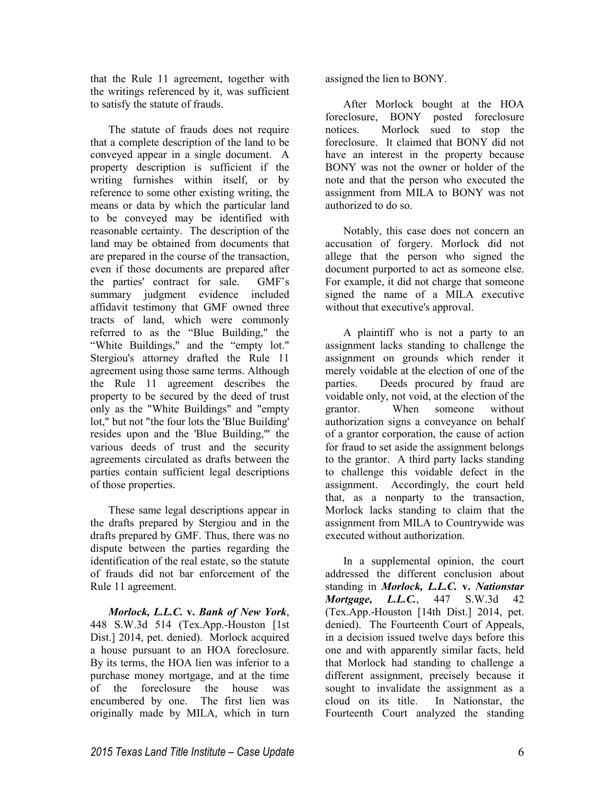that the Rule 11 agreement, together with the writings referenced by it, was sufficient to satisfy the statute of frauds.

The statute of frauds does not require that a complete description of the land to be conveyed appear in a single document. A property description is sufficient if the writing furnishes within itself, or by reference to some other existing writing, the means or data by which the particular land to be conveyed may be identified with reasonable certainty. The description of the land may be obtained from documents that are prepared in the course of the transaction, even if those documents are prepared after the parties' contract for sale. GMF's summary judgment evidence included affidavit testimony that GMF owned three tracts of land, which were commonly referred to as the "Blue Building," the "White Buildings," and the "empty lot." Stergiou's attorney drafted the Rule 11 agreement using those same terms. Although the Rule 11 agreement describes the property to be secured by the deed of trust only as the "White Buildings" and "empty lot," but not "the four lots the 'Blue Building' resides upon and the 'Blue Building,'" the various deeds of trust and the security agreements circulated as drafts between the parties contain sufficient legal descriptions of those properties.

These same legal descriptions appear in the drafts prepared by Stergiou and in the drafts prepared by GMF. Thus, there was no dispute between the parties regarding the identification of the real estate, so the statute of frauds did not bar enforcement of the Rule 11 agreement.

*Morlock, L.L.C.* **v.** *Bank of New York*, 448 S.W.3d 514 (Tex.App.-Houston [1st Dist.] 2014, pet. denied). Morlock acquired a house pursuant to an HOA foreclosure. By its terms, the HOA lien was inferior to a purchase money mortgage, and at the time of the foreclosure the house was encumbered by one. The first lien was originally made by MILA, which in turn

assigned the lien to BONY.

After Morlock bought at the HOA foreclosure, BONY posted foreclosure notices. Morlock sued to stop the foreclosure. It claimed that BONY did not have an interest in the property because BONY was not the owner or holder of the note and that the person who executed the assignment from MILA to BONY was not authorized to do so.

Notably, this case does not concern an accusation of forgery. Morlock did not allege that the person who signed the document purported to act as someone else. For example, it did not charge that someone signed the name of a MILA executive without that executive's approval.

A plaintiff who is not a party to an assignment lacks standing to challenge the assignment on grounds which render it merely voidable at the election of one of the parties. Deeds procured by fraud are voidable only, not void, at the election of the grantor. When someone without authorization signs a conveyance on behalf of a grantor corporation, the cause of action for fraud to set aside the assignment belongs to the grantor. A third party lacks standing to challenge this voidable defect in the assignment. Accordingly, the court held that, as a nonparty to the transaction, Morlock lacks standing to claim that the assignment from MILA to Countrywide was executed without authorization.

In a supplemental opinion, the court addressed the different conclusion about standing in *Morlock, L.L.C.* **v.** *Nationstar Mortgage, L.L.C.*, 447 S.W.3d 42 (Tex.App.-Houston [14th Dist.] 2014, pet. denied). The Fourteenth Court of Appeals, in a decision issued twelve days before this one and with apparently similar facts, held that Morlock had standing to challenge a different assignment, precisely because it sought to invalidate the assignment as a cloud on its title. In Nationstar, the Fourteenth Court analyzed the standing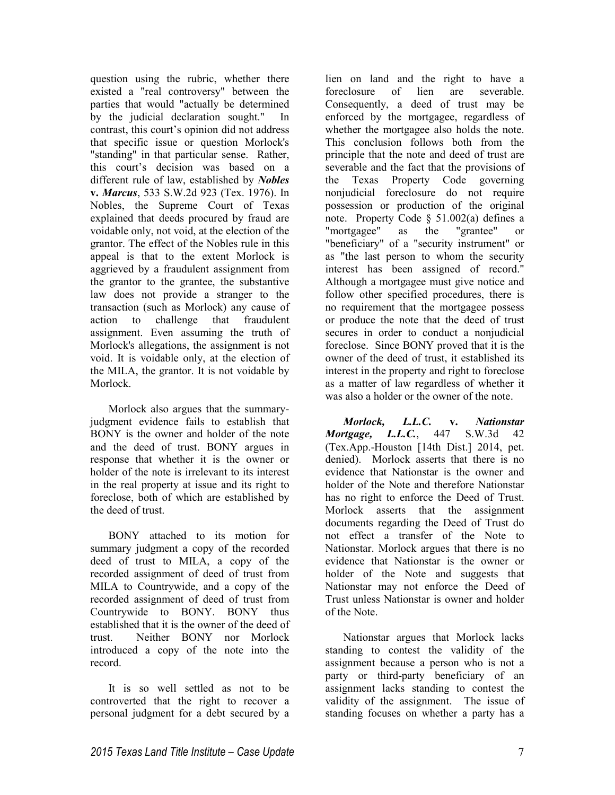question using the rubric, whether there existed a "real controversy" between the parties that would "actually be determined by the judicial declaration sought." In contrast, this court's opinion did not address that specific issue or question Morlock's "standing" in that particular sense. Rather, this court's decision was based on a different rule of law, established by *Nobles*  **v.** *Marcus*, 533 S.W.2d 923 (Tex. 1976). In Nobles, the Supreme Court of Texas explained that deeds procured by fraud are voidable only, not void, at the election of the grantor. The effect of the Nobles rule in this appeal is that to the extent Morlock is aggrieved by a fraudulent assignment from the grantor to the grantee, the substantive law does not provide a stranger to the transaction (such as Morlock) any cause of action to challenge that fraudulent assignment. Even assuming the truth of Morlock's allegations, the assignment is not void. It is voidable only, at the election of the MILA, the grantor. It is not voidable by Morlock.

Morlock also argues that the summaryjudgment evidence fails to establish that BONY is the owner and holder of the note and the deed of trust. BONY argues in response that whether it is the owner or holder of the note is irrelevant to its interest in the real property at issue and its right to foreclose, both of which are established by the deed of trust.

BONY attached to its motion for summary judgment a copy of the recorded deed of trust to MILA, a copy of the recorded assignment of deed of trust from MILA to Countrywide, and a copy of the recorded assignment of deed of trust from Countrywide to BONY. BONY thus established that it is the owner of the deed of trust. Neither BONY nor Morlock introduced a copy of the note into the record.

It is so well settled as not to be controverted that the right to recover a personal judgment for a debt secured by a

lien on land and the right to have a foreclosure of lien are severable. Consequently, a deed of trust may be enforced by the mortgagee, regardless of whether the mortgagee also holds the note. This conclusion follows both from the principle that the note and deed of trust are severable and the fact that the provisions of the Texas Property Code governing nonjudicial foreclosure do not require possession or production of the original note. Property Code § 51.002(a) defines a "mortgagee" as the "grantee" or "beneficiary" of a "security instrument" or as "the last person to whom the security interest has been assigned of record." Although a mortgagee must give notice and follow other specified procedures, there is no requirement that the mortgagee possess or produce the note that the deed of trust secures in order to conduct a nonjudicial foreclose. Since BONY proved that it is the owner of the deed of trust, it established its interest in the property and right to foreclose as a matter of law regardless of whether it was also a holder or the owner of the note.

*Morlock, L.L.C.* **v.** *Nationstar Mortgage, L.L.C.*, 447 S.W.3d 42 (Tex.App.-Houston [14th Dist.] 2014, pet. denied). Morlock asserts that there is no evidence that Nationstar is the owner and holder of the Note and therefore Nationstar has no right to enforce the Deed of Trust. Morlock asserts that the assignment documents regarding the Deed of Trust do not effect a transfer of the Note to Nationstar. Morlock argues that there is no evidence that Nationstar is the owner or holder of the Note and suggests that Nationstar may not enforce the Deed of Trust unless Nationstar is owner and holder of the Note.

Nationstar argues that Morlock lacks standing to contest the validity of the assignment because a person who is not a party or third-party beneficiary of an assignment lacks standing to contest the validity of the assignment. The issue of standing focuses on whether a party has a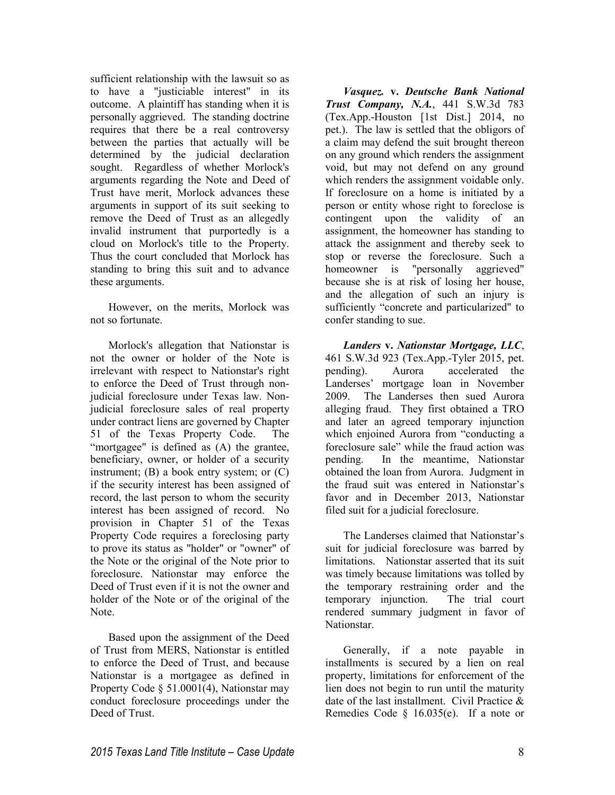sufficient relationship with the lawsuit so as to have a "justiciable interest" in its outcome. A plaintiff has standing when it is personally aggrieved. The standing doctrine requires that there be a real controversy between the parties that actually will be determined by the judicial declaration sought. Regardless of whether Morlock's arguments regarding the Note and Deed of Trust have merit, Morlock advances these arguments in support of its suit seeking to remove the Deed of Trust as an allegedly invalid instrument that purportedly is a cloud on Morlock's title to the Property. Thus the court concluded that Morlock has standing to bring this suit and to advance these arguments.

However, on the merits, Morlock was not so fortunate.

Morlock's allegation that Nationstar is not the owner or holder of the Note is irrelevant with respect to Nationstar's right to enforce the Deed of Trust through nonjudicial foreclosure under Texas law. Nonjudicial foreclosure sales of real property under contract liens are governed by Chapter 51 of the Texas Property Code. The "mortgagee" is defined as (A) the grantee, beneficiary, owner, or holder of a security instrument; (B) a book entry system; or (C) if the security interest has been assigned of record, the last person to whom the security interest has been assigned of record. No provision in Chapter 51 of the Texas Property Code requires a foreclosing party to prove its status as "holder" or "owner" of the Note or the original of the Note prior to foreclosure. Nationstar may enforce the Deed of Trust even if it is not the owner and holder of the Note or of the original of the Note.

Based upon the assignment of the Deed of Trust from MERS, Nationstar is entitled to enforce the Deed of Trust, and because Nationstar is a mortgagee as defined in Property Code § 51.0001(4), Nationstar may conduct foreclosure proceedings under the Deed of Trust.

*Vasquez.* **v.** *Deutsche Bank National Trust Company, N.A.*, 441 S.W.3d 783 (Tex.App.-Houston [1st Dist.] 2014, no pet.). The law is settled that the obligors of a claim may defend the suit brought thereon on any ground which renders the assignment void, but may not defend on any ground which renders the assignment voidable only. If foreclosure on a home is initiated by a person or entity whose right to foreclose is contingent upon the validity of an assignment, the homeowner has standing to attack the assignment and thereby seek to stop or reverse the foreclosure. Such a homeowner is "personally aggrieved" because she is at risk of losing her house, and the allegation of such an injury is sufficiently "concrete and particularized" to confer standing to sue.

*Landers* **v.** *Nationstar Mortgage, LLC*, 461 S.W.3d 923 (Tex.App.-Tyler 2015, pet. pending). Aurora accelerated the Landerses' mortgage loan in November 2009. The Landerses then sued Aurora alleging fraud. They first obtained a TRO and later an agreed temporary injunction which enjoined Aurora from "conducting a foreclosure sale" while the fraud action was pending. In the meantime, Nationstar obtained the loan from Aurora. Judgment in the fraud suit was entered in Nationstar's favor and in December 2013, Nationstar filed suit for a judicial foreclosure.

The Landerses claimed that Nationstar's suit for judicial foreclosure was barred by limitations. Nationstar asserted that its suit was timely because limitations was tolled by the temporary restraining order and the temporary injunction. The trial court rendered summary judgment in favor of Nationstar.

Generally, if a note payable in installments is secured by a lien on real property, limitations for enforcement of the lien does not begin to run until the maturity date of the last installment. Civil Practice & Remedies Code § 16.035(e). If a note or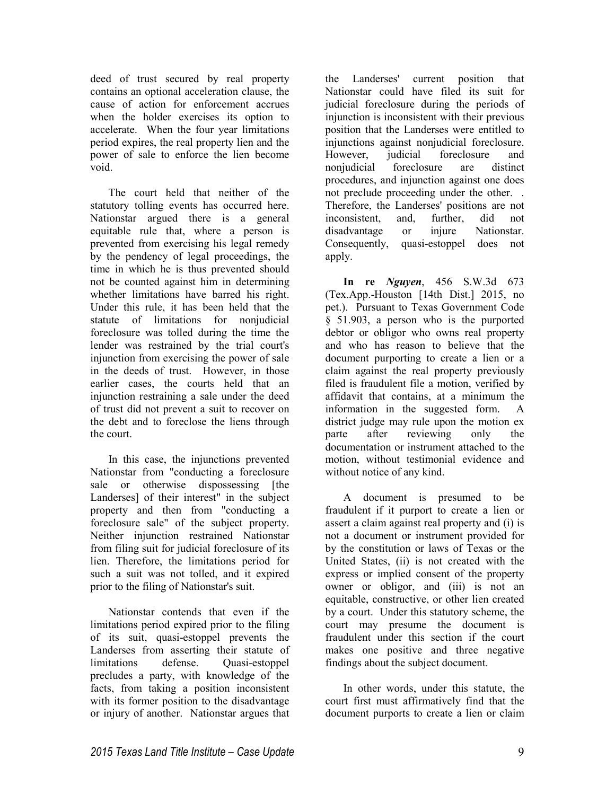deed of trust secured by real property contains an optional acceleration clause, the cause of action for enforcement accrues when the holder exercises its option to accelerate. When the four year limitations period expires, the real property lien and the power of sale to enforce the lien become void.

The court held that neither of the statutory tolling events has occurred here. Nationstar argued there is a general equitable rule that, where a person is prevented from exercising his legal remedy by the pendency of legal proceedings, the time in which he is thus prevented should not be counted against him in determining whether limitations have barred his right. Under this rule, it has been held that the statute of limitations for nonjudicial foreclosure was tolled during the time the lender was restrained by the trial court's injunction from exercising the power of sale in the deeds of trust. However, in those earlier cases, the courts held that an injunction restraining a sale under the deed of trust did not prevent a suit to recover on the debt and to foreclose the liens through the court.

In this case, the injunctions prevented Nationstar from "conducting a foreclosure sale or otherwise dispossessing [the Landerses] of their interest" in the subject property and then from "conducting a foreclosure sale" of the subject property. Neither injunction restrained Nationstar from filing suit for judicial foreclosure of its lien. Therefore, the limitations period for such a suit was not tolled, and it expired prior to the filing of Nationstar's suit.

Nationstar contends that even if the limitations period expired prior to the filing of its suit, quasi-estoppel prevents the Landerses from asserting their statute of limitations defense. Quasi-estoppel precludes a party, with knowledge of the facts, from taking a position inconsistent with its former position to the disadvantage or injury of another. Nationstar argues that

the Landerses' current position that Nationstar could have filed its suit for judicial foreclosure during the periods of injunction is inconsistent with their previous position that the Landerses were entitled to injunctions against nonjudicial foreclosure. However, judicial foreclosure and nonjudicial foreclosure are distinct procedures, and injunction against one does not preclude proceeding under the other. . Therefore, the Landerses' positions are not inconsistent, and, further, did not disadvantage or injure Nationstar. Consequently, quasi-estoppel does not apply.

**In re** *Nguyen*, 456 S.W.3d 673 (Tex.App.-Houston [14th Dist.] 2015, no pet.). Pursuant to Texas Government Code § 51.903, a person who is the purported debtor or obligor who owns real property and who has reason to believe that the document purporting to create a lien or a claim against the real property previously filed is fraudulent file a motion, verified by affidavit that contains, at a minimum the information in the suggested form. A district judge may rule upon the motion ex parte after reviewing only the documentation or instrument attached to the motion, without testimonial evidence and without notice of any kind.

A document is presumed to be fraudulent if it purport to create a lien or assert a claim against real property and (i) is not a document or instrument provided for by the constitution or laws of Texas or the United States, (ii) is not created with the express or implied consent of the property owner or obligor, and (iii) is not an equitable, constructive, or other lien created by a court. Under this statutory scheme, the court may presume the document is fraudulent under this section if the court makes one positive and three negative findings about the subject document.

In other words, under this statute, the court first must affirmatively find that the document purports to create a lien or claim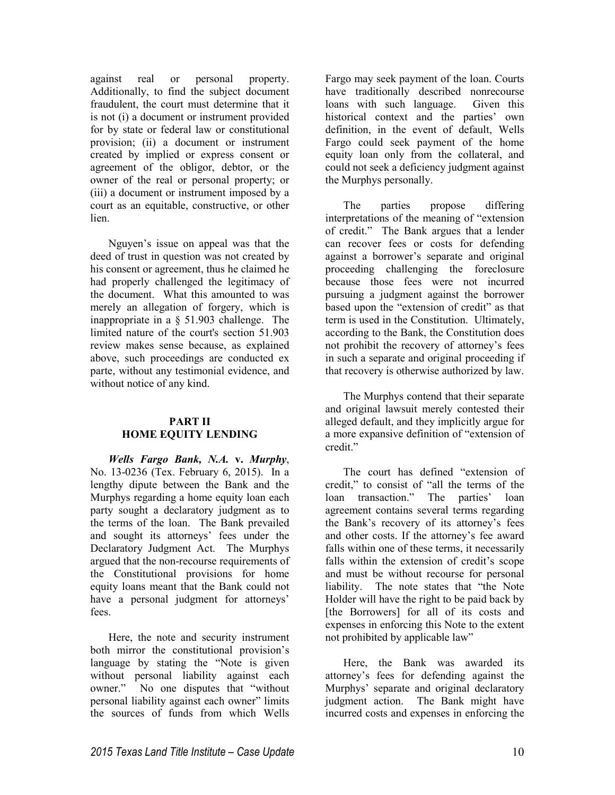against real or personal property. Additionally, to find the subject document fraudulent, the court must determine that it is not (i) a document or instrument provided for by state or federal law or constitutional provision; (ii) a document or instrument created by implied or express consent or agreement of the obligor, debtor, or the owner of the real or personal property; or (iii) a document or instrument imposed by a court as an equitable, constructive, or other lien.

Nguyen's issue on appeal was that the deed of trust in question was not created by his consent or agreement, thus he claimed he had properly challenged the legitimacy of the document. What this amounted to was merely an allegation of forgery, which is inappropriate in a § 51.903 challenge. The limited nature of the court's section 51.903 review makes sense because, as explained above, such proceedings are conducted ex parte, without any testimonial evidence, and without notice of any kind.

# **PART II HOME EQUITY LENDING**

*Wells Fargo Bank, N.A.* **v.** *Murphy*, No. 13-0236 (Tex. February 6, 2015). In a lengthy dipute between the Bank and the Murphys regarding a home equity loan each party sought a declaratory judgment as to the terms of the loan. The Bank prevailed and sought its attorneys' fees under the Declaratory Judgment Act. The Murphys argued that the non-recourse requirements of the Constitutional provisions for home equity loans meant that the Bank could not have a personal judgment for attorneys' fees.

Here, the note and security instrument both mirror the constitutional provision's language by stating the "Note is given without personal liability against each owner." No one disputes that "without personal liability against each owner" limits the sources of funds from which Wells

Fargo may seek payment of the loan. Courts have traditionally described nonrecourse loans with such language. Given this historical context and the parties' own definition, in the event of default, Wells Fargo could seek payment of the home equity loan only from the collateral, and could not seek a deficiency judgment against the Murphys personally.

The parties propose differing interpretations of the meaning of "extension of credit." The Bank argues that a lender can recover fees or costs for defending against a borrower's separate and original proceeding challenging the foreclosure because those fees were not incurred pursuing a judgment against the borrower based upon the "extension of credit" as that term is used in the Constitution. Ultimately, according to the Bank, the Constitution does not prohibit the recovery of attorney's fees in such a separate and original proceeding if that recovery is otherwise authorized by law.

The Murphys contend that their separate and original lawsuit merely contested their alleged default, and they implicitly argue for a more expansive definition of "extension of credit."

The court has defined "extension of credit," to consist of "all the terms of the loan transaction." The parties' loan agreement contains several terms regarding the Bank's recovery of its attorney's fees and other costs. If the attorney's fee award falls within one of these terms, it necessarily falls within the extension of credit's scope and must be without recourse for personal liability. The note states that "the Note Holder will have the right to be paid back by [the Borrowers] for all of its costs and expenses in enforcing this Note to the extent not prohibited by applicable law"

Here, the Bank was awarded its attorney's fees for defending against the Murphys' separate and original declaratory judgment action. The Bank might have incurred costs and expenses in enforcing the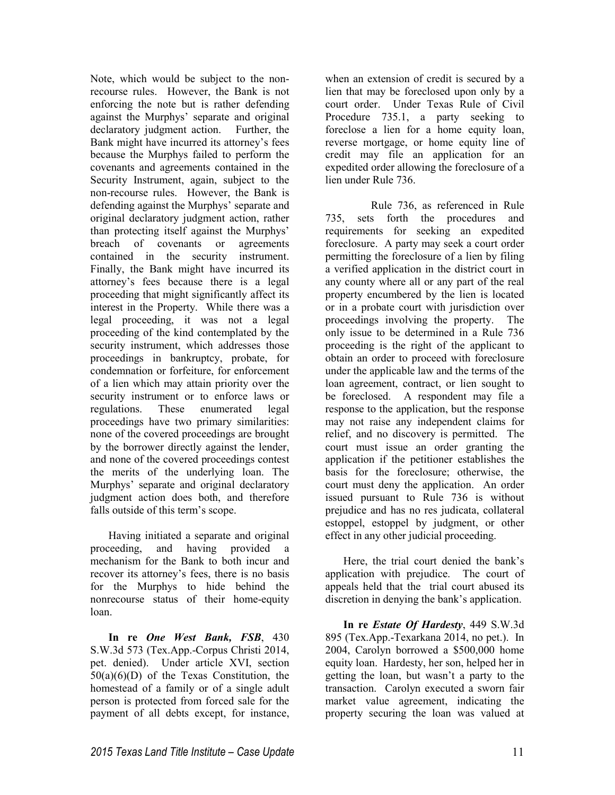Note, which would be subject to the nonrecourse rules. However, the Bank is not enforcing the note but is rather defending against the Murphys' separate and original<br>declaratory judgment action. Further, the declaratory judgment action. Bank might have incurred its attorney's fees because the Murphys failed to perform the covenants and agreements contained in the Security Instrument, again, subject to the non-recourse rules. However, the Bank is defending against the Murphys' separate and original declaratory judgment action, rather than protecting itself against the Murphys' breach of covenants or agreements contained in the security instrument. Finally, the Bank might have incurred its attorney's fees because there is a legal proceeding that might significantly affect its interest in the Property. While there was a legal proceeding, it was not a legal proceeding of the kind contemplated by the security instrument, which addresses those proceedings in bankruptcy, probate, for condemnation or forfeiture, for enforcement of a lien which may attain priority over the security instrument or to enforce laws or regulations. These enumerated legal proceedings have two primary similarities: none of the covered proceedings are brought by the borrower directly against the lender, and none of the covered proceedings contest the merits of the underlying loan. The Murphys' separate and original declaratory judgment action does both, and therefore falls outside of this term's scope.

Having initiated a separate and original proceeding, and having provided a mechanism for the Bank to both incur and recover its attorney's fees, there is no basis for the Murphys to hide behind the nonrecourse status of their home-equity loan.

**In re** *One West Bank, FSB*, 430 S.W.3d 573 (Tex.App.-Corpus Christi 2014, pet. denied). Under article XVI, section 50(a)(6)(D) of the Texas Constitution, the homestead of a family or of a single adult person is protected from forced sale for the payment of all debts except, for instance,

when an extension of credit is secured by a lien that may be foreclosed upon only by a court order. Under Texas Rule of Civil Procedure 735.1, a party seeking to foreclose a lien for a home equity loan, reverse mortgage, or home equity line of credit may file an application for an expedited order allowing the foreclosure of a lien under Rule 736.

 Rule 736, as referenced in Rule 735, sets forth the procedures and requirements for seeking an expedited foreclosure. A party may seek a court order permitting the foreclosure of a lien by filing a verified application in the district court in any county where all or any part of the real property encumbered by the lien is located or in a probate court with jurisdiction over proceedings involving the property. The only issue to be determined in a Rule 736 proceeding is the right of the applicant to obtain an order to proceed with foreclosure under the applicable law and the terms of the loan agreement, contract, or lien sought to be foreclosed. A respondent may file a response to the application, but the response may not raise any independent claims for relief, and no discovery is permitted. The court must issue an order granting the application if the petitioner establishes the basis for the foreclosure; otherwise, the court must deny the application. An order issued pursuant to Rule 736 is without prejudice and has no res judicata, collateral estoppel, estoppel by judgment, or other effect in any other judicial proceeding.

Here, the trial court denied the bank's application with prejudice. The court of appeals held that the trial court abused its discretion in denying the bank's application.

**In re** *Estate Of Hardesty*, 449 S.W.3d 895 (Tex.App.-Texarkana 2014, no pet.). In 2004, Carolyn borrowed a \$500,000 home equity loan. Hardesty, her son, helped her in getting the loan, but wasn't a party to the transaction. Carolyn executed a sworn fair market value agreement, indicating the property securing the loan was valued at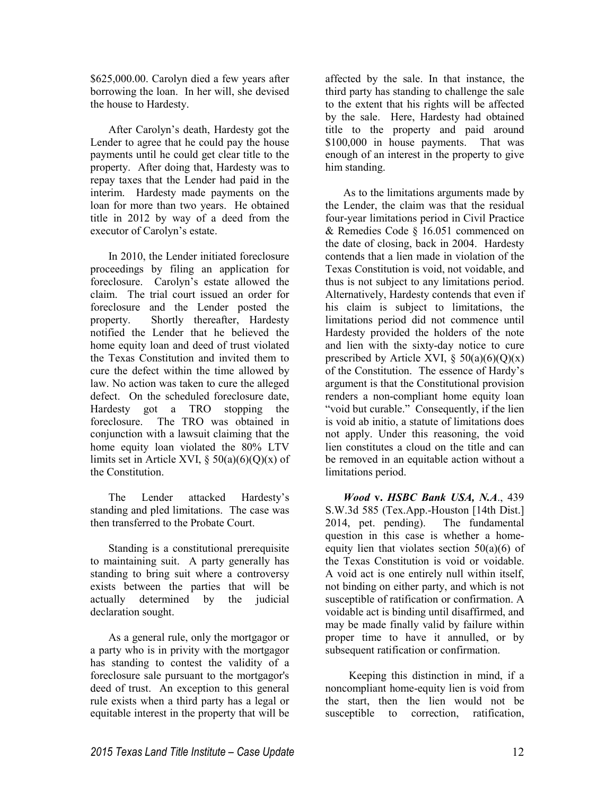\$625,000.00. Carolyn died a few years after borrowing the loan. In her will, she devised the house to Hardesty.

After Carolyn's death, Hardesty got the Lender to agree that he could pay the house payments until he could get clear title to the property. After doing that, Hardesty was to repay taxes that the Lender had paid in the interim. Hardesty made payments on the loan for more than two years. He obtained title in 2012 by way of a deed from the executor of Carolyn's estate.

In 2010, the Lender initiated foreclosure proceedings by filing an application for foreclosure. Carolyn's estate allowed the claim. The trial court issued an order for foreclosure and the Lender posted the property. Shortly thereafter, Hardesty notified the Lender that he believed the home equity loan and deed of trust violated the Texas Constitution and invited them to cure the defect within the time allowed by law. No action was taken to cure the alleged defect. On the scheduled foreclosure date, Hardesty got a TRO stopping the foreclosure. The TRO was obtained in conjunction with a lawsuit claiming that the home equity loan violated the 80% LTV limits set in Article XVI,  $\S$  50(a)(6)(Q)(x) of the Constitution.

The Lender attacked Hardesty's standing and pled limitations. The case was then transferred to the Probate Court.

Standing is a constitutional prerequisite to maintaining suit. A party generally has standing to bring suit where a controversy exists between the parties that will be actually determined by the judicial declaration sought.

As a general rule, only the mortgagor or a party who is in privity with the mortgagor has standing to contest the validity of a foreclosure sale pursuant to the mortgagor's deed of trust. An exception to this general rule exists when a third party has a legal or equitable interest in the property that will be

affected by the sale. In that instance, the third party has standing to challenge the sale to the extent that his rights will be affected by the sale. Here, Hardesty had obtained title to the property and paid around \$100,000 in house payments. That was enough of an interest in the property to give him standing.

As to the limitations arguments made by the Lender, the claim was that the residual four-year limitations period in Civil Practice & Remedies Code § 16.051 commenced on the date of closing, back in 2004. Hardesty contends that a lien made in violation of the Texas Constitution is void, not voidable, and thus is not subject to any limitations period. Alternatively, Hardesty contends that even if his claim is subject to limitations, the limitations period did not commence until Hardesty provided the holders of the note and lien with the sixty-day notice to cure prescribed by Article XVI,  $\S 50(a)(6)(Q)(x)$ of the Constitution. The essence of Hardy's argument is that the Constitutional provision renders a non-compliant home equity loan "void but curable." Consequently, if the lien is void ab initio, a statute of limitations does not apply. Under this reasoning, the void lien constitutes a cloud on the title and can be removed in an equitable action without a limitations period.

*Wood* **v.** *HSBC Bank USA, N.A*., 439 S.W.3d 585 (Tex.App.-Houston [14th Dist.] 2014, pet. pending). The fundamental question in this case is whether a homeequity lien that violates section  $50(a)(6)$  of the Texas Constitution is void or voidable. A void act is one entirely null within itself, not binding on either party, and which is not susceptible of ratification or confirmation. A voidable act is binding until disaffirmed, and may be made finally valid by failure within proper time to have it annulled, or by subsequent ratification or confirmation.

 Keeping this distinction in mind, if a noncompliant home-equity lien is void from the start, then the lien would not be susceptible to correction, ratification,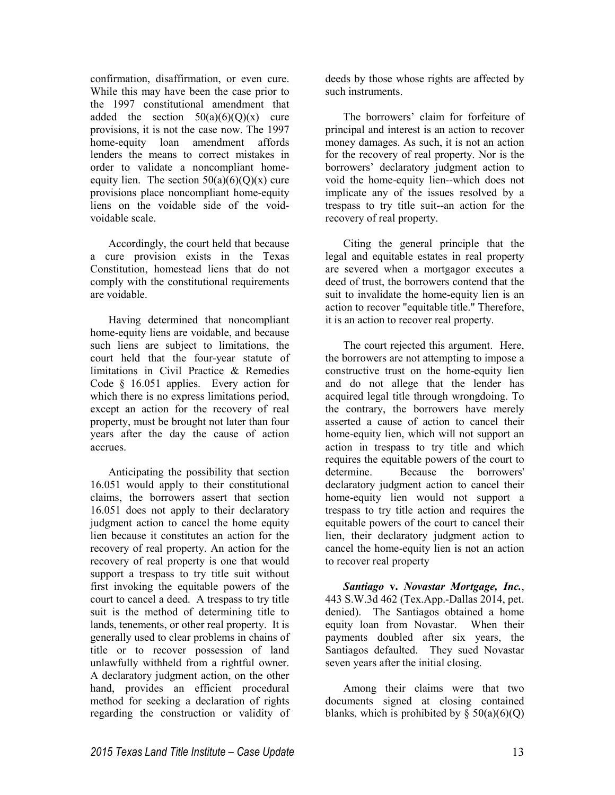confirmation, disaffirmation, or even cure. While this may have been the case prior to the 1997 constitutional amendment that added the section  $50(a)(6)(Q)(x)$  cure provisions, it is not the case now. The 1997 home-equity loan amendment affords lenders the means to correct mistakes in order to validate a noncompliant homeequity lien. The section  $50(a)(6)(Q)(x)$  cure provisions place noncompliant home-equity liens on the voidable side of the voidvoidable scale.

Accordingly, the court held that because a cure provision exists in the Texas Constitution, homestead liens that do not comply with the constitutional requirements are voidable.

Having determined that noncompliant home-equity liens are voidable, and because such liens are subject to limitations, the court held that the four-year statute of limitations in Civil Practice & Remedies Code § 16.051 applies. Every action for which there is no express limitations period, except an action for the recovery of real property, must be brought not later than four years after the day the cause of action accrues.

Anticipating the possibility that section 16.051 would apply to their constitutional claims, the borrowers assert that section 16.051 does not apply to their declaratory judgment action to cancel the home equity lien because it constitutes an action for the recovery of real property. An action for the recovery of real property is one that would support a trespass to try title suit without first invoking the equitable powers of the court to cancel a deed. A trespass to try title suit is the method of determining title to lands, tenements, or other real property. It is generally used to clear problems in chains of title or to recover possession of land unlawfully withheld from a rightful owner. A declaratory judgment action, on the other hand, provides an efficient procedural method for seeking a declaration of rights regarding the construction or validity of deeds by those whose rights are affected by such instruments.

The borrowers' claim for forfeiture of principal and interest is an action to recover money damages. As such, it is not an action for the recovery of real property. Nor is the borrowers' declaratory judgment action to void the home-equity lien--which does not implicate any of the issues resolved by a trespass to try title suit--an action for the recovery of real property.

Citing the general principle that the legal and equitable estates in real property are severed when a mortgagor executes a deed of trust, the borrowers contend that the suit to invalidate the home-equity lien is an action to recover "equitable title." Therefore, it is an action to recover real property.

The court rejected this argument. Here, the borrowers are not attempting to impose a constructive trust on the home-equity lien and do not allege that the lender has acquired legal title through wrongdoing. To the contrary, the borrowers have merely asserted a cause of action to cancel their home-equity lien, which will not support an action in trespass to try title and which requires the equitable powers of the court to determine. Because the borrowers' declaratory judgment action to cancel their home-equity lien would not support a trespass to try title action and requires the equitable powers of the court to cancel their lien, their declaratory judgment action to cancel the home-equity lien is not an action to recover real property

*Santiago* **v.** *Novastar Mortgage, Inc.*, 443 S.W.3d 462 (Tex.App.-Dallas 2014, pet. denied). The Santiagos obtained a home equity loan from Novastar. When their payments doubled after six years, the Santiagos defaulted. They sued Novastar seven years after the initial closing.

Among their claims were that two documents signed at closing contained blanks, which is prohibited by  $\S 50(a)(6)(Q)$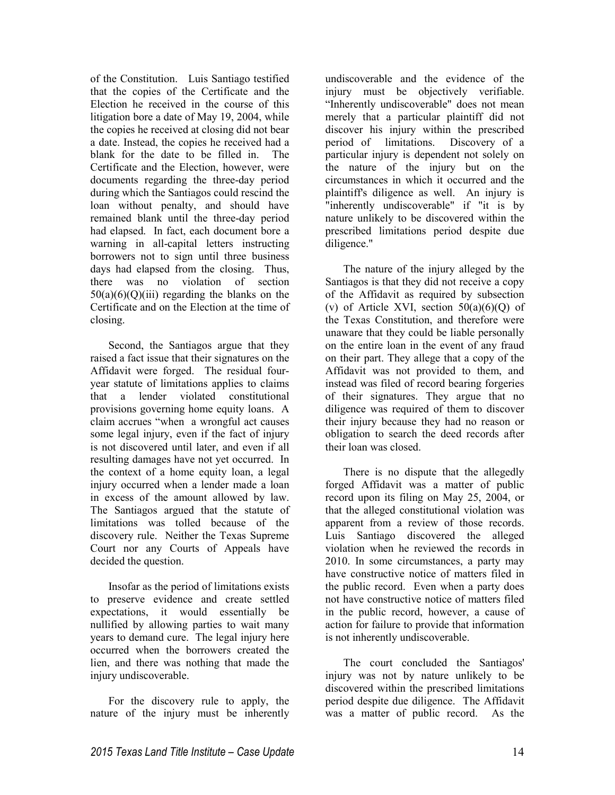of the Constitution. Luis Santiago testified that the copies of the Certificate and the Election he received in the course of this litigation bore a date of May 19, 2004, while the copies he received at closing did not bear a date. Instead, the copies he received had a blank for the date to be filled in. The Certificate and the Election, however, were documents regarding the three-day period during which the Santiagos could rescind the loan without penalty, and should have remained blank until the three-day period had elapsed. In fact, each document bore a warning in all-capital letters instructing borrowers not to sign until three business days had elapsed from the closing. Thus, there was no violation of section  $50(a)(6)(O)(iii)$  regarding the blanks on the Certificate and on the Election at the time of closing.

Second, the Santiagos argue that they raised a fact issue that their signatures on the Affidavit were forged. The residual fouryear statute of limitations applies to claims that a lender violated constitutional provisions governing home equity loans. A claim accrues "when a wrongful act causes some legal injury, even if the fact of injury is not discovered until later, and even if all resulting damages have not yet occurred. In the context of a home equity loan, a legal injury occurred when a lender made a loan in excess of the amount allowed by law. The Santiagos argued that the statute of limitations was tolled because of the discovery rule. Neither the Texas Supreme Court nor any Courts of Appeals have decided the question.

Insofar as the period of limitations exists to preserve evidence and create settled expectations, it would essentially be nullified by allowing parties to wait many years to demand cure. The legal injury here occurred when the borrowers created the lien, and there was nothing that made the injury undiscoverable.

For the discovery rule to apply, the nature of the injury must be inherently undiscoverable and the evidence of the injury must be objectively verifiable. "Inherently undiscoverable" does not mean merely that a particular plaintiff did not discover his injury within the prescribed period of limitations. Discovery of a particular injury is dependent not solely on the nature of the injury but on the circumstances in which it occurred and the plaintiff's diligence as well. An injury is "inherently undiscoverable" if "it is by nature unlikely to be discovered within the prescribed limitations period despite due diligence."

The nature of the injury alleged by the Santiagos is that they did not receive a copy of the Affidavit as required by subsection (v) of Article XVI, section  $50(a)(6)(Q)$  of the Texas Constitution, and therefore were unaware that they could be liable personally on the entire loan in the event of any fraud on their part. They allege that a copy of the Affidavit was not provided to them, and instead was filed of record bearing forgeries of their signatures. They argue that no diligence was required of them to discover their injury because they had no reason or obligation to search the deed records after their loan was closed.

There is no dispute that the allegedly forged Affidavit was a matter of public record upon its filing on May 25, 2004, or that the alleged constitutional violation was apparent from a review of those records. Luis Santiago discovered the alleged violation when he reviewed the records in 2010. In some circumstances, a party may have constructive notice of matters filed in the public record. Even when a party does not have constructive notice of matters filed in the public record, however, a cause of action for failure to provide that information is not inherently undiscoverable.

The court concluded the Santiagos' injury was not by nature unlikely to be discovered within the prescribed limitations period despite due diligence. The Affidavit was a matter of public record. As the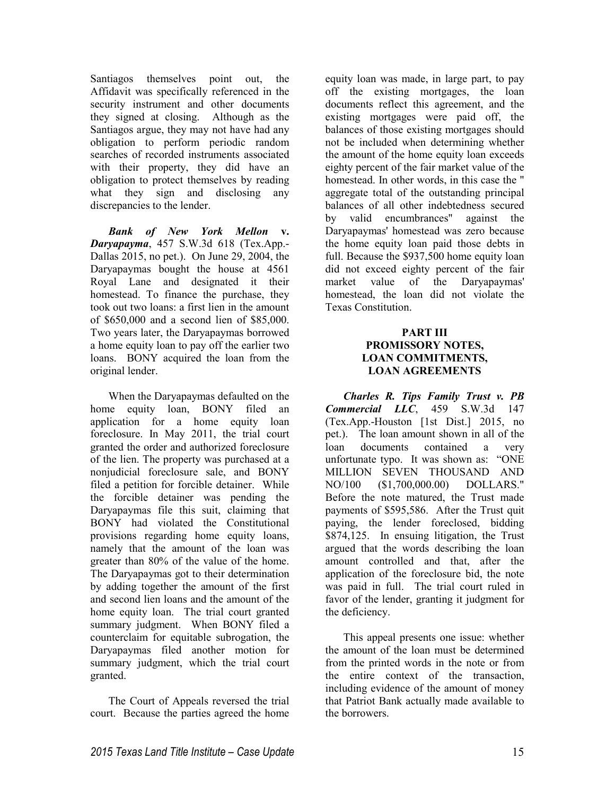Santiagos themselves point out, the Affidavit was specifically referenced in the security instrument and other documents they signed at closing. Although as the Santiagos argue, they may not have had any obligation to perform periodic random searches of recorded instruments associated with their property, they did have an obligation to protect themselves by reading what they sign and disclosing any discrepancies to the lender.

*Bank of New York Mellon* **v.** *Daryapayma*, 457 S.W.3d 618 (Tex.App.- Dallas 2015, no pet.). On June 29, 2004, the Daryapaymas bought the house at 4561 Royal Lane and designated it their homestead. To finance the purchase, they took out two loans: a first lien in the amount of \$650,000 and a second lien of \$85,000. Two years later, the Daryapaymas borrowed a home equity loan to pay off the earlier two loans. BONY acquired the loan from the original lender.

When the Daryapaymas defaulted on the home equity loan, BONY filed an application for a home equity loan foreclosure. In May 2011, the trial court granted the order and authorized foreclosure of the lien. The property was purchased at a nonjudicial foreclosure sale, and BONY filed a petition for forcible detainer. While the forcible detainer was pending the Daryapaymas file this suit, claiming that BONY had violated the Constitutional provisions regarding home equity loans, namely that the amount of the loan was greater than 80% of the value of the home. The Daryapaymas got to their determination by adding together the amount of the first and second lien loans and the amount of the home equity loan. The trial court granted summary judgment. When BONY filed a counterclaim for equitable subrogation, the Daryapaymas filed another motion for summary judgment, which the trial court granted.

The Court of Appeals reversed the trial court. Because the parties agreed the home

equity loan was made, in large part, to pay off the existing mortgages, the loan documents reflect this agreement, and the existing mortgages were paid off, the balances of those existing mortgages should not be included when determining whether the amount of the home equity loan exceeds eighty percent of the fair market value of the homestead. In other words, in this case the " aggregate total of the outstanding principal balances of all other indebtedness secured by valid encumbrances" against the Daryapaymas' homestead was zero because the home equity loan paid those debts in full. Because the \$937,500 home equity loan did not exceed eighty percent of the fair market value of the Daryapaymas' homestead, the loan did not violate the Texas Constitution.

# **PART III PROMISSORY NOTES, LOAN COMMITMENTS, LOAN AGREEMENTS**

*Charles R. Tips Family Trust v. PB Commercial LLC*, 459 S.W.3d 147 (Tex.App.-Houston [1st Dist.] 2015, no pet.). The loan amount shown in all of the loan documents contained a very unfortunate typo. It was shown as: "ONE MILLION SEVEN THOUSAND AND NO/100 (\$1,700,000.00) DOLLARS." Before the note matured, the Trust made payments of \$595,586. After the Trust quit paying, the lender foreclosed, bidding \$874,125. In ensuing litigation, the Trust argued that the words describing the loan amount controlled and that, after the application of the foreclosure bid, the note was paid in full. The trial court ruled in favor of the lender, granting it judgment for the deficiency.

This appeal presents one issue: whether the amount of the loan must be determined from the printed words in the note or from the entire context of the transaction, including evidence of the amount of money that Patriot Bank actually made available to the borrowers.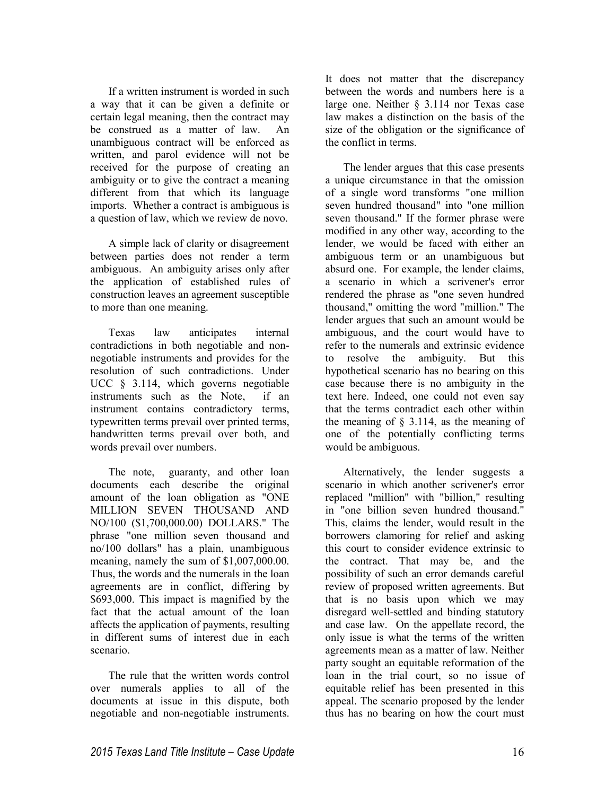If a written instrument is worded in such a way that it can be given a definite or certain legal meaning, then the contract may be construed as a matter of law. An unambiguous contract will be enforced as written, and parol evidence will not be received for the purpose of creating an ambiguity or to give the contract a meaning different from that which its language imports. Whether a contract is ambiguous is a question of law, which we review de novo.

A simple lack of clarity or disagreement between parties does not render a term ambiguous. An ambiguity arises only after the application of established rules of construction leaves an agreement susceptible to more than one meaning.

Texas law anticipates internal contradictions in both negotiable and nonnegotiable instruments and provides for the resolution of such contradictions. Under UCC § 3.114, which governs negotiable instruments such as the Note, if an instrument contains contradictory terms, typewritten terms prevail over printed terms, handwritten terms prevail over both, and words prevail over numbers.

The note, guaranty, and other loan documents each describe the original amount of the loan obligation as "ONE MILLION SEVEN THOUSAND AND NO/100 (\$1,700,000.00) DOLLARS." The phrase "one million seven thousand and no/100 dollars" has a plain, unambiguous meaning, namely the sum of \$1,007,000.00. Thus, the words and the numerals in the loan agreements are in conflict, differing by \$693,000. This impact is magnified by the fact that the actual amount of the loan affects the application of payments, resulting in different sums of interest due in each scenario.

The rule that the written words control over numerals applies to all of the documents at issue in this dispute, both negotiable and non-negotiable instruments.

It does not matter that the discrepancy between the words and numbers here is a large one. Neither § 3.114 nor Texas case law makes a distinction on the basis of the size of the obligation or the significance of the conflict in terms.

The lender argues that this case presents a unique circumstance in that the omission of a single word transforms "one million seven hundred thousand" into "one million seven thousand." If the former phrase were modified in any other way, according to the lender, we would be faced with either an ambiguous term or an unambiguous but absurd one. For example, the lender claims, a scenario in which a scrivener's error rendered the phrase as "one seven hundred thousand," omitting the word "million." The lender argues that such an amount would be ambiguous, and the court would have to refer to the numerals and extrinsic evidence to resolve the ambiguity. But this hypothetical scenario has no bearing on this case because there is no ambiguity in the text here. Indeed, one could not even say that the terms contradict each other within the meaning of  $\S$  3.114, as the meaning of one of the potentially conflicting terms would be ambiguous.

Alternatively, the lender suggests a scenario in which another scrivener's error replaced "million" with "billion," resulting in "one billion seven hundred thousand." This, claims the lender, would result in the borrowers clamoring for relief and asking this court to consider evidence extrinsic to the contract. That may be, and the possibility of such an error demands careful review of proposed written agreements. But that is no basis upon which we may disregard well-settled and binding statutory and case law. On the appellate record, the only issue is what the terms of the written agreements mean as a matter of law. Neither party sought an equitable reformation of the loan in the trial court, so no issue of equitable relief has been presented in this appeal. The scenario proposed by the lender thus has no bearing on how the court must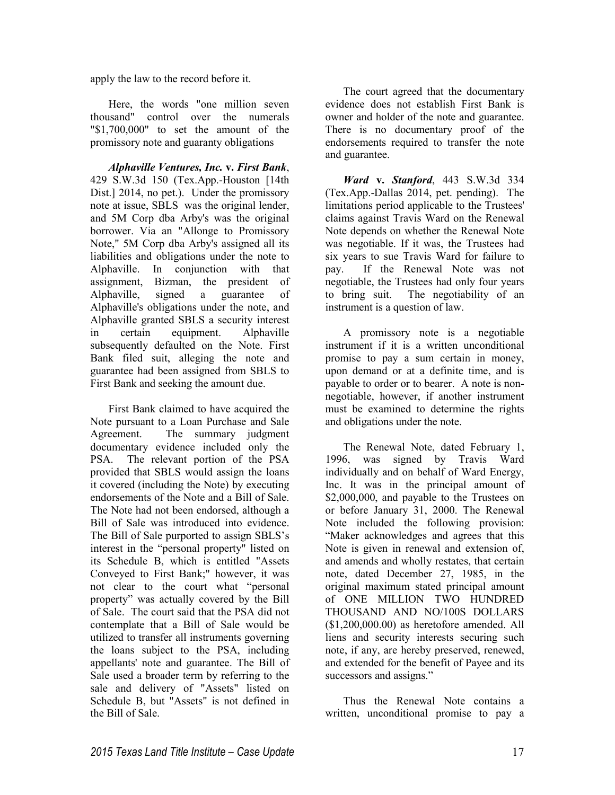apply the law to the record before it.

Here, the words "one million seven thousand" control over the numerals "\$1,700,000" to set the amount of the promissory note and guaranty obligations

*Alphaville Ventures, Inc.* **v.** *First Bank*, 429 S.W.3d 150 (Tex.App.-Houston [14th Dist.] 2014, no pet.). Under the promissory note at issue, SBLS was the original lender, and 5M Corp dba Arby's was the original borrower. Via an "Allonge to Promissory Note," 5M Corp dba Arby's assigned all its liabilities and obligations under the note to Alphaville. In conjunction with that assignment, Bizman, the president of Alphaville, signed a guarantee of Alphaville's obligations under the note, and Alphaville granted SBLS a security interest in certain equipment. Alphaville subsequently defaulted on the Note. First Bank filed suit, alleging the note and guarantee had been assigned from SBLS to First Bank and seeking the amount due.

First Bank claimed to have acquired the Note pursuant to a Loan Purchase and Sale Agreement. The summary judgment documentary evidence included only the PSA. The relevant portion of the PSA provided that SBLS would assign the loans it covered (including the Note) by executing endorsements of the Note and a Bill of Sale. The Note had not been endorsed, although a Bill of Sale was introduced into evidence. The Bill of Sale purported to assign SBLS's interest in the "personal property" listed on its Schedule B, which is entitled "Assets Conveyed to First Bank;" however, it was not clear to the court what "personal property" was actually covered by the Bill of Sale. The court said that the PSA did not contemplate that a Bill of Sale would be utilized to transfer all instruments governing the loans subject to the PSA, including appellants' note and guarantee. The Bill of Sale used a broader term by referring to the sale and delivery of "Assets" listed on Schedule B, but "Assets" is not defined in the Bill of Sale.

The court agreed that the documentary evidence does not establish First Bank is owner and holder of the note and guarantee. There is no documentary proof of the endorsements required to transfer the note and guarantee.

*Ward* **v.** *Stanford*, 443 S.W.3d 334 (Tex.App.-Dallas 2014, pet. pending). The limitations period applicable to the Trustees' claims against Travis Ward on the Renewal Note depends on whether the Renewal Note was negotiable. If it was, the Trustees had six years to sue Travis Ward for failure to pay. If the Renewal Note was not negotiable, the Trustees had only four years to bring suit. The negotiability of an instrument is a question of law.

A promissory note is a negotiable instrument if it is a written unconditional promise to pay a sum certain in money, upon demand or at a definite time, and is payable to order or to bearer. A note is nonnegotiable, however, if another instrument must be examined to determine the rights and obligations under the note.

The Renewal Note, dated February 1, 1996, was signed by Travis Ward individually and on behalf of Ward Energy, Inc. It was in the principal amount of \$2,000,000, and payable to the Trustees on or before January 31, 2000. The Renewal Note included the following provision: "Maker acknowledges and agrees that this Note is given in renewal and extension of, and amends and wholly restates, that certain note, dated December 27, 1985, in the original maximum stated principal amount of ONE MILLION TWO HUNDRED THOUSAND AND NO/100S DOLLARS (\$1,200,000.00) as heretofore amended. All liens and security interests securing such note, if any, are hereby preserved, renewed, and extended for the benefit of Payee and its successors and assigns."

Thus the Renewal Note contains a written, unconditional promise to pay a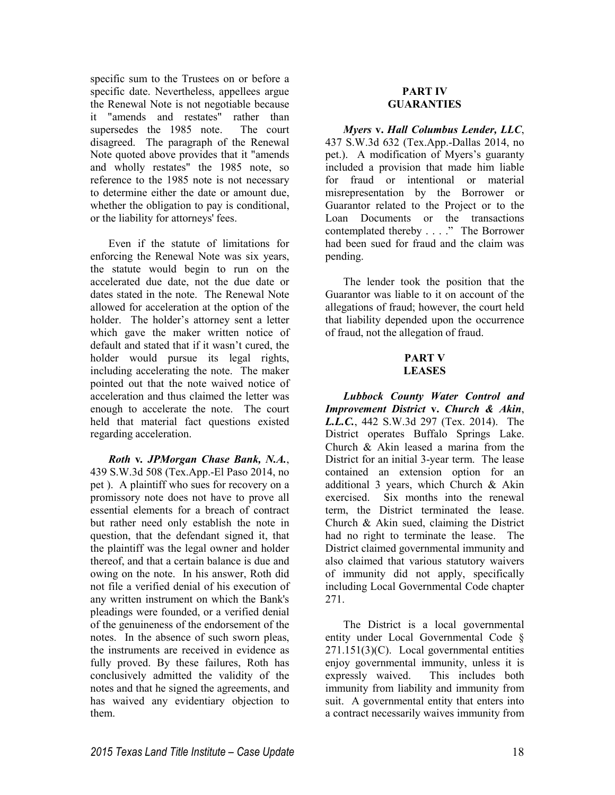specific sum to the Trustees on or before a specific date. Nevertheless, appellees argue the Renewal Note is not negotiable because it "amends and restates" rather than supersedes the 1985 note. The court disagreed. The paragraph of the Renewal Note quoted above provides that it "amends and wholly restates" the 1985 note, so reference to the 1985 note is not necessary to determine either the date or amount due, whether the obligation to pay is conditional, or the liability for attorneys' fees.

Even if the statute of limitations for enforcing the Renewal Note was six years, the statute would begin to run on the accelerated due date, not the due date or dates stated in the note. The Renewal Note allowed for acceleration at the option of the holder. The holder's attorney sent a letter which gave the maker written notice of default and stated that if it wasn't cured, the holder would pursue its legal rights, including accelerating the note. The maker pointed out that the note waived notice of acceleration and thus claimed the letter was enough to accelerate the note. The court held that material fact questions existed regarding acceleration.

*Roth* **v***. JPMorgan Chase Bank, N.A.*, 439 S.W.3d 508 (Tex.App.-El Paso 2014, no pet ). A plaintiff who sues for recovery on a promissory note does not have to prove all essential elements for a breach of contract but rather need only establish the note in question, that the defendant signed it, that the plaintiff was the legal owner and holder thereof, and that a certain balance is due and owing on the note. In his answer, Roth did not file a verified denial of his execution of any written instrument on which the Bank's pleadings were founded, or a verified denial of the genuineness of the endorsement of the notes. In the absence of such sworn pleas, the instruments are received in evidence as fully proved. By these failures, Roth has conclusively admitted the validity of the notes and that he signed the agreements, and has waived any evidentiary objection to them.

# **PART IV GUARANTIES**

*Myers* **v.** *Hall Columbus Lender, LLC*, 437 S.W.3d 632 (Tex.App.-Dallas 2014, no pet.). A modification of Myers's guaranty included a provision that made him liable for fraud or intentional or material misrepresentation by the Borrower or Guarantor related to the Project or to the Loan Documents or the transactions contemplated thereby . . . ." The Borrower had been sued for fraud and the claim was pending.

The lender took the position that the Guarantor was liable to it on account of the allegations of fraud; however, the court held that liability depended upon the occurrence of fraud, not the allegation of fraud.

### **PART V LEASES**

*Lubbock County Water Control and Improvement District* **v.** *Church & Akin*, *L.L.C.*, 442 S.W.3d 297 (Tex. 2014). The District operates Buffalo Springs Lake. Church & Akin leased a marina from the District for an initial 3-year term. The lease contained an extension option for an additional 3 years, which Church & Akin exercised. Six months into the renewal term, the District terminated the lease. Church & Akin sued, claiming the District had no right to terminate the lease. The District claimed governmental immunity and also claimed that various statutory waivers of immunity did not apply, specifically including Local Governmental Code chapter 271.

The District is a local governmental entity under Local Governmental Code § 271.151(3)(C). Local governmental entities enjoy governmental immunity, unless it is expressly waived. This includes both immunity from liability and immunity from suit. A governmental entity that enters into a contract necessarily waives immunity from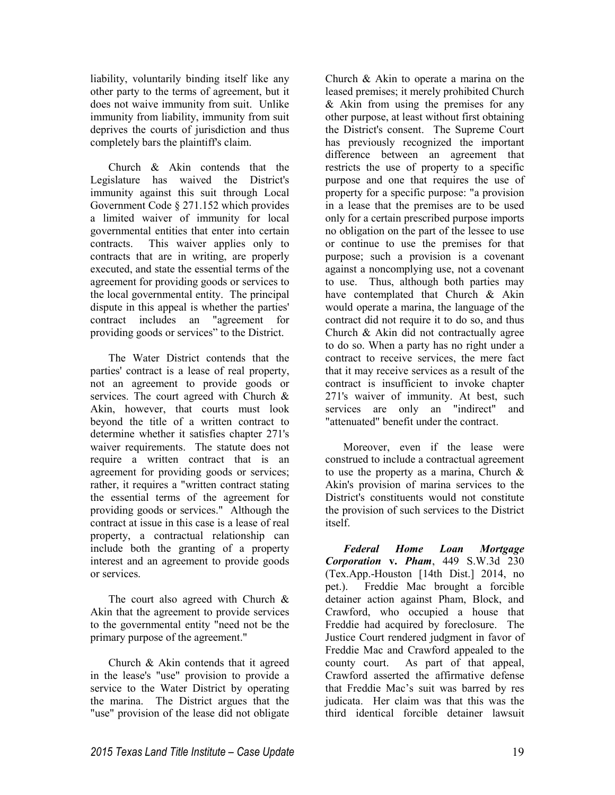liability, voluntarily binding itself like any other party to the terms of agreement, but it does not waive immunity from suit. Unlike immunity from liability, immunity from suit deprives the courts of jurisdiction and thus completely bars the plaintiff's claim.

Church & Akin contends that the Legislature has waived the District's immunity against this suit through Local Government Code § 271.152 which provides a limited waiver of immunity for local governmental entities that enter into certain contracts. This waiver applies only to contracts that are in writing, are properly executed, and state the essential terms of the agreement for providing goods or services to the local governmental entity. The principal dispute in this appeal is whether the parties'<br>contract includes an "agreement for contract includes an providing goods or services" to the District.

The Water District contends that the parties' contract is a lease of real property, not an agreement to provide goods or services. The court agreed with Church & Akin, however, that courts must look beyond the title of a written contract to determine whether it satisfies chapter 271's waiver requirements. The statute does not require a written contract that is an agreement for providing goods or services; rather, it requires a "written contract stating the essential terms of the agreement for providing goods or services." Although the contract at issue in this case is a lease of real property, a contractual relationship can include both the granting of a property interest and an agreement to provide goods or services.

The court also agreed with Church & Akin that the agreement to provide services to the governmental entity "need not be the primary purpose of the agreement."

Church & Akin contends that it agreed in the lease's "use" provision to provide a service to the Water District by operating the marina. The District argues that the "use" provision of the lease did not obligate

Church & Akin to operate a marina on the leased premises; it merely prohibited Church & Akin from using the premises for any other purpose, at least without first obtaining the District's consent. The Supreme Court has previously recognized the important difference between an agreement that restricts the use of property to a specific purpose and one that requires the use of property for a specific purpose: "a provision in a lease that the premises are to be used only for a certain prescribed purpose imports no obligation on the part of the lessee to use or continue to use the premises for that purpose; such a provision is a covenant against a noncomplying use, not a covenant to use. Thus, although both parties may have contemplated that Church & Akin would operate a marina, the language of the contract did not require it to do so, and thus Church & Akin did not contractually agree to do so. When a party has no right under a contract to receive services, the mere fact that it may receive services as a result of the contract is insufficient to invoke chapter 271's waiver of immunity. At best, such services are only an "indirect" and "attenuated" benefit under the contract.

Moreover, even if the lease were construed to include a contractual agreement to use the property as a marina, Church & Akin's provision of marina services to the District's constituents would not constitute the provision of such services to the District itself.

*Federal Home Loan Mortgage Corporation* **v.** *Pham*, 449 S.W.3d 230 (Tex.App.-Houston [14th Dist.] 2014, no pet.). Freddie Mac brought a forcible detainer action against Pham, Block, and Crawford, who occupied a house that Freddie had acquired by foreclosure. The Justice Court rendered judgment in favor of Freddie Mac and Crawford appealed to the county court. As part of that appeal, Crawford asserted the affirmative defense that Freddie Mac's suit was barred by res judicata. Her claim was that this was the third identical forcible detainer lawsuit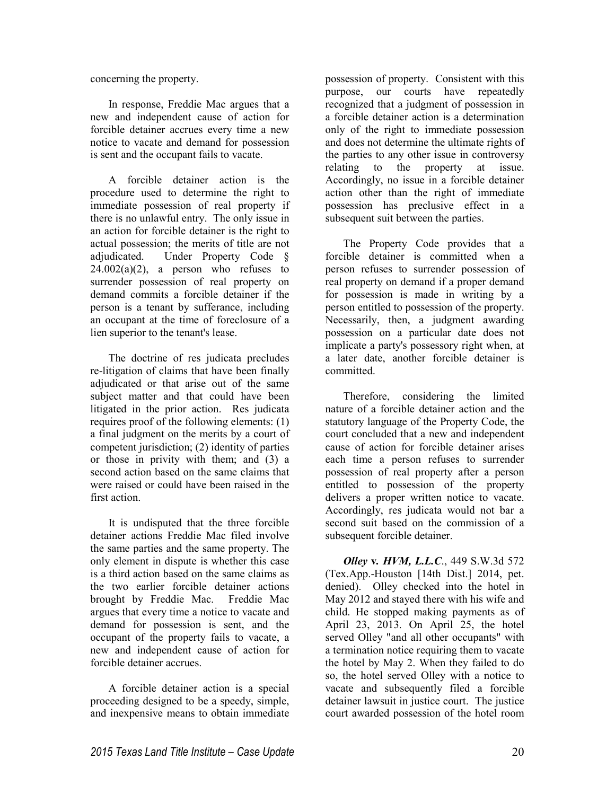concerning the property.

In response, Freddie Mac argues that a new and independent cause of action for forcible detainer accrues every time a new notice to vacate and demand for possession is sent and the occupant fails to vacate.

A forcible detainer action is the procedure used to determine the right to immediate possession of real property if there is no unlawful entry. The only issue in an action for forcible detainer is the right to actual possession; the merits of title are not adjudicated. Under Property Code §  $24.002(a)(2)$ , a person who refuses to surrender possession of real property on demand commits a forcible detainer if the person is a tenant by sufferance, including an occupant at the time of foreclosure of a lien superior to the tenant's lease.

The doctrine of res judicata precludes re-litigation of claims that have been finally adjudicated or that arise out of the same subject matter and that could have been litigated in the prior action. Res judicata requires proof of the following elements: (1) a final judgment on the merits by a court of competent jurisdiction; (2) identity of parties or those in privity with them; and (3) a second action based on the same claims that were raised or could have been raised in the first action.

It is undisputed that the three forcible detainer actions Freddie Mac filed involve the same parties and the same property. The only element in dispute is whether this case is a third action based on the same claims as the two earlier forcible detainer actions brought by Freddie Mac. Freddie Mac argues that every time a notice to vacate and demand for possession is sent, and the occupant of the property fails to vacate, a new and independent cause of action for forcible detainer accrues.

A forcible detainer action is a special proceeding designed to be a speedy, simple, and inexpensive means to obtain immediate

possession of property. Consistent with this purpose, our courts have repeatedly recognized that a judgment of possession in a forcible detainer action is a determination only of the right to immediate possession and does not determine the ultimate rights of the parties to any other issue in controversy relating to the property at issue. Accordingly, no issue in a forcible detainer action other than the right of immediate possession has preclusive effect in a subsequent suit between the parties.

The Property Code provides that a forcible detainer is committed when a person refuses to surrender possession of real property on demand if a proper demand for possession is made in writing by a person entitled to possession of the property. Necessarily, then, a judgment awarding possession on a particular date does not implicate a party's possessory right when, at a later date, another forcible detainer is committed.

Therefore, considering the limited nature of a forcible detainer action and the statutory language of the Property Code, the court concluded that a new and independent cause of action for forcible detainer arises each time a person refuses to surrender possession of real property after a person entitled to possession of the property delivers a proper written notice to vacate. Accordingly, res judicata would not bar a second suit based on the commission of a subsequent forcible detainer.

*Olley* **v***. HVM, L.L.C*., 449 S.W.3d 572 (Tex.App.-Houston [14th Dist.] 2014, pet. denied). Olley checked into the hotel in May 2012 and stayed there with his wife and child. He stopped making payments as of April 23, 2013. On April 25, the hotel served Olley "and all other occupants" with a termination notice requiring them to vacate the hotel by May 2. When they failed to do so, the hotel served Olley with a notice to vacate and subsequently filed a forcible detainer lawsuit in justice court. The justice court awarded possession of the hotel room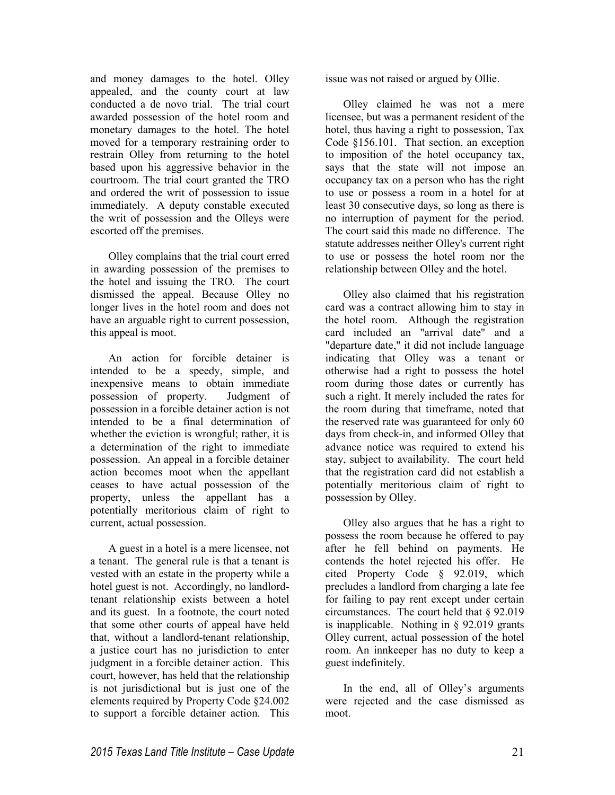and money damages to the hotel. Olley appealed, and the county court at law conducted a de novo trial. The trial court awarded possession of the hotel room and monetary damages to the hotel. The hotel moved for a temporary restraining order to restrain Olley from returning to the hotel based upon his aggressive behavior in the courtroom. The trial court granted the TRO and ordered the writ of possession to issue immediately. A deputy constable executed the writ of possession and the Olleys were escorted off the premises.

Olley complains that the trial court erred in awarding possession of the premises to the hotel and issuing the TRO. The court dismissed the appeal. Because Olley no longer lives in the hotel room and does not have an arguable right to current possession, this appeal is moot.

An action for forcible detainer is intended to be a speedy, simple, and inexpensive means to obtain immediate possession of property. Judgment of possession in a forcible detainer action is not intended to be a final determination of whether the eviction is wrongful; rather, it is a determination of the right to immediate possession. An appeal in a forcible detainer action becomes moot when the appellant ceases to have actual possession of the property, unless the appellant has a potentially meritorious claim of right to current, actual possession.

A guest in a hotel is a mere licensee, not a tenant. The general rule is that a tenant is vested with an estate in the property while a hotel guest is not. Accordingly, no landlordtenant relationship exists between a hotel and its guest. In a footnote, the court noted that some other courts of appeal have held that, without a landlord-tenant relationship, a justice court has no jurisdiction to enter judgment in a forcible detainer action. This court, however, has held that the relationship is not jurisdictional but is just one of the elements required by Property Code §24.002 to support a forcible detainer action. This

issue was not raised or argued by Ollie.

Olley claimed he was not a mere licensee, but was a permanent resident of the hotel, thus having a right to possession, Tax Code §156.101. That section, an exception to imposition of the hotel occupancy tax, says that the state will not impose an occupancy tax on a person who has the right to use or possess a room in a hotel for at least 30 consecutive days, so long as there is no interruption of payment for the period. The court said this made no difference. The statute addresses neither Olley's current right to use or possess the hotel room nor the relationship between Olley and the hotel.

Olley also claimed that his registration card was a contract allowing him to stay in the hotel room. Although the registration card included an "arrival date" and a "departure date," it did not include language indicating that Olley was a tenant or otherwise had a right to possess the hotel room during those dates or currently has such a right. It merely included the rates for the room during that timeframe, noted that the reserved rate was guaranteed for only 60 days from check-in, and informed Olley that advance notice was required to extend his stay, subject to availability. The court held that the registration card did not establish a potentially meritorious claim of right to possession by Olley.

Olley also argues that he has a right to possess the room because he offered to pay after he fell behind on payments. He contends the hotel rejected his offer. He cited Property Code § 92.019, which precludes a landlord from charging a late fee for failing to pay rent except under certain circumstances. The court held that § 92.019 is inapplicable. Nothing in § 92.019 grants Olley current, actual possession of the hotel room. An innkeeper has no duty to keep a guest indefinitely.

In the end, all of Olley's arguments were rejected and the case dismissed as moot.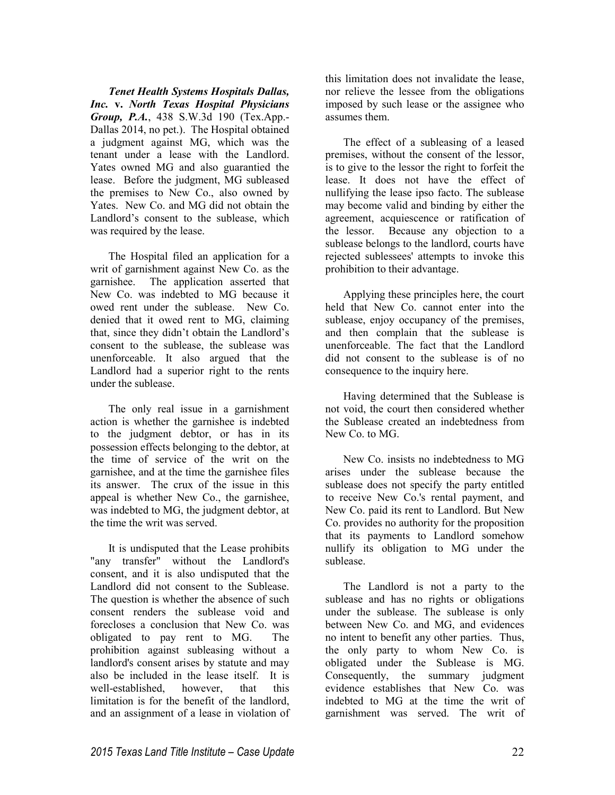*Tenet Health Systems Hospitals Dallas, Inc.* **v.** *North Texas Hospital Physicians Group, P.A.*, 438 S.W.3d 190 (Tex.App.- Dallas 2014, no pet.). The Hospital obtained a judgment against MG, which was the tenant under a lease with the Landlord. Yates owned MG and also guarantied the lease. Before the judgment, MG subleased the premises to New Co., also owned by Yates. New Co. and MG did not obtain the Landlord's consent to the sublease, which was required by the lease.

The Hospital filed an application for a writ of garnishment against New Co. as the garnishee. The application asserted that New Co. was indebted to MG because it owed rent under the sublease. New Co. denied that it owed rent to MG, claiming that, since they didn't obtain the Landlord's consent to the sublease, the sublease was unenforceable. It also argued that the Landlord had a superior right to the rents under the sublease.

The only real issue in a garnishment action is whether the garnishee is indebted to the judgment debtor, or has in its possession effects belonging to the debtor, at the time of service of the writ on the garnishee, and at the time the garnishee files its answer. The crux of the issue in this appeal is whether New Co., the garnishee, was indebted to MG, the judgment debtor, at the time the writ was served.

It is undisputed that the Lease prohibits "any transfer" without the Landlord's consent, and it is also undisputed that the Landlord did not consent to the Sublease. The question is whether the absence of such consent renders the sublease void and forecloses a conclusion that New Co. was obligated to pay rent to MG. The prohibition against subleasing without a landlord's consent arises by statute and may also be included in the lease itself. It is well-established, however, that this limitation is for the benefit of the landlord, and an assignment of a lease in violation of this limitation does not invalidate the lease, nor relieve the lessee from the obligations imposed by such lease or the assignee who assumes them.

The effect of a subleasing of a leased premises, without the consent of the lessor, is to give to the lessor the right to forfeit the lease. It does not have the effect of nullifying the lease ipso facto. The sublease may become valid and binding by either the agreement, acquiescence or ratification of the lessor. Because any objection to a sublease belongs to the landlord, courts have rejected sublessees' attempts to invoke this prohibition to their advantage.

Applying these principles here, the court held that New Co. cannot enter into the sublease, enjoy occupancy of the premises, and then complain that the sublease is unenforceable. The fact that the Landlord did not consent to the sublease is of no consequence to the inquiry here.

Having determined that the Sublease is not void, the court then considered whether the Sublease created an indebtedness from New Co. to MG.

New Co. insists no indebtedness to MG arises under the sublease because the sublease does not specify the party entitled to receive New Co.'s rental payment, and New Co. paid its rent to Landlord. But New Co. provides no authority for the proposition that its payments to Landlord somehow nullify its obligation to MG under the sublease.

The Landlord is not a party to the sublease and has no rights or obligations under the sublease. The sublease is only between New Co. and MG, and evidences no intent to benefit any other parties. Thus, the only party to whom New Co. is obligated under the Sublease is MG. Consequently, the summary judgment evidence establishes that New Co. was indebted to MG at the time the writ of garnishment was served. The writ of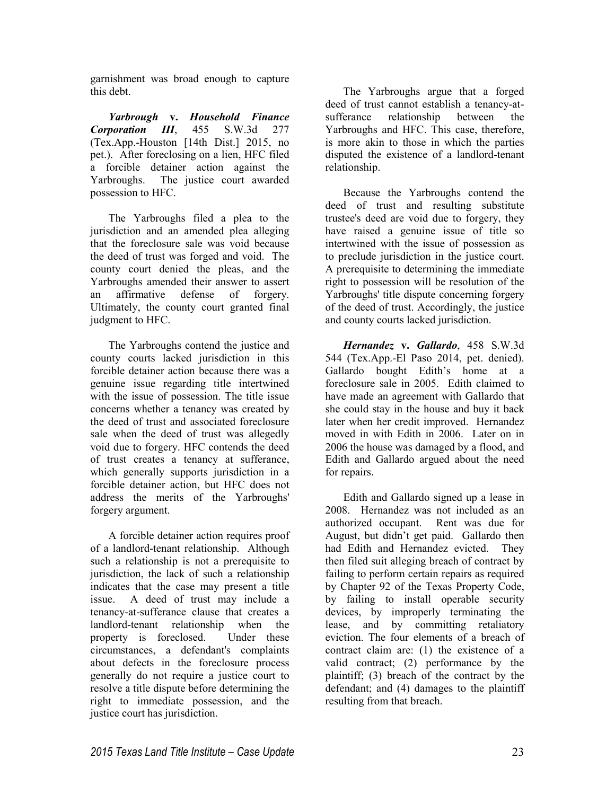garnishment was broad enough to capture this debt.

*Yarbrough* **v.** *Household Finance Corporation III*, 455 S.W.3d 277 (Tex.App.-Houston [14th Dist.] 2015, no pet.). After foreclosing on a lien, HFC filed a forcible detainer action against the Yarbroughs. The justice court awarded possession to HFC.

The Yarbroughs filed a plea to the jurisdiction and an amended plea alleging that the foreclosure sale was void because the deed of trust was forged and void. The county court denied the pleas, and the Yarbroughs amended their answer to assert an affirmative defense of forgery. Ultimately, the county court granted final judgment to HFC.

The Yarbroughs contend the justice and county courts lacked jurisdiction in this forcible detainer action because there was a genuine issue regarding title intertwined with the issue of possession. The title issue concerns whether a tenancy was created by the deed of trust and associated foreclosure sale when the deed of trust was allegedly void due to forgery. HFC contends the deed of trust creates a tenancy at sufferance, which generally supports jurisdiction in a forcible detainer action, but HFC does not address the merits of the Yarbroughs' forgery argument.

A forcible detainer action requires proof of a landlord-tenant relationship. Although such a relationship is not a prerequisite to jurisdiction, the lack of such a relationship indicates that the case may present a title issue. A deed of trust may include a tenancy-at-sufferance clause that creates a landlord-tenant relationship when the property is foreclosed. Under these circumstances, a defendant's complaints about defects in the foreclosure process generally do not require a justice court to resolve a title dispute before determining the right to immediate possession, and the justice court has jurisdiction.

The Yarbroughs argue that a forged deed of trust cannot establish a tenancy-atsufferance relationship between the Yarbroughs and HFC. This case, therefore, is more akin to those in which the parties disputed the existence of a landlord-tenant relationship.

Because the Yarbroughs contend the deed of trust and resulting substitute trustee's deed are void due to forgery, they have raised a genuine issue of title so intertwined with the issue of possession as to preclude jurisdiction in the justice court. A prerequisite to determining the immediate right to possession will be resolution of the Yarbroughs' title dispute concerning forgery of the deed of trust. Accordingly, the justice and county courts lacked jurisdiction.

*Hernandez* **v.** *Gallardo*, 458 S.W.3d 544 (Tex.App.-El Paso 2014, pet. denied). Gallardo bought Edith's home at a foreclosure sale in 2005. Edith claimed to have made an agreement with Gallardo that she could stay in the house and buy it back later when her credit improved. Hernandez moved in with Edith in 2006. Later on in 2006 the house was damaged by a flood, and Edith and Gallardo argued about the need for repairs.

Edith and Gallardo signed up a lease in 2008. Hernandez was not included as an authorized occupant. Rent was due for August, but didn't get paid. Gallardo then had Edith and Hernandez evicted. They then filed suit alleging breach of contract by failing to perform certain repairs as required by Chapter 92 of the Texas Property Code, by failing to install operable security devices, by improperly terminating the lease, and by committing retaliatory eviction. The four elements of a breach of contract claim are: (1) the existence of a valid contract; (2) performance by the plaintiff; (3) breach of the contract by the defendant; and (4) damages to the plaintiff resulting from that breach.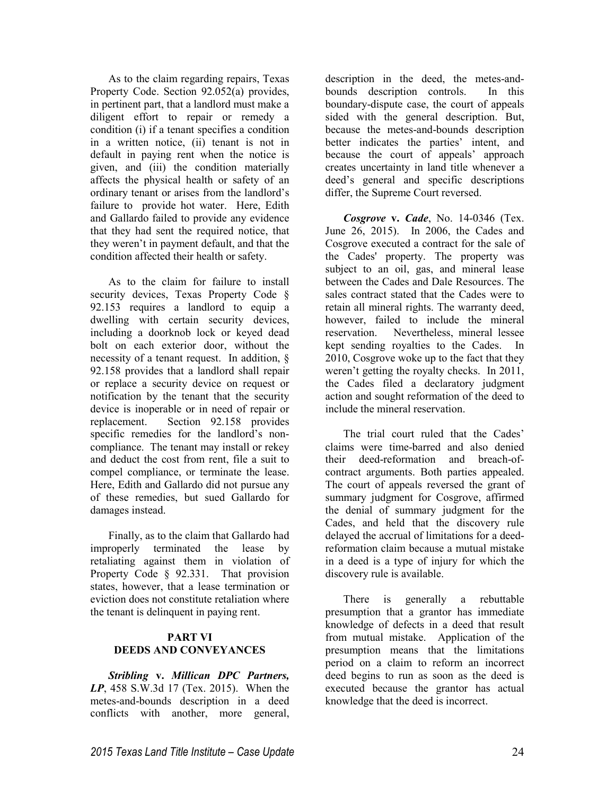As to the claim regarding repairs, Texas Property Code. Section 92.052(a) provides, in pertinent part, that a landlord must make a diligent effort to repair or remedy a condition (i) if a tenant specifies a condition in a written notice, (ii) tenant is not in default in paying rent when the notice is given, and (iii) the condition materially affects the physical health or safety of an ordinary tenant or arises from the landlord's failure to provide hot water. Here, Edith and Gallardo failed to provide any evidence that they had sent the required notice, that they weren't in payment default, and that the condition affected their health or safety.

As to the claim for failure to install security devices, Texas Property Code § 92.153 requires a landlord to equip a dwelling with certain security devices, including a doorknob lock or keyed dead bolt on each exterior door, without the necessity of a tenant request. In addition, § 92.158 provides that a landlord shall repair or replace a security device on request or notification by the tenant that the security device is inoperable or in need of repair or replacement. Section 92.158 provides specific remedies for the landlord's noncompliance. The tenant may install or rekey and deduct the cost from rent, file a suit to compel compliance, or terminate the lease. Here, Edith and Gallardo did not pursue any of these remedies, but sued Gallardo for damages instead.

Finally, as to the claim that Gallardo had improperly terminated the lease by retaliating against them in violation of Property Code § 92.331. That provision states, however, that a lease termination or eviction does not constitute retaliation where the tenant is delinquent in paying rent.

# **PART VI DEEDS AND CONVEYANCES**

*Stribling* **v.** *Millican DPC Partners, LP*, 458 S.W.3d 17 (Tex. 2015). When the metes-and-bounds description in a deed conflicts with another, more general,

description in the deed, the metes-andbounds description controls. In this boundary-dispute case, the court of appeals sided with the general description. But, because the metes-and-bounds description better indicates the parties' intent, and because the court of appeals' approach creates uncertainty in land title whenever a deed's general and specific descriptions differ, the Supreme Court reversed.

*Cosgrove* **v.** *Cade*, No. 14-0346 (Tex. June 26, 2015). In 2006, the Cades and Cosgrove executed a contract for the sale of the Cades' property. The property was subject to an oil, gas, and mineral lease between the Cades and Dale Resources. The sales contract stated that the Cades were to retain all mineral rights. The warranty deed, however, failed to include the mineral reservation. Nevertheless, mineral lessee kept sending royalties to the Cades. In 2010, Cosgrove woke up to the fact that they weren't getting the royalty checks. In 2011, the Cades filed a declaratory judgment action and sought reformation of the deed to include the mineral reservation.

The trial court ruled that the Cades' claims were time-barred and also denied their deed-reformation and breach-ofcontract arguments. Both parties appealed. The court of appeals reversed the grant of summary judgment for Cosgrove, affirmed the denial of summary judgment for the Cades, and held that the discovery rule delayed the accrual of limitations for a deedreformation claim because a mutual mistake in a deed is a type of injury for which the discovery rule is available.

There is generally a rebuttable presumption that a grantor has immediate knowledge of defects in a deed that result from mutual mistake. Application of the presumption means that the limitations period on a claim to reform an incorrect deed begins to run as soon as the deed is executed because the grantor has actual knowledge that the deed is incorrect.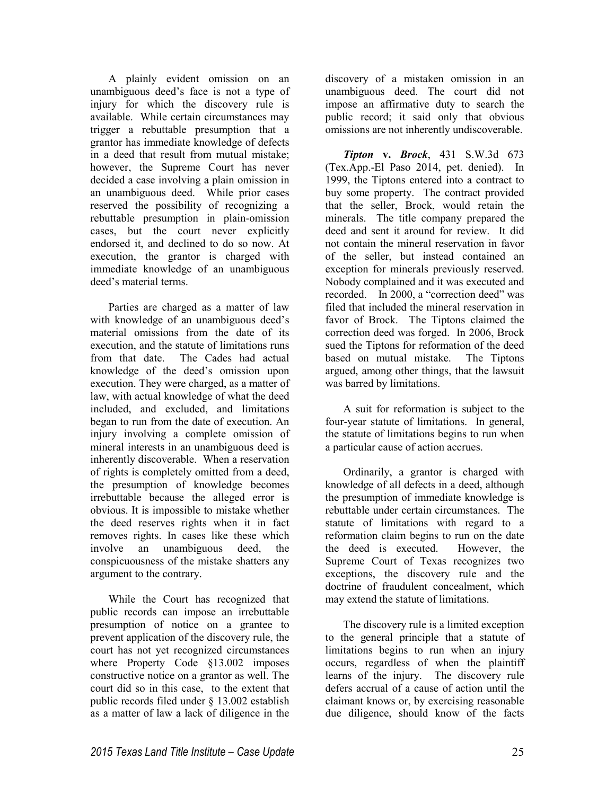A plainly evident omission on an unambiguous deed's face is not a type of injury for which the discovery rule is available. While certain circumstances may trigger a rebuttable presumption that a grantor has immediate knowledge of defects in a deed that result from mutual mistake; however, the Supreme Court has never decided a case involving a plain omission in an unambiguous deed. While prior cases reserved the possibility of recognizing a rebuttable presumption in plain-omission cases, but the court never explicitly endorsed it, and declined to do so now. At execution, the grantor is charged with immediate knowledge of an unambiguous deed's material terms.

Parties are charged as a matter of law with knowledge of an unambiguous deed's material omissions from the date of its execution, and the statute of limitations runs from that date. The Cades had actual knowledge of the deed's omission upon execution. They were charged, as a matter of law, with actual knowledge of what the deed included, and excluded, and limitations began to run from the date of execution. An injury involving a complete omission of mineral interests in an unambiguous deed is inherently discoverable. When a reservation of rights is completely omitted from a deed, the presumption of knowledge becomes irrebuttable because the alleged error is obvious. It is impossible to mistake whether the deed reserves rights when it in fact removes rights. In cases like these which involve an unambiguous deed, the conspicuousness of the mistake shatters any argument to the contrary.

While the Court has recognized that public records can impose an irrebuttable presumption of notice on a grantee to prevent application of the discovery rule, the court has not yet recognized circumstances where Property Code §13.002 imposes constructive notice on a grantor as well. The court did so in this case, to the extent that public records filed under § 13.002 establish as a matter of law a lack of diligence in the

discovery of a mistaken omission in an unambiguous deed. The court did not impose an affirmative duty to search the public record; it said only that obvious omissions are not inherently undiscoverable.

*Tipton* **v.** *Brock*, 431 S.W.3d 673 (Tex.App.-El Paso 2014, pet. denied). In 1999, the Tiptons entered into a contract to buy some property. The contract provided that the seller, Brock, would retain the minerals. The title company prepared the deed and sent it around for review. It did not contain the mineral reservation in favor of the seller, but instead contained an exception for minerals previously reserved. Nobody complained and it was executed and recorded. In 2000, a "correction deed" was filed that included the mineral reservation in favor of Brock. The Tiptons claimed the correction deed was forged. In 2006, Brock sued the Tiptons for reformation of the deed based on mutual mistake. The Tiptons argued, among other things, that the lawsuit was barred by limitations.

A suit for reformation is subject to the four-year statute of limitations. In general, the statute of limitations begins to run when a particular cause of action accrues.

Ordinarily, a grantor is charged with knowledge of all defects in a deed, although the presumption of immediate knowledge is rebuttable under certain circumstances. The statute of limitations with regard to a reformation claim begins to run on the date the deed is executed. However, the Supreme Court of Texas recognizes two exceptions, the discovery rule and the doctrine of fraudulent concealment, which may extend the statute of limitations.

The discovery rule is a limited exception to the general principle that a statute of limitations begins to run when an injury occurs, regardless of when the plaintiff learns of the injury. The discovery rule defers accrual of a cause of action until the claimant knows or, by exercising reasonable due diligence, should know of the facts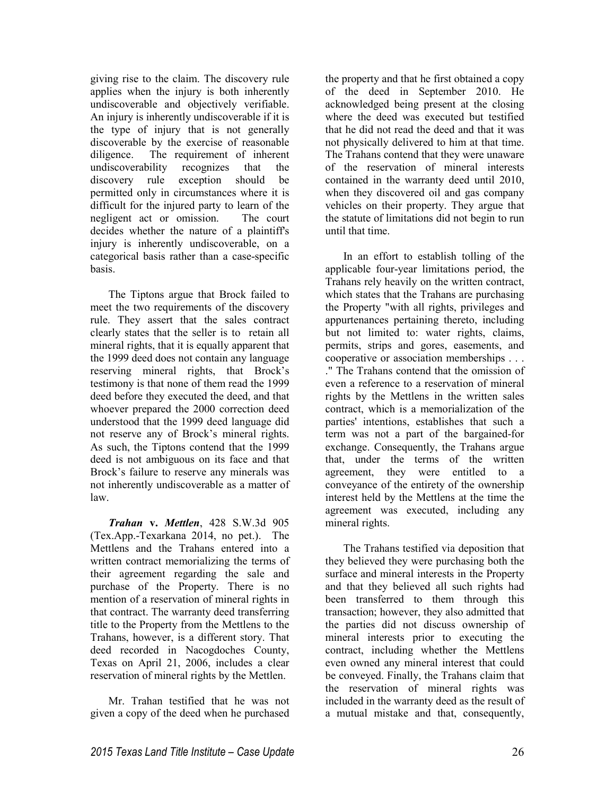giving rise to the claim. The discovery rule applies when the injury is both inherently undiscoverable and objectively verifiable. An injury is inherently undiscoverable if it is the type of injury that is not generally discoverable by the exercise of reasonable diligence. The requirement of inherent undiscoverability recognizes that the discovery rule exception should be permitted only in circumstances where it is difficult for the injured party to learn of the negligent act or omission. The court decides whether the nature of a plaintiff's injury is inherently undiscoverable, on a categorical basis rather than a case-specific basis.

The Tiptons argue that Brock failed to meet the two requirements of the discovery rule. They assert that the sales contract clearly states that the seller is to retain all mineral rights, that it is equally apparent that the 1999 deed does not contain any language reserving mineral rights, that Brock's testimony is that none of them read the 1999 deed before they executed the deed, and that whoever prepared the 2000 correction deed understood that the 1999 deed language did not reserve any of Brock's mineral rights. As such, the Tiptons contend that the 1999 deed is not ambiguous on its face and that Brock's failure to reserve any minerals was not inherently undiscoverable as a matter of law.

*Trahan* **v.** *Mettlen*, 428 S.W.3d 905 (Tex.App.-Texarkana 2014, no pet.). The Mettlens and the Trahans entered into a written contract memorializing the terms of their agreement regarding the sale and purchase of the Property. There is no mention of a reservation of mineral rights in that contract. The warranty deed transferring title to the Property from the Mettlens to the Trahans, however, is a different story. That deed recorded in Nacogdoches County, Texas on April 21, 2006, includes a clear reservation of mineral rights by the Mettlen.

Mr. Trahan testified that he was not given a copy of the deed when he purchased

the property and that he first obtained a copy of the deed in September 2010. He acknowledged being present at the closing where the deed was executed but testified that he did not read the deed and that it was not physically delivered to him at that time. The Trahans contend that they were unaware of the reservation of mineral interests contained in the warranty deed until 2010, when they discovered oil and gas company vehicles on their property. They argue that the statute of limitations did not begin to run until that time.

In an effort to establish tolling of the applicable four-year limitations period, the Trahans rely heavily on the written contract, which states that the Trahans are purchasing the Property "with all rights, privileges and appurtenances pertaining thereto, including but not limited to: water rights, claims, permits, strips and gores, easements, and cooperative or association memberships . . . ." The Trahans contend that the omission of even a reference to a reservation of mineral rights by the Mettlens in the written sales contract, which is a memorialization of the parties' intentions, establishes that such a term was not a part of the bargained-for exchange. Consequently, the Trahans argue that, under the terms of the written agreement, they were entitled to a conveyance of the entirety of the ownership interest held by the Mettlens at the time the agreement was executed, including any mineral rights.

The Trahans testified via deposition that they believed they were purchasing both the surface and mineral interests in the Property and that they believed all such rights had been transferred to them through this transaction; however, they also admitted that the parties did not discuss ownership of mineral interests prior to executing the contract, including whether the Mettlens even owned any mineral interest that could be conveyed. Finally, the Trahans claim that the reservation of mineral rights was included in the warranty deed as the result of a mutual mistake and that, consequently,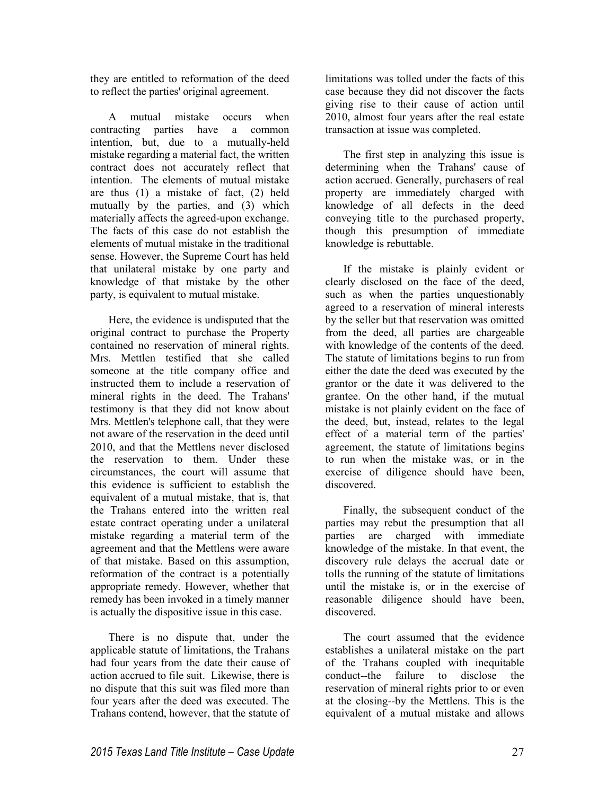they are entitled to reformation of the deed to reflect the parties' original agreement.

A mutual mistake occurs when contracting parties have a common intention, but, due to a mutually-held mistake regarding a material fact, the written contract does not accurately reflect that intention. The elements of mutual mistake are thus (1) a mistake of fact, (2) held mutually by the parties, and (3) which materially affects the agreed-upon exchange. The facts of this case do not establish the elements of mutual mistake in the traditional sense. However, the Supreme Court has held that unilateral mistake by one party and knowledge of that mistake by the other party, is equivalent to mutual mistake.

Here, the evidence is undisputed that the original contract to purchase the Property contained no reservation of mineral rights. Mrs. Mettlen testified that she called someone at the title company office and instructed them to include a reservation of mineral rights in the deed. The Trahans' testimony is that they did not know about Mrs. Mettlen's telephone call, that they were not aware of the reservation in the deed until 2010, and that the Mettlens never disclosed the reservation to them. Under these circumstances, the court will assume that this evidence is sufficient to establish the equivalent of a mutual mistake, that is, that the Trahans entered into the written real estate contract operating under a unilateral mistake regarding a material term of the agreement and that the Mettlens were aware of that mistake. Based on this assumption, reformation of the contract is a potentially appropriate remedy. However, whether that remedy has been invoked in a timely manner is actually the dispositive issue in this case.

There is no dispute that, under the applicable statute of limitations, the Trahans had four years from the date their cause of action accrued to file suit. Likewise, there is no dispute that this suit was filed more than four years after the deed was executed. The Trahans contend, however, that the statute of limitations was tolled under the facts of this case because they did not discover the facts giving rise to their cause of action until 2010, almost four years after the real estate transaction at issue was completed.

The first step in analyzing this issue is determining when the Trahans' cause of action accrued. Generally, purchasers of real property are immediately charged with knowledge of all defects in the deed conveying title to the purchased property, though this presumption of immediate knowledge is rebuttable.

If the mistake is plainly evident or clearly disclosed on the face of the deed, such as when the parties unquestionably agreed to a reservation of mineral interests by the seller but that reservation was omitted from the deed, all parties are chargeable with knowledge of the contents of the deed. The statute of limitations begins to run from either the date the deed was executed by the grantor or the date it was delivered to the grantee. On the other hand, if the mutual mistake is not plainly evident on the face of the deed, but, instead, relates to the legal effect of a material term of the parties' agreement, the statute of limitations begins to run when the mistake was, or in the exercise of diligence should have been, discovered.

Finally, the subsequent conduct of the parties may rebut the presumption that all parties are charged with immediate knowledge of the mistake. In that event, the discovery rule delays the accrual date or tolls the running of the statute of limitations until the mistake is, or in the exercise of reasonable diligence should have been, discovered.

The court assumed that the evidence establishes a unilateral mistake on the part of the Trahans coupled with inequitable conduct--the failure to disclose the reservation of mineral rights prior to or even at the closing--by the Mettlens. This is the equivalent of a mutual mistake and allows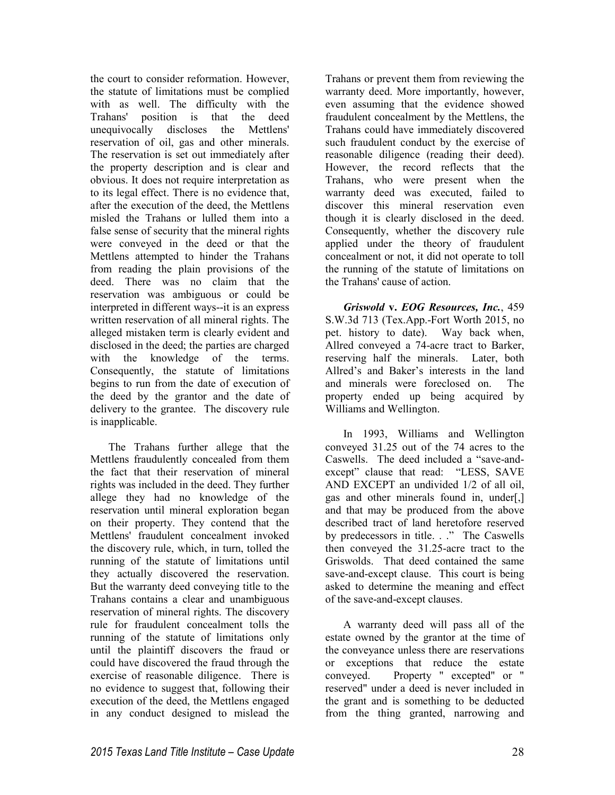the court to consider reformation. However, the statute of limitations must be complied with as well. The difficulty with the Trahans' position is that the deed unequivocally discloses the Mettlens' reservation of oil, gas and other minerals. The reservation is set out immediately after the property description and is clear and obvious. It does not require interpretation as to its legal effect. There is no evidence that, after the execution of the deed, the Mettlens misled the Trahans or lulled them into a false sense of security that the mineral rights were conveyed in the deed or that the Mettlens attempted to hinder the Trahans from reading the plain provisions of the deed. There was no claim that the reservation was ambiguous or could be interpreted in different ways--it is an express written reservation of all mineral rights. The alleged mistaken term is clearly evident and disclosed in the deed; the parties are charged with the knowledge of the terms. Consequently, the statute of limitations begins to run from the date of execution of the deed by the grantor and the date of delivery to the grantee. The discovery rule is inapplicable.

The Trahans further allege that the Mettlens fraudulently concealed from them the fact that their reservation of mineral rights was included in the deed. They further allege they had no knowledge of the reservation until mineral exploration began on their property. They contend that the Mettlens' fraudulent concealment invoked the discovery rule, which, in turn, tolled the running of the statute of limitations until they actually discovered the reservation. But the warranty deed conveying title to the Trahans contains a clear and unambiguous reservation of mineral rights. The discovery rule for fraudulent concealment tolls the running of the statute of limitations only until the plaintiff discovers the fraud or could have discovered the fraud through the exercise of reasonable diligence. There is no evidence to suggest that, following their execution of the deed, the Mettlens engaged in any conduct designed to mislead the

Trahans or prevent them from reviewing the warranty deed. More importantly, however, even assuming that the evidence showed fraudulent concealment by the Mettlens, the Trahans could have immediately discovered such fraudulent conduct by the exercise of reasonable diligence (reading their deed). However, the record reflects that the Trahans, who were present when the warranty deed was executed, failed to discover this mineral reservation even though it is clearly disclosed in the deed. Consequently, whether the discovery rule applied under the theory of fraudulent concealment or not, it did not operate to toll the running of the statute of limitations on the Trahans' cause of action.

*Griswold* **v.** *EOG Resources, Inc.*, 459 S.W.3d 713 (Tex.App.-Fort Worth 2015, no pet. history to date). Way back when, Allred conveyed a 74-acre tract to Barker, reserving half the minerals. Later, both Allred's and Baker's interests in the land and minerals were foreclosed on. The property ended up being acquired by Williams and Wellington.

In 1993, Williams and Wellington conveyed 31.25 out of the 74 acres to the Caswells. The deed included a "save-andexcept" clause that read: "LESS, SAVE AND EXCEPT an undivided 1/2 of all oil, gas and other minerals found in, under[,] and that may be produced from the above described tract of land heretofore reserved by predecessors in title. . ." The Caswells then conveyed the 31.25-acre tract to the Griswolds. That deed contained the same save-and-except clause. This court is being asked to determine the meaning and effect of the save-and-except clauses.

A warranty deed will pass all of the estate owned by the grantor at the time of the conveyance unless there are reservations or exceptions that reduce the estate conveyed. Property " excepted" or " reserved" under a deed is never included in the grant and is something to be deducted from the thing granted, narrowing and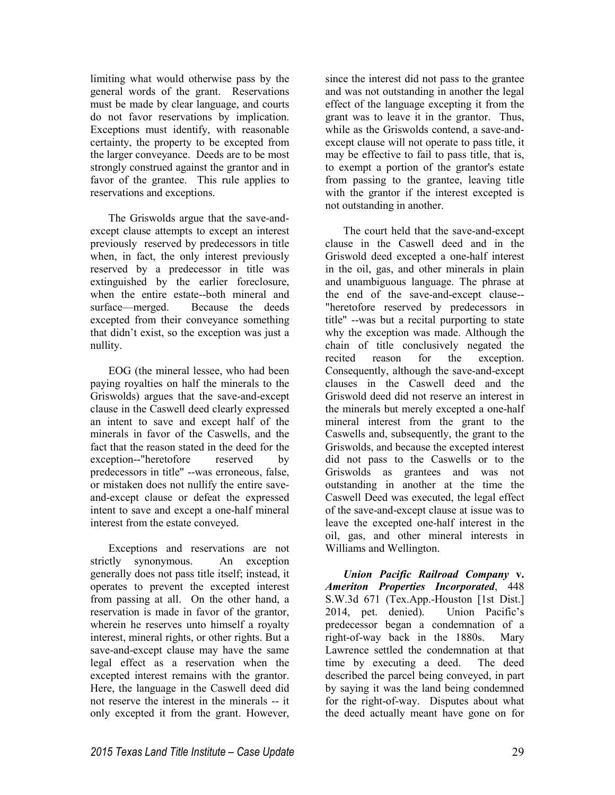limiting what would otherwise pass by the general words of the grant. Reservations must be made by clear language, and courts do not favor reservations by implication. Exceptions must identify, with reasonable certainty, the property to be excepted from the larger conveyance. Deeds are to be most strongly construed against the grantor and in favor of the grantee. This rule applies to reservations and exceptions.

The Griswolds argue that the save-andexcept clause attempts to except an interest previously reserved by predecessors in title when, in fact, the only interest previously reserved by a predecessor in title was extinguished by the earlier foreclosure, when the entire estate--both mineral and surface—merged. Because the deeds excepted from their conveyance something that didn't exist, so the exception was just a nullity.

EOG (the mineral lessee, who had been paying royalties on half the minerals to the Griswolds) argues that the save-and-except clause in the Caswell deed clearly expressed an intent to save and except half of the minerals in favor of the Caswells, and the fact that the reason stated in the deed for the exception--"heretofore reserved by predecessors in title" --was erroneous, false, or mistaken does not nullify the entire saveand-except clause or defeat the expressed intent to save and except a one-half mineral interest from the estate conveyed.

Exceptions and reservations are not strictly synonymous. An exception generally does not pass title itself; instead, it operates to prevent the excepted interest from passing at all. On the other hand, a reservation is made in favor of the grantor, wherein he reserves unto himself a royalty interest, mineral rights, or other rights. But a save-and-except clause may have the same legal effect as a reservation when the excepted interest remains with the grantor. Here, the language in the Caswell deed did not reserve the interest in the minerals -- it only excepted it from the grant. However,

since the interest did not pass to the grantee and was not outstanding in another the legal effect of the language excepting it from the grant was to leave it in the grantor. Thus, while as the Griswolds contend, a save-andexcept clause will not operate to pass title, it may be effective to fail to pass title, that is, to exempt a portion of the grantor's estate from passing to the grantee, leaving title with the grantor if the interest excepted is not outstanding in another.

The court held that the save-and-except clause in the Caswell deed and in the Griswold deed excepted a one-half interest in the oil, gas, and other minerals in plain and unambiguous language. The phrase at the end of the save-and-except clause-- "heretofore reserved by predecessors in title" --was but a recital purporting to state why the exception was made. Although the chain of title conclusively negated the recited reason for the exception. Consequently, although the save-and-except clauses in the Caswell deed and the Griswold deed did not reserve an interest in the minerals but merely excepted a one-half mineral interest from the grant to the Caswells and, subsequently, the grant to the Griswolds, and because the excepted interest did not pass to the Caswells or to the Griswolds as grantees and was not outstanding in another at the time the Caswell Deed was executed, the legal effect of the save-and-except clause at issue was to leave the excepted one-half interest in the oil, gas, and other mineral interests in Williams and Wellington.

*Union Pacific Railroad Company* **v.** *Ameriton Properties Incorporated*, 448 S.W.3d 671 (Tex.App.-Houston [1st Dist.] 2014, pet. denied). Union Pacific's predecessor began a condemnation of a right-of-way back in the 1880s. Mary Lawrence settled the condemnation at that time by executing a deed. The deed described the parcel being conveyed, in part by saying it was the land being condemned for the right-of-way. Disputes about what the deed actually meant have gone on for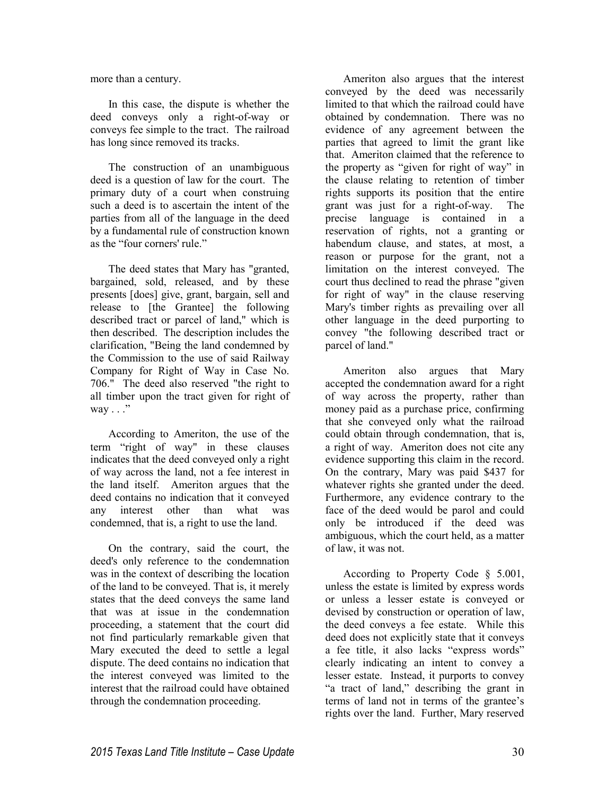more than a century.

In this case, the dispute is whether the deed conveys only a right-of-way or conveys fee simple to the tract. The railroad has long since removed its tracks.

The construction of an unambiguous deed is a question of law for the court. The primary duty of a court when construing such a deed is to ascertain the intent of the parties from all of the language in the deed by a fundamental rule of construction known as the "four corners' rule."

The deed states that Mary has "granted, bargained, sold, released, and by these presents [does] give, grant, bargain, sell and release to [the Grantee] the following described tract or parcel of land," which is then described. The description includes the clarification, "Being the land condemned by the Commission to the use of said Railway Company for Right of Way in Case No. 706." The deed also reserved "the right to all timber upon the tract given for right of way  $\ldots$ ."

According to Ameriton, the use of the term "right of way" in these clauses indicates that the deed conveyed only a right of way across the land, not a fee interest in the land itself. Ameriton argues that the deed contains no indication that it conveyed any interest other than what was condemned, that is, a right to use the land.

On the contrary, said the court, the deed's only reference to the condemnation was in the context of describing the location of the land to be conveyed. That is, it merely states that the deed conveys the same land that was at issue in the condemnation proceeding, a statement that the court did not find particularly remarkable given that Mary executed the deed to settle a legal dispute. The deed contains no indication that the interest conveyed was limited to the interest that the railroad could have obtained through the condemnation proceeding.

Ameriton also argues that the interest conveyed by the deed was necessarily limited to that which the railroad could have obtained by condemnation. There was no evidence of any agreement between the parties that agreed to limit the grant like that. Ameriton claimed that the reference to the property as "given for right of way" in the clause relating to retention of timber rights supports its position that the entire grant was just for a right-of-way. The precise language is contained in a reservation of rights, not a granting or habendum clause, and states, at most, a reason or purpose for the grant, not a limitation on the interest conveyed. The court thus declined to read the phrase "given for right of way" in the clause reserving Mary's timber rights as prevailing over all other language in the deed purporting to convey "the following described tract or parcel of land."

Ameriton also argues that Mary accepted the condemnation award for a right of way across the property, rather than money paid as a purchase price, confirming that she conveyed only what the railroad could obtain through condemnation, that is, a right of way. Ameriton does not cite any evidence supporting this claim in the record. On the contrary, Mary was paid \$437 for whatever rights she granted under the deed. Furthermore, any evidence contrary to the face of the deed would be parol and could only be introduced if the deed was ambiguous, which the court held, as a matter of law, it was not.

According to Property Code § 5.001, unless the estate is limited by express words or unless a lesser estate is conveyed or devised by construction or operation of law, the deed conveys a fee estate. While this deed does not explicitly state that it conveys a fee title, it also lacks "express words" clearly indicating an intent to convey a lesser estate. Instead, it purports to convey "a tract of land," describing the grant in terms of land not in terms of the grantee's rights over the land. Further, Mary reserved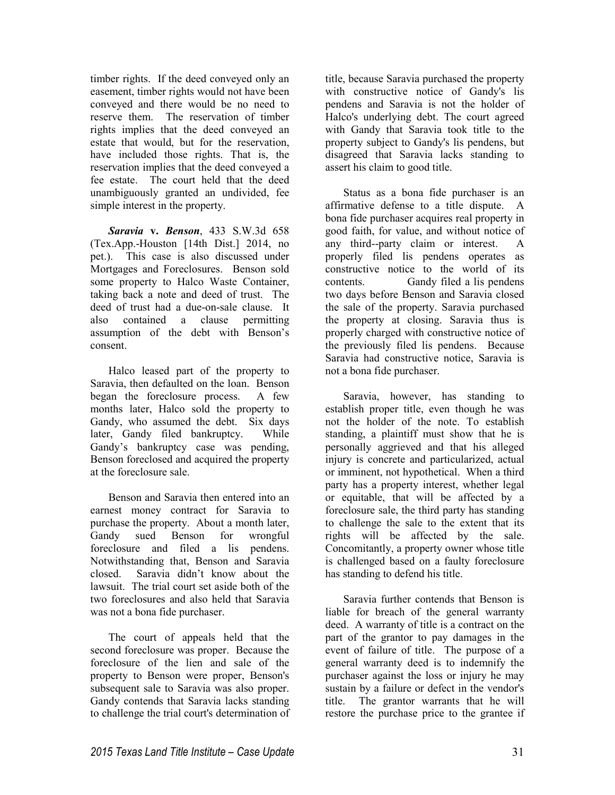timber rights. If the deed conveyed only an easement, timber rights would not have been conveyed and there would be no need to reserve them. The reservation of timber rights implies that the deed conveyed an estate that would, but for the reservation, have included those rights. That is, the reservation implies that the deed conveyed a fee estate. The court held that the deed unambiguously granted an undivided, fee simple interest in the property.

*Saravia* **v.** *Benson*, 433 S.W.3d 658 (Tex.App.-Houston [14th Dist.] 2014, no pet.). This case is also discussed under Mortgages and Foreclosures. Benson sold some property to Halco Waste Container, taking back a note and deed of trust. The deed of trust had a due-on-sale clause. It also contained a clause permitting assumption of the debt with Benson's consent.

Halco leased part of the property to Saravia, then defaulted on the loan. Benson began the foreclosure process. A few months later, Halco sold the property to Gandy, who assumed the debt. Six days later, Gandy filed bankruptcy. While Gandy's bankruptcy case was pending, Benson foreclosed and acquired the property at the foreclosure sale.

Benson and Saravia then entered into an earnest money contract for Saravia to purchase the property. About a month later, Gandy sued Benson for wrongful foreclosure and filed a lis pendens. Notwithstanding that, Benson and Saravia closed. Saravia didn't know about the lawsuit. The trial court set aside both of the two foreclosures and also held that Saravia was not a bona fide purchaser.

The court of appeals held that the second foreclosure was proper. Because the foreclosure of the lien and sale of the property to Benson were proper, Benson's subsequent sale to Saravia was also proper. Gandy contends that Saravia lacks standing to challenge the trial court's determination of title, because Saravia purchased the property with constructive notice of Gandy's lis pendens and Saravia is not the holder of Halco's underlying debt. The court agreed with Gandy that Saravia took title to the property subject to Gandy's lis pendens, but disagreed that Saravia lacks standing to assert his claim to good title.

Status as a bona fide purchaser is an affirmative defense to a title dispute. A bona fide purchaser acquires real property in good faith, for value, and without notice of any third--party claim or interest. A properly filed lis pendens operates as constructive notice to the world of its contents. Gandy filed a lis pendens two days before Benson and Saravia closed the sale of the property. Saravia purchased the property at closing. Saravia thus is properly charged with constructive notice of the previously filed lis pendens. Because Saravia had constructive notice, Saravia is not a bona fide purchaser.

Saravia, however, has standing to establish proper title, even though he was not the holder of the note. To establish standing, a plaintiff must show that he is personally aggrieved and that his alleged injury is concrete and particularized, actual or imminent, not hypothetical. When a third party has a property interest, whether legal or equitable, that will be affected by a foreclosure sale, the third party has standing to challenge the sale to the extent that its rights will be affected by the sale. Concomitantly, a property owner whose title is challenged based on a faulty foreclosure has standing to defend his title.

Saravia further contends that Benson is liable for breach of the general warranty deed. A warranty of title is a contract on the part of the grantor to pay damages in the event of failure of title. The purpose of a general warranty deed is to indemnify the purchaser against the loss or injury he may sustain by a failure or defect in the vendor's title. The grantor warrants that he will restore the purchase price to the grantee if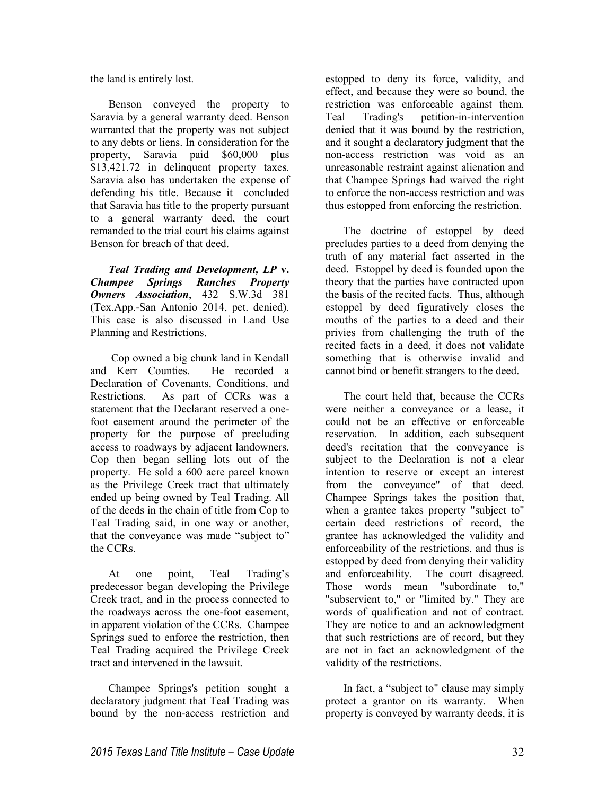the land is entirely lost.

Benson conveyed the property to Saravia by a general warranty deed. Benson warranted that the property was not subject to any debts or liens. In consideration for the property, Saravia paid \$60,000 plus \$13,421.72 in delinquent property taxes. Saravia also has undertaken the expense of defending his title. Because it concluded that Saravia has title to the property pursuant to a general warranty deed, the court remanded to the trial court his claims against Benson for breach of that deed.

*Teal Trading and Development, LP* **v.** *Champee Springs Ranches Property Owners Association*, 432 S.W.3d 381 (Tex.App.-San Antonio 2014, pet. denied). This case is also discussed in Land Use Planning and Restrictions.

 Cop owned a big chunk land in Kendall and Kerr Counties. He recorded a Declaration of Covenants, Conditions, and Restrictions. As part of CCRs was a statement that the Declarant reserved a onefoot easement around the perimeter of the property for the purpose of precluding access to roadways by adjacent landowners. Cop then began selling lots out of the property. He sold a 600 acre parcel known as the Privilege Creek tract that ultimately ended up being owned by Teal Trading. All of the deeds in the chain of title from Cop to Teal Trading said, in one way or another, that the conveyance was made "subject to" the CCRs.

At one point, Teal Trading's predecessor began developing the Privilege Creek tract, and in the process connected to the roadways across the one-foot easement, in apparent violation of the CCRs. Champee Springs sued to enforce the restriction, then Teal Trading acquired the Privilege Creek tract and intervened in the lawsuit.

Champee Springs's petition sought a declaratory judgment that Teal Trading was bound by the non-access restriction and

estopped to deny its force, validity, and effect, and because they were so bound, the restriction was enforceable against them. Teal Trading's petition-in-intervention denied that it was bound by the restriction, and it sought a declaratory judgment that the non-access restriction was void as an unreasonable restraint against alienation and that Champee Springs had waived the right to enforce the non-access restriction and was thus estopped from enforcing the restriction.

The doctrine of estoppel by deed precludes parties to a deed from denying the truth of any material fact asserted in the deed. Estoppel by deed is founded upon the theory that the parties have contracted upon the basis of the recited facts. Thus, although estoppel by deed figuratively closes the mouths of the parties to a deed and their privies from challenging the truth of the recited facts in a deed, it does not validate something that is otherwise invalid and cannot bind or benefit strangers to the deed.

The court held that, because the CCRs were neither a conveyance or a lease, it could not be an effective or enforceable reservation. In addition, each subsequent deed's recitation that the conveyance is subject to the Declaration is not a clear intention to reserve or except an interest from the conveyance" of that deed. Champee Springs takes the position that, when a grantee takes property "subject to" certain deed restrictions of record, the grantee has acknowledged the validity and enforceability of the restrictions, and thus is estopped by deed from denying their validity and enforceability. The court disagreed. Those words mean "subordinate to," "subservient to," or "limited by." They are words of qualification and not of contract. They are notice to and an acknowledgment that such restrictions are of record, but they are not in fact an acknowledgment of the validity of the restrictions.

In fact, a "subject to" clause may simply protect a grantor on its warranty. When property is conveyed by warranty deeds, it is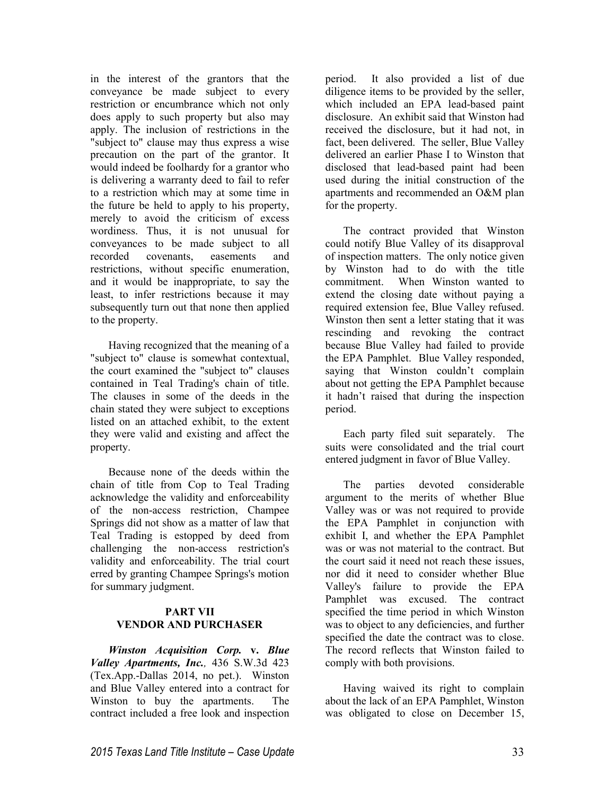in the interest of the grantors that the conveyance be made subject to every restriction or encumbrance which not only does apply to such property but also may apply. The inclusion of restrictions in the "subject to" clause may thus express a wise precaution on the part of the grantor. It would indeed be foolhardy for a grantor who is delivering a warranty deed to fail to refer to a restriction which may at some time in the future be held to apply to his property, merely to avoid the criticism of excess wordiness. Thus, it is not unusual for conveyances to be made subject to all recorded covenants, easements and restrictions, without specific enumeration, and it would be inappropriate, to say the least, to infer restrictions because it may subsequently turn out that none then applied to the property.

Having recognized that the meaning of a "subject to" clause is somewhat contextual, the court examined the "subject to" clauses contained in Teal Trading's chain of title. The clauses in some of the deeds in the chain stated they were subject to exceptions listed on an attached exhibit, to the extent they were valid and existing and affect the property.

Because none of the deeds within the chain of title from Cop to Teal Trading acknowledge the validity and enforceability of the non-access restriction, Champee Springs did not show as a matter of law that Teal Trading is estopped by deed from challenging the non-access restriction's validity and enforceability. The trial court erred by granting Champee Springs's motion for summary judgment.

# **PART VII VENDOR AND PURCHASER**

*Winston Acquisition Corp.* **v.** *Blue Valley Apartments, Inc.,* 436 S.W.3d 423 (Tex.App.-Dallas 2014, no pet.). Winston and Blue Valley entered into a contract for Winston to buy the apartments. The contract included a free look and inspection

period. It also provided a list of due diligence items to be provided by the seller, which included an EPA lead-based paint disclosure. An exhibit said that Winston had received the disclosure, but it had not, in fact, been delivered. The seller, Blue Valley delivered an earlier Phase I to Winston that disclosed that lead-based paint had been used during the initial construction of the apartments and recommended an O&M plan for the property.

The contract provided that Winston could notify Blue Valley of its disapproval of inspection matters. The only notice given by Winston had to do with the title commitment. When Winston wanted to extend the closing date without paying a required extension fee, Blue Valley refused. Winston then sent a letter stating that it was rescinding and revoking the contract because Blue Valley had failed to provide the EPA Pamphlet. Blue Valley responded, saying that Winston couldn't complain about not getting the EPA Pamphlet because it hadn't raised that during the inspection period.

Each party filed suit separately. The suits were consolidated and the trial court entered judgment in favor of Blue Valley.

The parties devoted considerable argument to the merits of whether Blue Valley was or was not required to provide the EPA Pamphlet in conjunction with exhibit I, and whether the EPA Pamphlet was or was not material to the contract. But the court said it need not reach these issues, nor did it need to consider whether Blue Valley's failure to provide the EPA Pamphlet was excused. The contract specified the time period in which Winston was to object to any deficiencies, and further specified the date the contract was to close. The record reflects that Winston failed to comply with both provisions.

Having waived its right to complain about the lack of an EPA Pamphlet, Winston was obligated to close on December 15,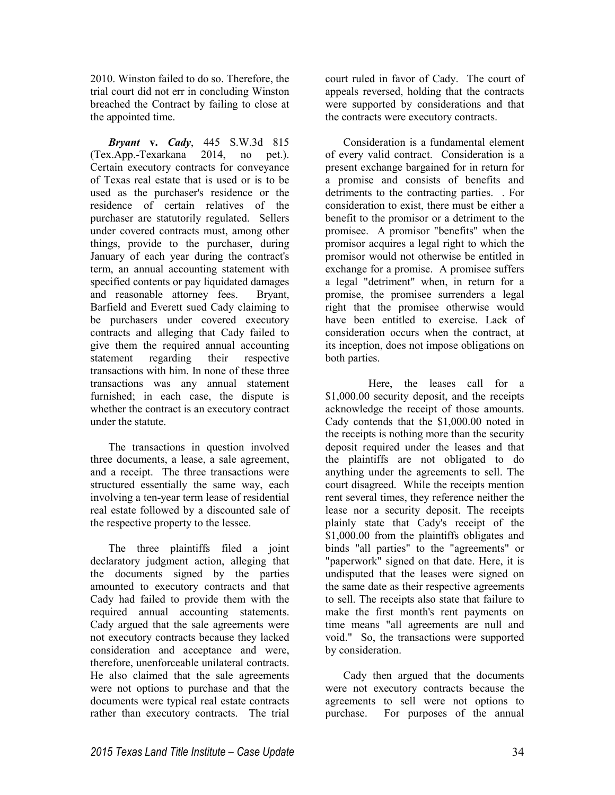2010. Winston failed to do so. Therefore, the trial court did not err in concluding Winston breached the Contract by failing to close at the appointed time.

*Bryant* **v.** *Cady*, 445 S.W.3d 815 (Tex.App.-Texarkana 2014, no pet.). Certain executory contracts for conveyance of Texas real estate that is used or is to be used as the purchaser's residence or the residence of certain relatives of the purchaser are statutorily regulated. Sellers under covered contracts must, among other things, provide to the purchaser, during January of each year during the contract's term, an annual accounting statement with specified contents or pay liquidated damages and reasonable attorney fees. Bryant, Barfield and Everett sued Cady claiming to be purchasers under covered executory contracts and alleging that Cady failed to give them the required annual accounting statement regarding their respective transactions with him. In none of these three transactions was any annual statement furnished; in each case, the dispute is whether the contract is an executory contract under the statute.

The transactions in question involved three documents, a lease, a sale agreement, and a receipt. The three transactions were structured essentially the same way, each involving a ten-year term lease of residential real estate followed by a discounted sale of the respective property to the lessee.

The three plaintiffs filed a joint declaratory judgment action, alleging that the documents signed by the parties amounted to executory contracts and that Cady had failed to provide them with the required annual accounting statements. Cady argued that the sale agreements were not executory contracts because they lacked consideration and acceptance and were, therefore, unenforceable unilateral contracts. He also claimed that the sale agreements were not options to purchase and that the documents were typical real estate contracts rather than executory contracts. The trial court ruled in favor of Cady. The court of appeals reversed, holding that the contracts were supported by considerations and that the contracts were executory contracts.

Consideration is a fundamental element of every valid contract. Consideration is a present exchange bargained for in return for a promise and consists of benefits and detriments to the contracting parties. . For consideration to exist, there must be either a benefit to the promisor or a detriment to the promisee. A promisor "benefits" when the promisor acquires a legal right to which the promisor would not otherwise be entitled in exchange for a promise. A promisee suffers a legal "detriment" when, in return for a promise, the promisee surrenders a legal right that the promisee otherwise would have been entitled to exercise. Lack of consideration occurs when the contract, at its inception, does not impose obligations on both parties.

 Here, the leases call for a \$1,000.00 security deposit, and the receipts acknowledge the receipt of those amounts. Cady contends that the \$1,000.00 noted in the receipts is nothing more than the security deposit required under the leases and that the plaintiffs are not obligated to do anything under the agreements to sell. The court disagreed. While the receipts mention rent several times, they reference neither the lease nor a security deposit. The receipts plainly state that Cady's receipt of the \$1,000.00 from the plaintiffs obligates and binds "all parties" to the "agreements" or "paperwork" signed on that date. Here, it is undisputed that the leases were signed on the same date as their respective agreements to sell. The receipts also state that failure to make the first month's rent payments on time means "all agreements are null and void." So, the transactions were supported by consideration.

Cady then argued that the documents were not executory contracts because the agreements to sell were not options to purchase. For purposes of the annual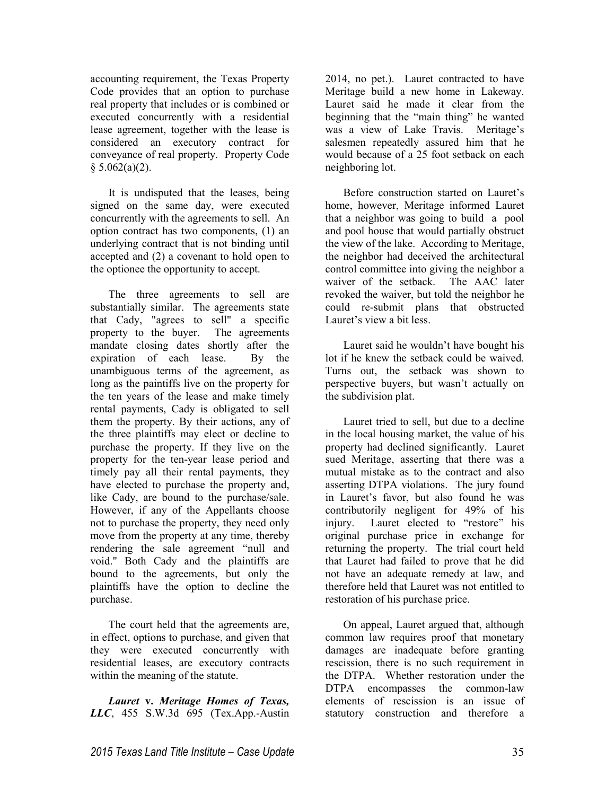accounting requirement, the Texas Property Code provides that an option to purchase real property that includes or is combined or executed concurrently with a residential lease agreement, together with the lease is considered an executory contract for conveyance of real property. Property Code  $$5.062(a)(2).$ 

It is undisputed that the leases, being signed on the same day, were executed concurrently with the agreements to sell. An option contract has two components, (1) an underlying contract that is not binding until accepted and (2) a covenant to hold open to the optionee the opportunity to accept.

The three agreements to sell are substantially similar. The agreements state that Cady, "agrees to sell" a specific property to the buyer. The agreements mandate closing dates shortly after the expiration of each lease. By the unambiguous terms of the agreement, as long as the paintiffs live on the property for the ten years of the lease and make timely rental payments, Cady is obligated to sell them the property. By their actions, any of the three plaintiffs may elect or decline to purchase the property. If they live on the property for the ten-year lease period and timely pay all their rental payments, they have elected to purchase the property and, like Cady, are bound to the purchase/sale. However, if any of the Appellants choose not to purchase the property, they need only move from the property at any time, thereby rendering the sale agreement "null and void." Both Cady and the plaintiffs are bound to the agreements, but only the plaintiffs have the option to decline the purchase.

The court held that the agreements are, in effect, options to purchase, and given that they were executed concurrently with residential leases, are executory contracts within the meaning of the statute.

*Lauret* **v.** *Meritage Homes of Texas, LLC*, 455 S.W.3d 695 (Tex.App.-Austin 2014, no pet.). Lauret contracted to have Meritage build a new home in Lakeway. Lauret said he made it clear from the beginning that the "main thing" he wanted was a view of Lake Travis. Meritage's salesmen repeatedly assured him that he would because of a 25 foot setback on each neighboring lot.

Before construction started on Lauret's home, however, Meritage informed Lauret that a neighbor was going to build a pool and pool house that would partially obstruct the view of the lake. According to Meritage, the neighbor had deceived the architectural control committee into giving the neighbor a waiver of the setback. The AAC later revoked the waiver, but told the neighbor he could re-submit plans that obstructed Lauret's view a bit less.

Lauret said he wouldn't have bought his lot if he knew the setback could be waived. Turns out, the setback was shown to perspective buyers, but wasn't actually on the subdivision plat.

Lauret tried to sell, but due to a decline in the local housing market, the value of his property had declined significantly. Lauret sued Meritage, asserting that there was a mutual mistake as to the contract and also asserting DTPA violations. The jury found in Lauret's favor, but also found he was contributorily negligent for 49% of his injury. Lauret elected to "restore" his original purchase price in exchange for returning the property. The trial court held that Lauret had failed to prove that he did not have an adequate remedy at law, and therefore held that Lauret was not entitled to restoration of his purchase price.

On appeal, Lauret argued that, although common law requires proof that monetary damages are inadequate before granting rescission, there is no such requirement in the DTPA. Whether restoration under the DTPA encompasses the common-law elements of rescission is an issue of statutory construction and therefore a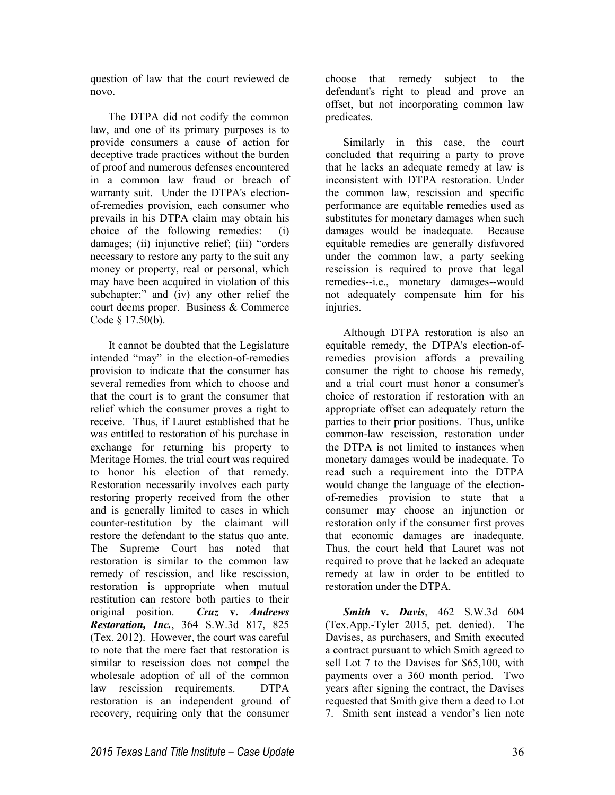question of law that the court reviewed de novo.

The DTPA did not codify the common law, and one of its primary purposes is to provide consumers a cause of action for deceptive trade practices without the burden of proof and numerous defenses encountered in a common law fraud or breach of warranty suit. Under the DTPA's electionof-remedies provision, each consumer who prevails in his DTPA claim may obtain his choice of the following remedies: (i) damages; (ii) injunctive relief; (iii) "orders necessary to restore any party to the suit any money or property, real or personal, which may have been acquired in violation of this subchapter;" and (iv) any other relief the court deems proper. Business & Commerce Code § 17.50(b).

It cannot be doubted that the Legislature intended "may" in the election-of-remedies provision to indicate that the consumer has several remedies from which to choose and that the court is to grant the consumer that relief which the consumer proves a right to receive. Thus, if Lauret established that he was entitled to restoration of his purchase in exchange for returning his property to Meritage Homes, the trial court was required to honor his election of that remedy. Restoration necessarily involves each party restoring property received from the other and is generally limited to cases in which counter-restitution by the claimant will restore the defendant to the status quo ante. The Supreme Court has noted that restoration is similar to the common law remedy of rescission, and like rescission, restoration is appropriate when mutual restitution can restore both parties to their original position. *Cruz* **v.** *Andrews Restoration, Inc.*, 364 S.W.3d 817, 825 (Tex. 2012). However, the court was careful to note that the mere fact that restoration is similar to rescission does not compel the wholesale adoption of all of the common law rescission requirements. DTPA restoration is an independent ground of recovery, requiring only that the consumer

choose that remedy subject to the defendant's right to plead and prove an offset, but not incorporating common law predicates.

Similarly in this case, the court concluded that requiring a party to prove that he lacks an adequate remedy at law is inconsistent with DTPA restoration. Under the common law, rescission and specific performance are equitable remedies used as substitutes for monetary damages when such damages would be inadequate. Because equitable remedies are generally disfavored under the common law, a party seeking rescission is required to prove that legal remedies--i.e., monetary damages--would not adequately compensate him for his injuries.

Although DTPA restoration is also an equitable remedy, the DTPA's election-ofremedies provision affords a prevailing consumer the right to choose his remedy, and a trial court must honor a consumer's choice of restoration if restoration with an appropriate offset can adequately return the parties to their prior positions. Thus, unlike common-law rescission, restoration under the DTPA is not limited to instances when monetary damages would be inadequate. To read such a requirement into the DTPA would change the language of the electionof-remedies provision to state that a consumer may choose an injunction or restoration only if the consumer first proves that economic damages are inadequate. Thus, the court held that Lauret was not required to prove that he lacked an adequate remedy at law in order to be entitled to restoration under the DTPA.

*Smith* **v.** *Davis*, 462 S.W.3d 604 (Tex.App.-Tyler 2015, pet. denied). The Davises, as purchasers, and Smith executed a contract pursuant to which Smith agreed to sell Lot 7 to the Davises for \$65,100, with payments over a 360 month period. Two years after signing the contract, the Davises requested that Smith give them a deed to Lot 7. Smith sent instead a vendor's lien note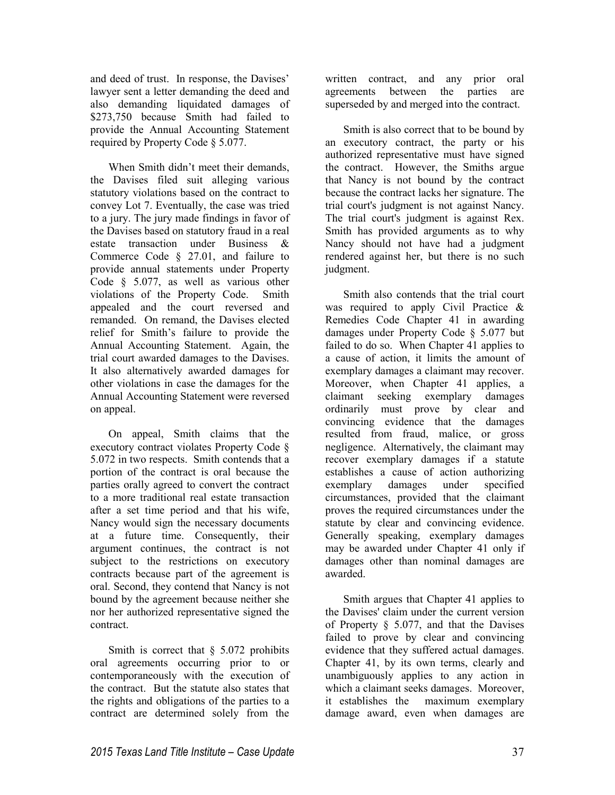and deed of trust. In response, the Davises' lawyer sent a letter demanding the deed and also demanding liquidated damages of \$273,750 because Smith had failed to provide the Annual Accounting Statement required by Property Code § 5.077.

When Smith didn't meet their demands, the Davises filed suit alleging various statutory violations based on the contract to convey Lot 7. Eventually, the case was tried to a jury. The jury made findings in favor of the Davises based on statutory fraud in a real estate transaction under Business & Commerce Code § 27.01, and failure to provide annual statements under Property Code § 5.077, as well as various other violations of the Property Code. Smith appealed and the court reversed and remanded. On remand, the Davises elected relief for Smith's failure to provide the Annual Accounting Statement. Again, the trial court awarded damages to the Davises. It also alternatively awarded damages for other violations in case the damages for the Annual Accounting Statement were reversed on appeal.

On appeal, Smith claims that the executory contract violates Property Code § 5.072 in two respects. Smith contends that a portion of the contract is oral because the parties orally agreed to convert the contract to a more traditional real estate transaction after a set time period and that his wife, Nancy would sign the necessary documents at a future time. Consequently, their argument continues, the contract is not subject to the restrictions on executory contracts because part of the agreement is oral. Second, they contend that Nancy is not bound by the agreement because neither she nor her authorized representative signed the contract.

Smith is correct that  $\S$  5.072 prohibits oral agreements occurring prior to or contemporaneously with the execution of the contract. But the statute also states that the rights and obligations of the parties to a contract are determined solely from the

written contract, and any prior oral agreements between the parties are superseded by and merged into the contract.

Smith is also correct that to be bound by an executory contract, the party or his authorized representative must have signed the contract. However, the Smiths argue that Nancy is not bound by the contract because the contract lacks her signature. The trial court's judgment is not against Nancy. The trial court's judgment is against Rex. Smith has provided arguments as to why Nancy should not have had a judgment rendered against her, but there is no such judgment.

Smith also contends that the trial court was required to apply Civil Practice & Remedies Code Chapter 41 in awarding damages under Property Code § 5.077 but failed to do so. When Chapter 41 applies to a cause of action, it limits the amount of exemplary damages a claimant may recover. Moreover, when Chapter 41 applies, a claimant seeking exemplary damages ordinarily must prove by clear and convincing evidence that the damages resulted from fraud, malice, or gross negligence. Alternatively, the claimant may recover exemplary damages if a statute establishes a cause of action authorizing exemplary damages under specified circumstances, provided that the claimant proves the required circumstances under the statute by clear and convincing evidence. Generally speaking, exemplary damages may be awarded under Chapter 41 only if damages other than nominal damages are awarded.

Smith argues that Chapter 41 applies to the Davises' claim under the current version of Property § 5.077, and that the Davises failed to prove by clear and convincing evidence that they suffered actual damages. Chapter 41, by its own terms, clearly and unambiguously applies to any action in which a claimant seeks damages. Moreover,<br>it establishes the maximum exemplary maximum exemplary damage award, even when damages are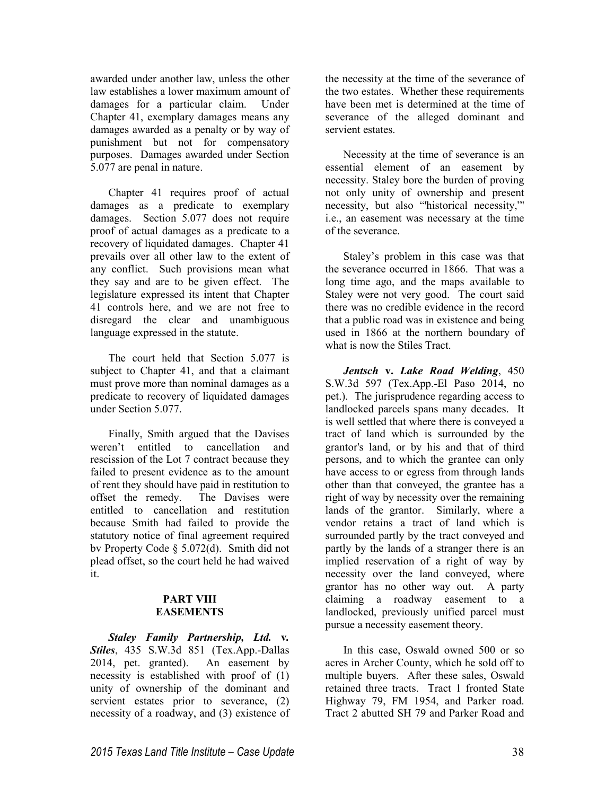awarded under another law, unless the other law establishes a lower maximum amount of damages for a particular claim. Under Chapter 41, exemplary damages means any damages awarded as a penalty or by way of punishment but not for compensatory purposes. Damages awarded under Section 5.077 are penal in nature.

Chapter 41 requires proof of actual damages as a predicate to exemplary damages. Section 5.077 does not require proof of actual damages as a predicate to a recovery of liquidated damages. Chapter 41 prevails over all other law to the extent of any conflict. Such provisions mean what they say and are to be given effect. The legislature expressed its intent that Chapter 41 controls here, and we are not free to disregard the clear and unambiguous language expressed in the statute.

The court held that Section 5.077 is subject to Chapter 41, and that a claimant must prove more than nominal damages as a predicate to recovery of liquidated damages under Section 5.077.

Finally, Smith argued that the Davises weren't entitled to cancellation and rescission of the Lot 7 contract because they failed to present evidence as to the amount of rent they should have paid in restitution to<br>offset the remedy. The Davises were offset the remedy. entitled to cancellation and restitution because Smith had failed to provide the statutory notice of final agreement required bv Property Code § 5.072(d). Smith did not plead offset, so the court held he had waived it.

#### **PART VIII EASEMENTS**

*Staley Family Partnership, Ltd.* **v***. Stiles*, 435 S.W.3d 851 (Tex.App.-Dallas 2014, pet. granted). An easement by necessity is established with proof of (1) unity of ownership of the dominant and servient estates prior to severance, (2) necessity of a roadway, and (3) existence of the necessity at the time of the severance of the two estates. Whether these requirements have been met is determined at the time of severance of the alleged dominant and servient estates.

Necessity at the time of severance is an essential element of an easement by necessity. Staley bore the burden of proving not only unity of ownership and present necessity, but also "'historical necessity,"' i.e., an easement was necessary at the time of the severance.

Staley's problem in this case was that the severance occurred in 1866. That was a long time ago, and the maps available to Staley were not very good. The court said there was no credible evidence in the record that a public road was in existence and being used in 1866 at the northern boundary of what is now the Stiles Tract.

*Jentsch* **v.** *Lake Road Welding*, 450 S.W.3d 597 (Tex.App.-El Paso 2014, no pet.). The jurisprudence regarding access to landlocked parcels spans many decades. It is well settled that where there is conveyed a tract of land which is surrounded by the grantor's land, or by his and that of third persons, and to which the grantee can only have access to or egress from through lands other than that conveyed, the grantee has a right of way by necessity over the remaining lands of the grantor. Similarly, where a vendor retains a tract of land which is surrounded partly by the tract conveyed and partly by the lands of a stranger there is an implied reservation of a right of way by necessity over the land conveyed, where grantor has no other way out. A party claiming a roadway easement to a landlocked, previously unified parcel must pursue a necessity easement theory.

In this case, Oswald owned 500 or so acres in Archer County, which he sold off to multiple buyers. After these sales, Oswald retained three tracts. Tract 1 fronted State Highway 79, FM 1954, and Parker road. Tract 2 abutted SH 79 and Parker Road and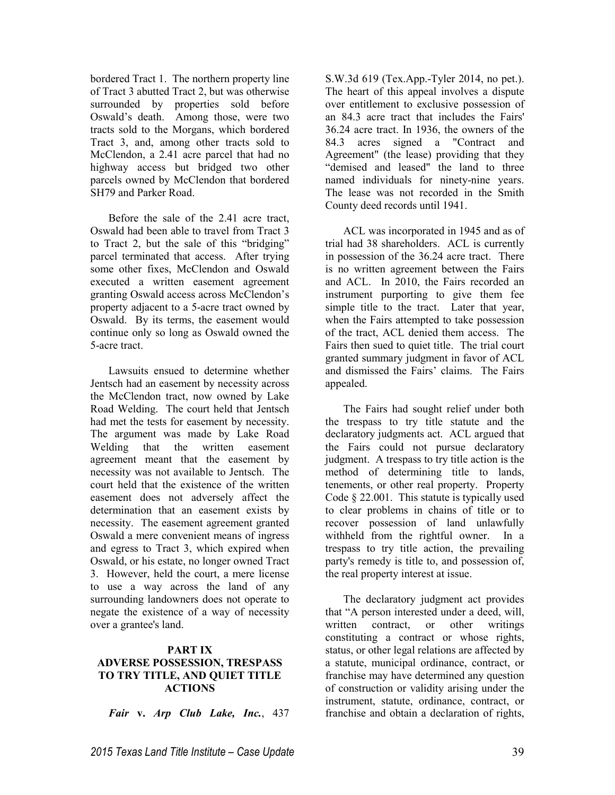bordered Tract 1. The northern property line of Tract 3 abutted Tract 2, but was otherwise surrounded by properties sold before Oswald's death. Among those, were two tracts sold to the Morgans, which bordered Tract 3, and, among other tracts sold to McClendon, a 2.41 acre parcel that had no highway access but bridged two other parcels owned by McClendon that bordered SH79 and Parker Road.

Before the sale of the 2.41 acre tract, Oswald had been able to travel from Tract 3 to Tract 2, but the sale of this "bridging" parcel terminated that access. After trying some other fixes, McClendon and Oswald executed a written easement agreement granting Oswald access across McClendon's property adjacent to a 5-acre tract owned by Oswald. By its terms, the easement would continue only so long as Oswald owned the 5-acre tract.

Lawsuits ensued to determine whether Jentsch had an easement by necessity across the McClendon tract, now owned by Lake Road Welding. The court held that Jentsch had met the tests for easement by necessity. The argument was made by Lake Road Welding that the written easement agreement meant that the easement by necessity was not available to Jentsch. The court held that the existence of the written easement does not adversely affect the determination that an easement exists by necessity. The easement agreement granted Oswald a mere convenient means of ingress and egress to Tract 3, which expired when Oswald, or his estate, no longer owned Tract 3. However, held the court, a mere license to use a way across the land of any surrounding landowners does not operate to negate the existence of a way of necessity over a grantee's land.

# **PART IX**

# **ADVERSE POSSESSION, TRESPASS TO TRY TITLE, AND QUIET TITLE ACTIONS**

*Fair* **v.** *Arp Club Lake, Inc.*, 437

S.W.3d 619 (Tex.App.-Tyler 2014, no pet.). The heart of this appeal involves a dispute over entitlement to exclusive possession of an 84.3 acre tract that includes the Fairs' 36.24 acre tract. In 1936, the owners of the 84.3 acres signed a "Contract and Agreement" (the lease) providing that they "demised and leased" the land to three named individuals for ninety-nine years. The lease was not recorded in the Smith County deed records until 1941.

ACL was incorporated in 1945 and as of trial had 38 shareholders. ACL is currently in possession of the 36.24 acre tract. There is no written agreement between the Fairs and ACL. In 2010, the Fairs recorded an instrument purporting to give them fee simple title to the tract. Later that year, when the Fairs attempted to take possession of the tract, ACL denied them access. The Fairs then sued to quiet title. The trial court granted summary judgment in favor of ACL and dismissed the Fairs' claims. The Fairs appealed.

The Fairs had sought relief under both the trespass to try title statute and the declaratory judgments act. ACL argued that the Fairs could not pursue declaratory judgment. A trespass to try title action is the method of determining title to lands, tenements, or other real property. Property Code § 22.001. This statute is typically used to clear problems in chains of title or to recover possession of land unlawfully withheld from the rightful owner. In a trespass to try title action, the prevailing party's remedy is title to, and possession of, the real property interest at issue.

The declaratory judgment act provides that "A person interested under a deed, will, written contract, or other writings constituting a contract or whose rights, status, or other legal relations are affected by a statute, municipal ordinance, contract, or franchise may have determined any question of construction or validity arising under the instrument, statute, ordinance, contract, or franchise and obtain a declaration of rights,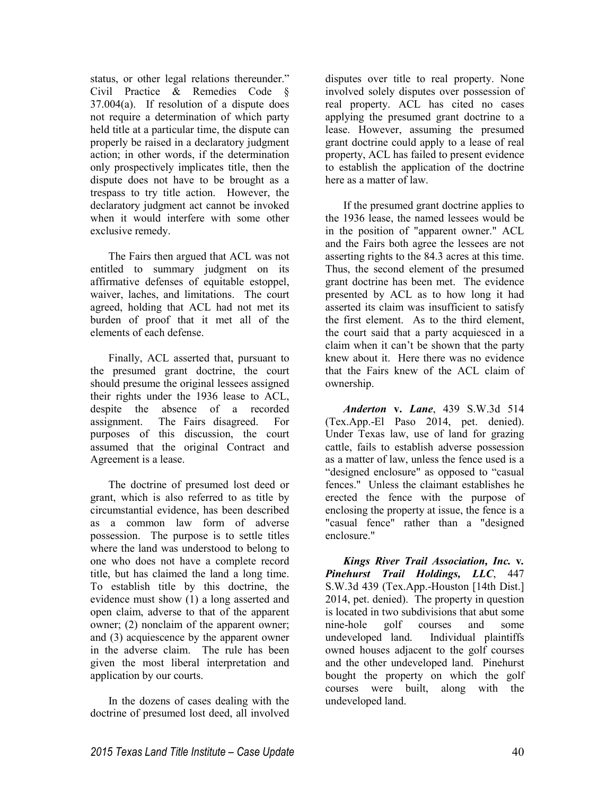status, or other legal relations thereunder." Civil Practice & Remedies Code § 37.004(a). If resolution of a dispute does not require a determination of which party held title at a particular time, the dispute can properly be raised in a declaratory judgment action; in other words, if the determination only prospectively implicates title, then the dispute does not have to be brought as a trespass to try title action. However, the declaratory judgment act cannot be invoked when it would interfere with some other exclusive remedy.

The Fairs then argued that ACL was not entitled to summary judgment on its affirmative defenses of equitable estoppel, waiver, laches, and limitations. The court agreed, holding that ACL had not met its burden of proof that it met all of the elements of each defense.

Finally, ACL asserted that, pursuant to the presumed grant doctrine, the court should presume the original lessees assigned their rights under the 1936 lease to ACL, despite the absence of a recorded assignment. The Fairs disagreed. For purposes of this discussion, the court assumed that the original Contract and Agreement is a lease.

The doctrine of presumed lost deed or grant, which is also referred to as title by circumstantial evidence, has been described as a common law form of adverse possession. The purpose is to settle titles where the land was understood to belong to one who does not have a complete record title, but has claimed the land a long time. To establish title by this doctrine, the evidence must show (1) a long asserted and open claim, adverse to that of the apparent owner; (2) nonclaim of the apparent owner; and (3) acquiescence by the apparent owner in the adverse claim. The rule has been given the most liberal interpretation and application by our courts.

In the dozens of cases dealing with the doctrine of presumed lost deed, all involved disputes over title to real property. None involved solely disputes over possession of real property. ACL has cited no cases applying the presumed grant doctrine to a lease. However, assuming the presumed grant doctrine could apply to a lease of real property, ACL has failed to present evidence to establish the application of the doctrine here as a matter of law.

If the presumed grant doctrine applies to the 1936 lease, the named lessees would be in the position of "apparent owner." ACL and the Fairs both agree the lessees are not asserting rights to the 84.3 acres at this time. Thus, the second element of the presumed grant doctrine has been met. The evidence presented by ACL as to how long it had asserted its claim was insufficient to satisfy the first element. As to the third element, the court said that a party acquiesced in a claim when it can't be shown that the party knew about it. Here there was no evidence that the Fairs knew of the ACL claim of ownership.

*Anderton* **v.** *Lane*, 439 S.W.3d 514 (Tex.App.-El Paso 2014, pet. denied). Under Texas law, use of land for grazing cattle, fails to establish adverse possession as a matter of law, unless the fence used is a "designed enclosure" as opposed to "casual fences." Unless the claimant establishes he erected the fence with the purpose of enclosing the property at issue, the fence is a "casual fence" rather than a "designed enclosure."

*Kings River Trail Association, Inc.* **v***. Pinehurst Trail Holdings, LLC*, 447 S.W.3d 439 (Tex.App.-Houston [14th Dist.] 2014, pet. denied). The property in question is located in two subdivisions that abut some nine-hole golf courses and some undeveloped land. Individual plaintiffs owned houses adjacent to the golf courses and the other undeveloped land. Pinehurst bought the property on which the golf courses were built, along with the undeveloped land.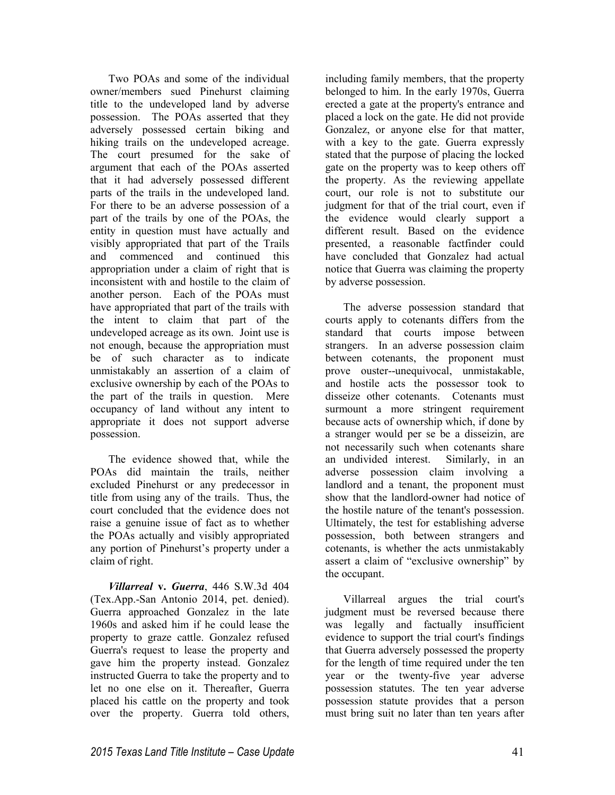Two POAs and some of the individual owner/members sued Pinehurst claiming title to the undeveloped land by adverse possession. The POAs asserted that they adversely possessed certain biking and hiking trails on the undeveloped acreage. The court presumed for the sake of argument that each of the POAs asserted that it had adversely possessed different parts of the trails in the undeveloped land. For there to be an adverse possession of a part of the trails by one of the POAs, the entity in question must have actually and visibly appropriated that part of the Trails and commenced and continued this appropriation under a claim of right that is inconsistent with and hostile to the claim of another person. Each of the POAs must have appropriated that part of the trails with the intent to claim that part of the undeveloped acreage as its own. Joint use is not enough, because the appropriation must be of such character as to indicate unmistakably an assertion of a claim of exclusive ownership by each of the POAs to the part of the trails in question. Mere occupancy of land without any intent to appropriate it does not support adverse possession.

The evidence showed that, while the POAs did maintain the trails, neither excluded Pinehurst or any predecessor in title from using any of the trails. Thus, the court concluded that the evidence does not raise a genuine issue of fact as to whether the POAs actually and visibly appropriated any portion of Pinehurst's property under a claim of right.

*Villarreal* **v.** *Guerra*, 446 S.W.3d 404 (Tex.App.-San Antonio 2014, pet. denied). Guerra approached Gonzalez in the late 1960s and asked him if he could lease the property to graze cattle. Gonzalez refused Guerra's request to lease the property and gave him the property instead. Gonzalez instructed Guerra to take the property and to let no one else on it. Thereafter, Guerra placed his cattle on the property and took over the property. Guerra told others,

including family members, that the property belonged to him. In the early 1970s, Guerra erected a gate at the property's entrance and placed a lock on the gate. He did not provide Gonzalez, or anyone else for that matter, with a key to the gate. Guerra expressly stated that the purpose of placing the locked gate on the property was to keep others off the property. As the reviewing appellate court, our role is not to substitute our judgment for that of the trial court, even if the evidence would clearly support a different result. Based on the evidence presented, a reasonable factfinder could have concluded that Gonzalez had actual notice that Guerra was claiming the property by adverse possession.

The adverse possession standard that courts apply to cotenants differs from the standard that courts impose between strangers. In an adverse possession claim between cotenants, the proponent must prove ouster--unequivocal, unmistakable, and hostile acts the possessor took to disseize other cotenants. Cotenants must surmount a more stringent requirement because acts of ownership which, if done by a stranger would per se be a disseizin, are not necessarily such when cotenants share an undivided interest. Similarly, in an adverse possession claim involving a landlord and a tenant, the proponent must show that the landlord-owner had notice of the hostile nature of the tenant's possession. Ultimately, the test for establishing adverse possession, both between strangers and cotenants, is whether the acts unmistakably assert a claim of "exclusive ownership" by the occupant.

Villarreal argues the trial court's judgment must be reversed because there was legally and factually insufficient evidence to support the trial court's findings that Guerra adversely possessed the property for the length of time required under the ten year or the twenty-five year adverse possession statutes. The ten year adverse possession statute provides that a person must bring suit no later than ten years after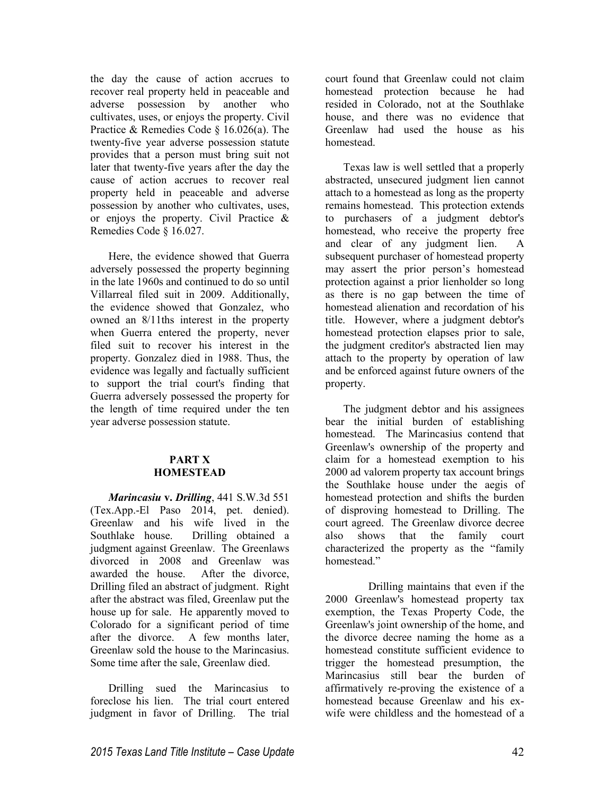the day the cause of action accrues to recover real property held in peaceable and adverse possession by another who cultivates, uses, or enjoys the property. Civil Practice & Remedies Code § 16.026(a). The twenty-five year adverse possession statute provides that a person must bring suit not later that twenty-five years after the day the cause of action accrues to recover real property held in peaceable and adverse possession by another who cultivates, uses, or enjoys the property. Civil Practice & Remedies Code § 16.027.

Here, the evidence showed that Guerra adversely possessed the property beginning in the late 1960s and continued to do so until Villarreal filed suit in 2009. Additionally, the evidence showed that Gonzalez, who owned an 8/11ths interest in the property when Guerra entered the property, never filed suit to recover his interest in the property. Gonzalez died in 1988. Thus, the evidence was legally and factually sufficient to support the trial court's finding that Guerra adversely possessed the property for the length of time required under the ten year adverse possession statute.

# **PART X HOMESTEAD**

*Marincasiu* **v.** *Drilling*, 441 S.W.3d 551 (Tex.App.-El Paso 2014, pet. denied). Greenlaw and his wife lived in the Southlake house. Drilling obtained a judgment against Greenlaw. The Greenlaws divorced in 2008 and Greenlaw was awarded the house. After the divorce, Drilling filed an abstract of judgment. Right after the abstract was filed, Greenlaw put the house up for sale. He apparently moved to Colorado for a significant period of time after the divorce. A few months later, Greenlaw sold the house to the Marincasius. Some time after the sale, Greenlaw died.

Drilling sued the Marincasius to foreclose his lien. The trial court entered judgment in favor of Drilling. The trial court found that Greenlaw could not claim homestead protection because he had resided in Colorado, not at the Southlake house, and there was no evidence that Greenlaw had used the house as his homestead.

Texas law is well settled that a properly abstracted, unsecured judgment lien cannot attach to a homestead as long as the property remains homestead. This protection extends to purchasers of a judgment debtor's homestead, who receive the property free and clear of any judgment lien. A subsequent purchaser of homestead property may assert the prior person's homestead protection against a prior lienholder so long as there is no gap between the time of homestead alienation and recordation of his title. However, where a judgment debtor's homestead protection elapses prior to sale, the judgment creditor's abstracted lien may attach to the property by operation of law and be enforced against future owners of the property.

The judgment debtor and his assignees bear the initial burden of establishing homestead. The Marincasius contend that Greenlaw's ownership of the property and claim for a homestead exemption to his 2000 ad valorem property tax account brings the Southlake house under the aegis of homestead protection and shifts the burden of disproving homestead to Drilling. The court agreed. The Greenlaw divorce decree also shows that the family court characterized the property as the "family homestead."

 Drilling maintains that even if the 2000 Greenlaw's homestead property tax exemption, the Texas Property Code, the Greenlaw's joint ownership of the home, and the divorce decree naming the home as a homestead constitute sufficient evidence to trigger the homestead presumption, the Marincasius still bear the burden of affirmatively re-proving the existence of a homestead because Greenlaw and his exwife were childless and the homestead of a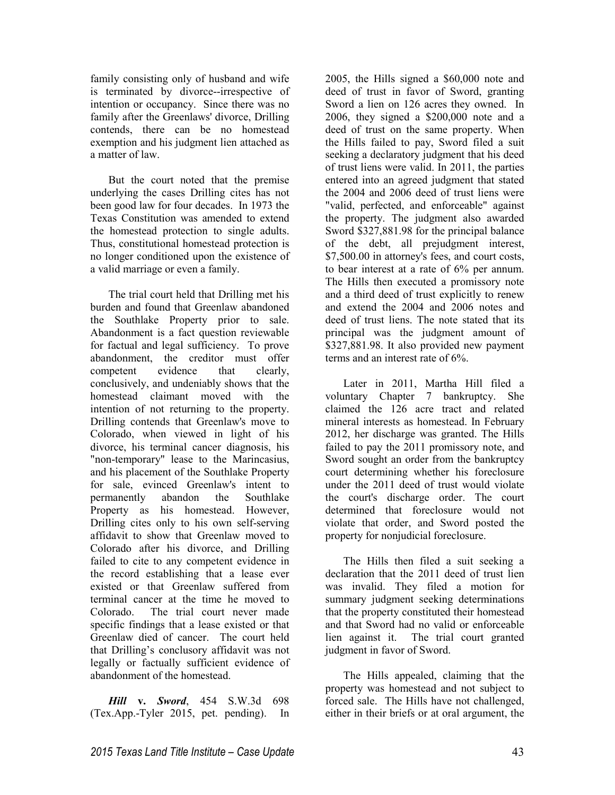family consisting only of husband and wife is terminated by divorce--irrespective of intention or occupancy. Since there was no family after the Greenlaws' divorce, Drilling contends, there can be no homestead exemption and his judgment lien attached as a matter of law.

But the court noted that the premise underlying the cases Drilling cites has not been good law for four decades. In 1973 the Texas Constitution was amended to extend the homestead protection to single adults. Thus, constitutional homestead protection is no longer conditioned upon the existence of a valid marriage or even a family.

The trial court held that Drilling met his burden and found that Greenlaw abandoned the Southlake Property prior to sale. Abandonment is a fact question reviewable for factual and legal sufficiency. To prove abandonment, the creditor must offer competent evidence that clearly, conclusively, and undeniably shows that the homestead claimant moved with the intention of not returning to the property. Drilling contends that Greenlaw's move to Colorado, when viewed in light of his divorce, his terminal cancer diagnosis, his "non-temporary" lease to the Marincasius, and his placement of the Southlake Property for sale, evinced Greenlaw's intent to permanently abandon the Southlake Property as his homestead. However, Drilling cites only to his own self-serving affidavit to show that Greenlaw moved to Colorado after his divorce, and Drilling failed to cite to any competent evidence in the record establishing that a lease ever existed or that Greenlaw suffered from terminal cancer at the time he moved to Colorado. The trial court never made specific findings that a lease existed or that Greenlaw died of cancer. The court held that Drilling's conclusory affidavit was not legally or factually sufficient evidence of abandonment of the homestead.

*Hill* **v.** *Sword*, 454 S.W.3d 698 (Tex.App.-Tyler 2015, pet. pending). In 2005, the Hills signed a \$60,000 note and deed of trust in favor of Sword, granting Sword a lien on 126 acres they owned. In 2006, they signed a \$200,000 note and a deed of trust on the same property. When the Hills failed to pay, Sword filed a suit seeking a declaratory judgment that his deed of trust liens were valid. In 2011, the parties entered into an agreed judgment that stated the 2004 and 2006 deed of trust liens were "valid, perfected, and enforceable" against the property. The judgment also awarded Sword \$327,881.98 for the principal balance of the debt, all prejudgment interest, \$7,500.00 in attorney's fees, and court costs, to bear interest at a rate of 6% per annum. The Hills then executed a promissory note and a third deed of trust explicitly to renew and extend the 2004 and 2006 notes and deed of trust liens. The note stated that its principal was the judgment amount of \$327,881.98. It also provided new payment terms and an interest rate of 6%.

Later in 2011, Martha Hill filed a voluntary Chapter 7 bankruptcy. She claimed the 126 acre tract and related mineral interests as homestead. In February 2012, her discharge was granted. The Hills failed to pay the 2011 promissory note, and Sword sought an order from the bankruptcy court determining whether his foreclosure under the 2011 deed of trust would violate the court's discharge order. The court determined that foreclosure would not violate that order, and Sword posted the property for nonjudicial foreclosure.

The Hills then filed a suit seeking a declaration that the 2011 deed of trust lien was invalid. They filed a motion for summary judgment seeking determinations that the property constituted their homestead and that Sword had no valid or enforceable lien against it. The trial court granted judgment in favor of Sword.

The Hills appealed, claiming that the property was homestead and not subject to forced sale. The Hills have not challenged, either in their briefs or at oral argument, the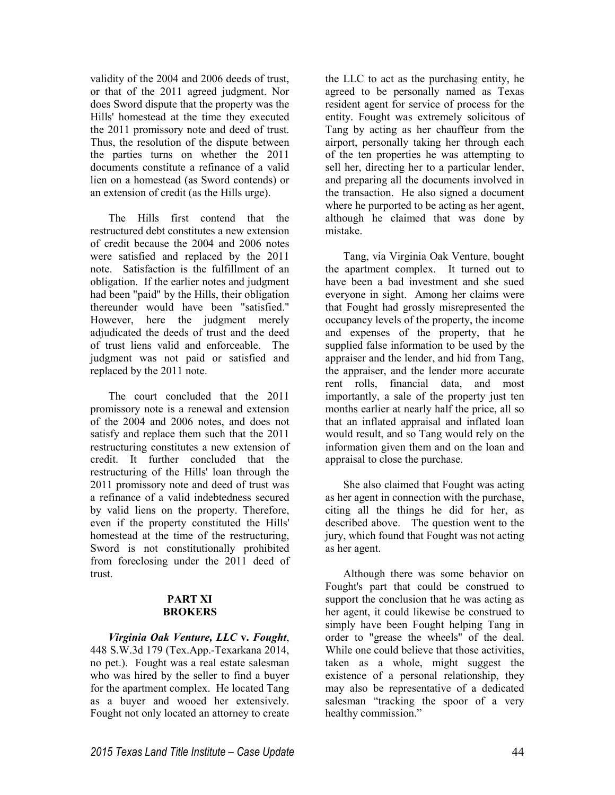validity of the 2004 and 2006 deeds of trust, or that of the 2011 agreed judgment. Nor does Sword dispute that the property was the Hills' homestead at the time they executed the 2011 promissory note and deed of trust. Thus, the resolution of the dispute between the parties turns on whether the 2011 documents constitute a refinance of a valid lien on a homestead (as Sword contends) or an extension of credit (as the Hills urge).

The Hills first contend that the restructured debt constitutes a new extension of credit because the 2004 and 2006 notes were satisfied and replaced by the 2011 note. Satisfaction is the fulfillment of an obligation. If the earlier notes and judgment had been "paid" by the Hills, their obligation thereunder would have been "satisfied." However, here the judgment merely adjudicated the deeds of trust and the deed of trust liens valid and enforceable. The judgment was not paid or satisfied and replaced by the 2011 note.

The court concluded that the 2011 promissory note is a renewal and extension of the 2004 and 2006 notes, and does not satisfy and replace them such that the 2011 restructuring constitutes a new extension of credit. It further concluded that the restructuring of the Hills' loan through the 2011 promissory note and deed of trust was a refinance of a valid indebtedness secured by valid liens on the property. Therefore, even if the property constituted the Hills' homestead at the time of the restructuring, Sword is not constitutionally prohibited from foreclosing under the 2011 deed of trust.

# **PART XI BROKERS**

*Virginia Oak Venture, LLC* **v.** *Fought*, 448 S.W.3d 179 (Tex.App.-Texarkana 2014, no pet.). Fought was a real estate salesman who was hired by the seller to find a buyer for the apartment complex. He located Tang as a buyer and wooed her extensively. Fought not only located an attorney to create the LLC to act as the purchasing entity, he agreed to be personally named as Texas resident agent for service of process for the entity. Fought was extremely solicitous of Tang by acting as her chauffeur from the airport, personally taking her through each of the ten properties he was attempting to sell her, directing her to a particular lender, and preparing all the documents involved in the transaction. He also signed a document where he purported to be acting as her agent, although he claimed that was done by mistake.

Tang, via Virginia Oak Venture, bought the apartment complex. It turned out to have been a bad investment and she sued everyone in sight. Among her claims were that Fought had grossly misrepresented the occupancy levels of the property, the income and expenses of the property, that he supplied false information to be used by the appraiser and the lender, and hid from Tang, the appraiser, and the lender more accurate rent rolls, financial data, and most importantly, a sale of the property just ten months earlier at nearly half the price, all so that an inflated appraisal and inflated loan would result, and so Tang would rely on the information given them and on the loan and appraisal to close the purchase.

She also claimed that Fought was acting as her agent in connection with the purchase, citing all the things he did for her, as described above. The question went to the jury, which found that Fought was not acting as her agent.

Although there was some behavior on Fought's part that could be construed to support the conclusion that he was acting as her agent, it could likewise be construed to simply have been Fought helping Tang in order to "grease the wheels" of the deal. While one could believe that those activities, taken as a whole, might suggest the existence of a personal relationship, they may also be representative of a dedicated salesman "tracking the spoor of a very healthy commission."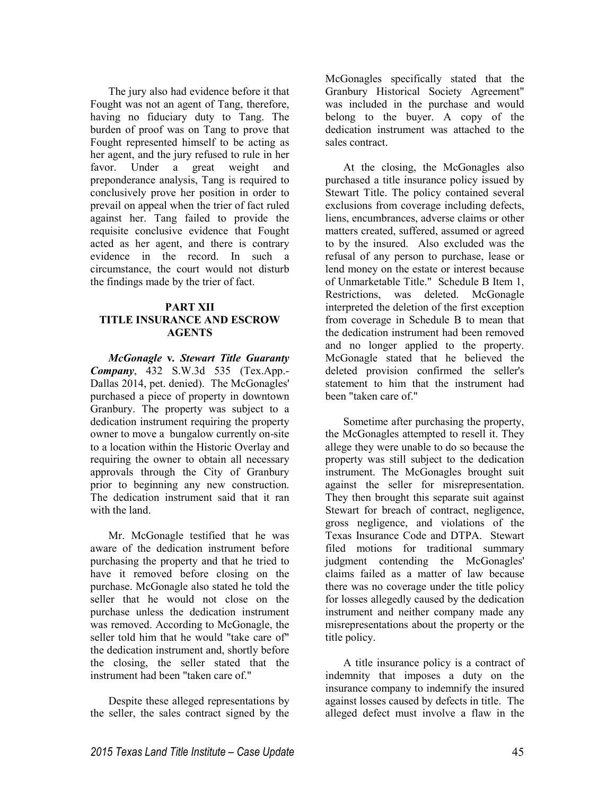The jury also had evidence before it that Fought was not an agent of Tang, therefore, having no fiduciary duty to Tang. The burden of proof was on Tang to prove that Fought represented himself to be acting as her agent, and the jury refused to rule in her favor. Under a great weight and preponderance analysis, Tang is required to conclusively prove her position in order to prevail on appeal when the trier of fact ruled against her. Tang failed to provide the requisite conclusive evidence that Fought acted as her agent, and there is contrary evidence in the record. In such a circumstance, the court would not disturb the findings made by the trier of fact.

# **PART XII TITLE INSURANCE AND ESCROW AGENTS**

*McGonagle* **v***. Stewart Title Guaranty Company*, 432 S.W.3d 535 (Tex.App.- Dallas 2014, pet. denied). The McGonagles' purchased a piece of property in downtown Granbury. The property was subject to a dedication instrument requiring the property owner to move a bungalow currently on-site to a location within the Historic Overlay and requiring the owner to obtain all necessary approvals through the City of Granbury prior to beginning any new construction. The dedication instrument said that it ran with the land.

Mr. McGonagle testified that he was aware of the dedication instrument before purchasing the property and that he tried to have it removed before closing on the purchase. McGonagle also stated he told the seller that he would not close on the purchase unless the dedication instrument was removed. According to McGonagle, the seller told him that he would "take care of" the dedication instrument and, shortly before the closing, the seller stated that the instrument had been "taken care of."

Despite these alleged representations by the seller, the sales contract signed by the

McGonagles specifically stated that the Granbury Historical Society Agreement" was included in the purchase and would belong to the buyer. A copy of the dedication instrument was attached to the sales contract.

At the closing, the McGonagles also purchased a title insurance policy issued by Stewart Title. The policy contained several exclusions from coverage including defects, liens, encumbrances, adverse claims or other matters created, suffered, assumed or agreed to by the insured. Also excluded was the refusal of any person to purchase, lease or lend money on the estate or interest because of Unmarketable Title." Schedule B Item 1, Restrictions, was deleted. McGonagle interpreted the deletion of the first exception from coverage in Schedule B to mean that the dedication instrument had been removed and no longer applied to the property. McGonagle stated that he believed the deleted provision confirmed the seller's statement to him that the instrument had been "taken care of."

Sometime after purchasing the property, the McGonagles attempted to resell it. They allege they were unable to do so because the property was still subject to the dedication instrument. The McGonagles brought suit against the seller for misrepresentation. They then brought this separate suit against Stewart for breach of contract, negligence, gross negligence, and violations of the Texas Insurance Code and DTPA. Stewart filed motions for traditional summary judgment contending the McGonagles' claims failed as a matter of law because there was no coverage under the title policy for losses allegedly caused by the dedication instrument and neither company made any misrepresentations about the property or the title policy.

A title insurance policy is a contract of indemnity that imposes a duty on the insurance company to indemnify the insured against losses caused by defects in title. The alleged defect must involve a flaw in the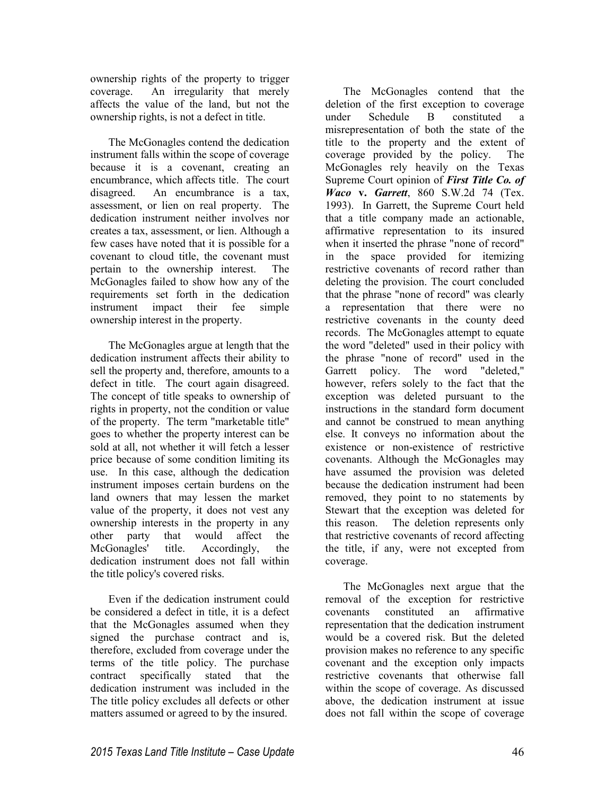ownership rights of the property to trigger coverage. An irregularity that merely affects the value of the land, but not the ownership rights, is not a defect in title.

The McGonagles contend the dedication instrument falls within the scope of coverage because it is a covenant, creating an encumbrance, which affects title. The court disagreed. An encumbrance is a tax, assessment, or lien on real property. The dedication instrument neither involves nor creates a tax, assessment, or lien. Although a few cases have noted that it is possible for a covenant to cloud title, the covenant must pertain to the ownership interest. The McGonagles failed to show how any of the requirements set forth in the dedication instrument impact their fee simple ownership interest in the property.

The McGonagles argue at length that the dedication instrument affects their ability to sell the property and, therefore, amounts to a defect in title. The court again disagreed. The concept of title speaks to ownership of rights in property, not the condition or value of the property. The term "marketable title" goes to whether the property interest can be sold at all, not whether it will fetch a lesser price because of some condition limiting its use. In this case, although the dedication instrument imposes certain burdens on the land owners that may lessen the market value of the property, it does not vest any ownership interests in the property in any other party that would affect the McGonagles' title. Accordingly, the dedication instrument does not fall within the title policy's covered risks.

Even if the dedication instrument could be considered a defect in title, it is a defect that the McGonagles assumed when they signed the purchase contract and is, therefore, excluded from coverage under the terms of the title policy. The purchase contract specifically stated that the dedication instrument was included in the The title policy excludes all defects or other matters assumed or agreed to by the insured.

The McGonagles contend that the deletion of the first exception to coverage under Schedule B constituted a misrepresentation of both the state of the title to the property and the extent of coverage provided by the policy. The McGonagles rely heavily on the Texas Supreme Court opinion of *First Title Co. of Waco* **v.** *Garrett*, 860 S.W.2d 74 (Tex. 1993). In Garrett, the Supreme Court held that a title company made an actionable, affirmative representation to its insured when it inserted the phrase "none of record" in the space provided for itemizing restrictive covenants of record rather than deleting the provision. The court concluded that the phrase "none of record" was clearly a representation that there were no restrictive covenants in the county deed records. The McGonagles attempt to equate the word "deleted" used in their policy with the phrase "none of record" used in the Garrett policy. The word "deleted," however, refers solely to the fact that the exception was deleted pursuant to the instructions in the standard form document and cannot be construed to mean anything else. It conveys no information about the existence or non-existence of restrictive covenants. Although the McGonagles may have assumed the provision was deleted because the dedication instrument had been removed, they point to no statements by Stewart that the exception was deleted for this reason. The deletion represents only that restrictive covenants of record affecting the title, if any, were not excepted from coverage.

The McGonagles next argue that the removal of the exception for restrictive covenants constituted an affirmative representation that the dedication instrument would be a covered risk. But the deleted provision makes no reference to any specific covenant and the exception only impacts restrictive covenants that otherwise fall within the scope of coverage. As discussed above, the dedication instrument at issue does not fall within the scope of coverage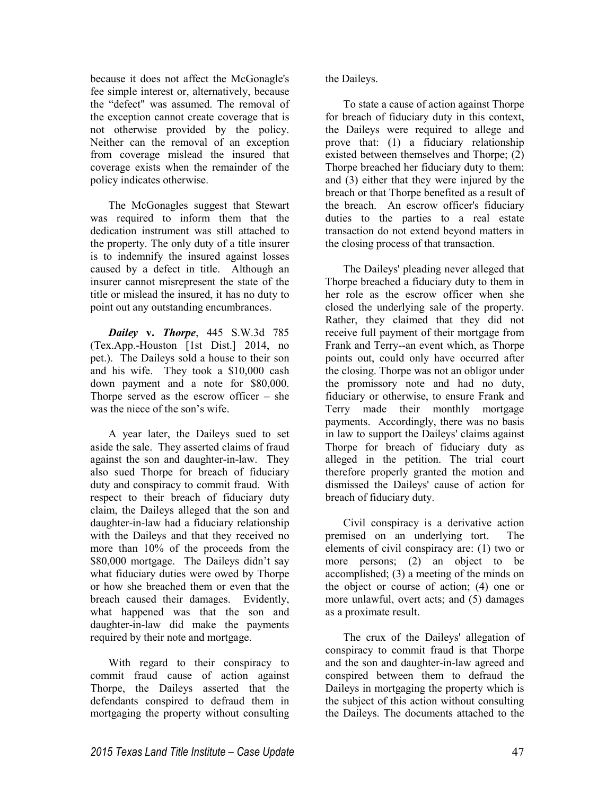because it does not affect the McGonagle's fee simple interest or, alternatively, because the "defect" was assumed. The removal of the exception cannot create coverage that is not otherwise provided by the policy. Neither can the removal of an exception from coverage mislead the insured that coverage exists when the remainder of the policy indicates otherwise.

The McGonagles suggest that Stewart was required to inform them that the dedication instrument was still attached to the property. The only duty of a title insurer is to indemnify the insured against losses caused by a defect in title. Although an insurer cannot misrepresent the state of the title or mislead the insured, it has no duty to point out any outstanding encumbrances.

*Dailey* **v.** *Thorpe*, 445 S.W.3d 785 (Tex.App.-Houston [1st Dist.] 2014, no pet.). The Daileys sold a house to their son and his wife. They took a \$10,000 cash down payment and a note for \$80,000. Thorpe served as the escrow officer  $-$  she was the niece of the son's wife.

A year later, the Daileys sued to set aside the sale. They asserted claims of fraud against the son and daughter-in-law. They also sued Thorpe for breach of fiduciary duty and conspiracy to commit fraud. With respect to their breach of fiduciary duty claim, the Daileys alleged that the son and daughter-in-law had a fiduciary relationship with the Daileys and that they received no more than 10% of the proceeds from the \$80,000 mortgage. The Daileys didn't say what fiduciary duties were owed by Thorpe or how she breached them or even that the breach caused their damages. Evidently, what happened was that the son and daughter-in-law did make the payments required by their note and mortgage.

With regard to their conspiracy to commit fraud cause of action against Thorpe, the Daileys asserted that the defendants conspired to defraud them in mortgaging the property without consulting

the Daileys.

To state a cause of action against Thorpe for breach of fiduciary duty in this context, the Daileys were required to allege and prove that: (1) a fiduciary relationship existed between themselves and Thorpe; (2) Thorpe breached her fiduciary duty to them; and (3) either that they were injured by the breach or that Thorpe benefited as a result of the breach. An escrow officer's fiduciary duties to the parties to a real estate transaction do not extend beyond matters in the closing process of that transaction.

The Daileys' pleading never alleged that Thorpe breached a fiduciary duty to them in her role as the escrow officer when she closed the underlying sale of the property. Rather, they claimed that they did not receive full payment of their mortgage from Frank and Terry--an event which, as Thorpe points out, could only have occurred after the closing. Thorpe was not an obligor under the promissory note and had no duty, fiduciary or otherwise, to ensure Frank and Terry made their monthly mortgage payments. Accordingly, there was no basis in law to support the Daileys' claims against Thorpe for breach of fiduciary duty as alleged in the petition. The trial court therefore properly granted the motion and dismissed the Daileys' cause of action for breach of fiduciary duty.

Civil conspiracy is a derivative action premised on an underlying tort. The elements of civil conspiracy are: (1) two or more persons; (2) an object to be accomplished; (3) a meeting of the minds on the object or course of action; (4) one or more unlawful, overt acts; and (5) damages as a proximate result.

The crux of the Daileys' allegation of conspiracy to commit fraud is that Thorpe and the son and daughter-in-law agreed and conspired between them to defraud the Daileys in mortgaging the property which is the subject of this action without consulting the Daileys. The documents attached to the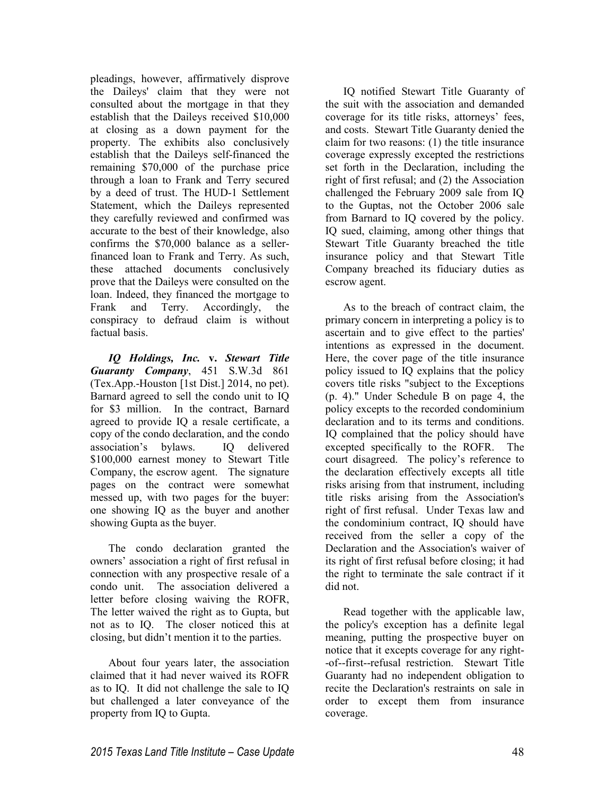pleadings, however, affirmatively disprove the Daileys' claim that they were not consulted about the mortgage in that they establish that the Daileys received \$10,000 at closing as a down payment for the property. The exhibits also conclusively establish that the Daileys self-financed the remaining \$70,000 of the purchase price through a loan to Frank and Terry secured by a deed of trust. The HUD-1 Settlement Statement, which the Daileys represented they carefully reviewed and confirmed was accurate to the best of their knowledge, also confirms the \$70,000 balance as a sellerfinanced loan to Frank and Terry. As such, these attached documents conclusively prove that the Daileys were consulted on the loan. Indeed, they financed the mortgage to Frank and Terry. Accordingly, the conspiracy to defraud claim is without factual basis.

*IQ Holdings, Inc.* **v.** *Stewart Title Guaranty Company*, 451 S.W.3d 861 (Tex.App.-Houston [1st Dist.] 2014, no pet). Barnard agreed to sell the condo unit to IQ for \$3 million. In the contract, Barnard agreed to provide IQ a resale certificate, a copy of the condo declaration, and the condo association's bylaws. IQ delivered \$100,000 earnest money to Stewart Title Company, the escrow agent. The signature pages on the contract were somewhat messed up, with two pages for the buyer: one showing IQ as the buyer and another showing Gupta as the buyer.

The condo declaration granted the owners' association a right of first refusal in connection with any prospective resale of a condo unit. The association delivered a letter before closing waiving the ROFR, The letter waived the right as to Gupta, but not as to IQ. The closer noticed this at closing, but didn't mention it to the parties.

About four years later, the association claimed that it had never waived its ROFR as to IQ. It did not challenge the sale to IQ but challenged a later conveyance of the property from IQ to Gupta.

IQ notified Stewart Title Guaranty of the suit with the association and demanded coverage for its title risks, attorneys' fees, and costs. Stewart Title Guaranty denied the claim for two reasons: (1) the title insurance coverage expressly excepted the restrictions set forth in the Declaration, including the right of first refusal; and (2) the Association challenged the February 2009 sale from IQ to the Guptas, not the October 2006 sale from Barnard to IQ covered by the policy. IQ sued, claiming, among other things that Stewart Title Guaranty breached the title insurance policy and that Stewart Title Company breached its fiduciary duties as escrow agent.

As to the breach of contract claim, the primary concern in interpreting a policy is to ascertain and to give effect to the parties' intentions as expressed in the document. Here, the cover page of the title insurance policy issued to IQ explains that the policy covers title risks "subject to the Exceptions (p. 4)." Under Schedule B on page 4, the policy excepts to the recorded condominium declaration and to its terms and conditions. IQ complained that the policy should have excepted specifically to the ROFR. The court disagreed. The policy's reference to the declaration effectively excepts all title risks arising from that instrument, including title risks arising from the Association's right of first refusal. Under Texas law and the condominium contract, IQ should have received from the seller a copy of the Declaration and the Association's waiver of its right of first refusal before closing; it had the right to terminate the sale contract if it did not.

Read together with the applicable law, the policy's exception has a definite legal meaning, putting the prospective buyer on notice that it excepts coverage for any right- -of--first--refusal restriction. Stewart Title Guaranty had no independent obligation to recite the Declaration's restraints on sale in order to except them from insurance coverage.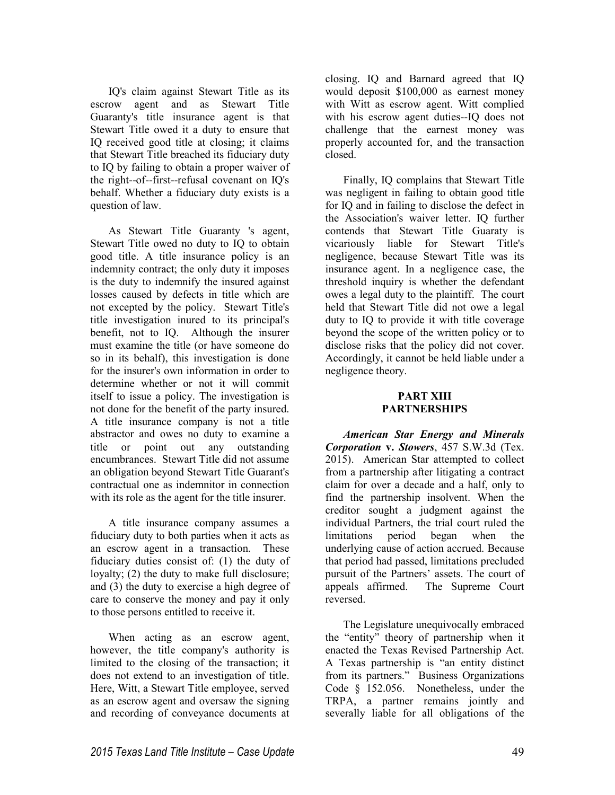IQ's claim against Stewart Title as its escrow agent and as Stewart Title Guaranty's title insurance agent is that Stewart Title owed it a duty to ensure that IQ received good title at closing; it claims that Stewart Title breached its fiduciary duty to IQ by failing to obtain a proper waiver of the right--of--first--refusal covenant on IQ's behalf. Whether a fiduciary duty exists is a question of law.

As Stewart Title Guaranty 's agent, Stewart Title owed no duty to IQ to obtain good title. A title insurance policy is an indemnity contract; the only duty it imposes is the duty to indemnify the insured against losses caused by defects in title which are not excepted by the policy. Stewart Title's title investigation inured to its principal's benefit, not to IQ. Although the insurer must examine the title (or have someone do so in its behalf), this investigation is done for the insurer's own information in order to determine whether or not it will commit itself to issue a policy. The investigation is not done for the benefit of the party insured. A title insurance company is not a title abstractor and owes no duty to examine a title or point out any outstanding encumbrances. Stewart Title did not assume an obligation beyond Stewart Title Guarant's contractual one as indemnitor in connection with its role as the agent for the title insurer.

A title insurance company assumes a fiduciary duty to both parties when it acts as an escrow agent in a transaction. These fiduciary duties consist of: (1) the duty of loyalty; (2) the duty to make full disclosure; and (3) the duty to exercise a high degree of care to conserve the money and pay it only to those persons entitled to receive it.

When acting as an escrow agent, however, the title company's authority is limited to the closing of the transaction; it does not extend to an investigation of title. Here, Witt, a Stewart Title employee, served as an escrow agent and oversaw the signing and recording of conveyance documents at

closing. IQ and Barnard agreed that IQ would deposit \$100,000 as earnest money with Witt as escrow agent. Witt complied with his escrow agent duties--IQ does not challenge that the earnest money was properly accounted for, and the transaction closed.

Finally, IQ complains that Stewart Title was negligent in failing to obtain good title for IQ and in failing to disclose the defect in the Association's waiver letter. IQ further contends that Stewart Title Guaraty is vicariously liable for Stewart Title's negligence, because Stewart Title was its insurance agent. In a negligence case, the threshold inquiry is whether the defendant owes a legal duty to the plaintiff. The court held that Stewart Title did not owe a legal duty to IQ to provide it with title coverage beyond the scope of the written policy or to disclose risks that the policy did not cover. Accordingly, it cannot be held liable under a negligence theory.

# **PART XIII PARTNERSHIPS**

*American Star Energy and Minerals Corporation* **v.** *Stowers*, 457 S.W.3d (Tex. 2015). American Star attempted to collect from a partnership after litigating a contract claim for over a decade and a half, only to find the partnership insolvent. When the creditor sought a judgment against the individual Partners, the trial court ruled the limitations period began when the underlying cause of action accrued. Because that period had passed, limitations precluded pursuit of the Partners' assets. The court of appeals affirmed. The Supreme Court reversed.

The Legislature unequivocally embraced the "entity" theory of partnership when it enacted the Texas Revised Partnership Act. A Texas partnership is "an entity distinct from its partners." Business Organizations Code § 152.056. Nonetheless, under the TRPA, a partner remains jointly and severally liable for all obligations of the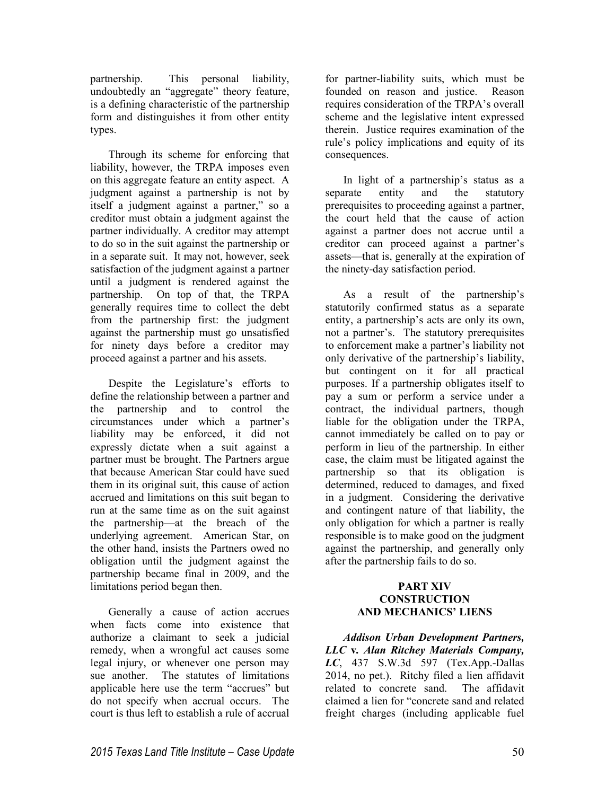partnership. This personal liability, undoubtedly an "aggregate" theory feature, is a defining characteristic of the partnership form and distinguishes it from other entity types.

Through its scheme for enforcing that liability, however, the TRPA imposes even on this aggregate feature an entity aspect. A judgment against a partnership is not by itself a judgment against a partner," so a creditor must obtain a judgment against the partner individually. A creditor may attempt to do so in the suit against the partnership or in a separate suit. It may not, however, seek satisfaction of the judgment against a partner until a judgment is rendered against the partnership. On top of that, the TRPA generally requires time to collect the debt from the partnership first: the judgment against the partnership must go unsatisfied for ninety days before a creditor may proceed against a partner and his assets.

Despite the Legislature's efforts to define the relationship between a partner and the partnership and to control the circumstances under which a partner's liability may be enforced, it did not expressly dictate when a suit against a partner must be brought. The Partners argue that because American Star could have sued them in its original suit, this cause of action accrued and limitations on this suit began to run at the same time as on the suit against the partnership—at the breach of the underlying agreement. American Star, on the other hand, insists the Partners owed no obligation until the judgment against the partnership became final in 2009, and the limitations period began then.

Generally a cause of action accrues when facts come into existence that authorize a claimant to seek a judicial remedy, when a wrongful act causes some legal injury, or whenever one person may sue another. The statutes of limitations applicable here use the term "accrues" but do not specify when accrual occurs. The court is thus left to establish a rule of accrual

for partner-liability suits, which must be founded on reason and justice. Reason requires consideration of the TRPA's overall scheme and the legislative intent expressed therein. Justice requires examination of the rule's policy implications and equity of its consequences.

In light of a partnership's status as a separate entity and the statutory prerequisites to proceeding against a partner, the court held that the cause of action against a partner does not accrue until a creditor can proceed against a partner's assets—that is, generally at the expiration of the ninety-day satisfaction period.

As a result of the partnership's statutorily confirmed status as a separate entity, a partnership's acts are only its own, not a partner's. The statutory prerequisites to enforcement make a partner's liability not only derivative of the partnership's liability, but contingent on it for all practical purposes. If a partnership obligates itself to pay a sum or perform a service under a contract, the individual partners, though liable for the obligation under the TRPA, cannot immediately be called on to pay or perform in lieu of the partnership. In either case, the claim must be litigated against the partnership so that its obligation is determined, reduced to damages, and fixed in a judgment. Considering the derivative and contingent nature of that liability, the only obligation for which a partner is really responsible is to make good on the judgment against the partnership, and generally only after the partnership fails to do so.

# **PART XIV CONSTRUCTION AND MECHANICS' LIENS**

*Addison Urban Development Partners, LLC* **v***. Alan Ritchey Materials Company, LC*, 437 S.W.3d 597 (Tex.App.-Dallas 2014, no pet.). Ritchy filed a lien affidavit related to concrete sand. The affidavit claimed a lien for "concrete sand and related freight charges (including applicable fuel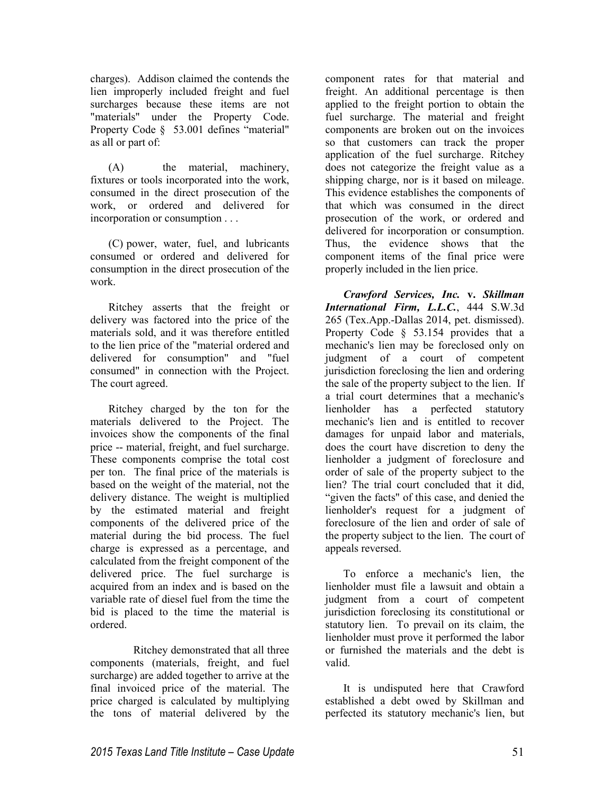charges). Addison claimed the contends the lien improperly included freight and fuel surcharges because these items are not "materials" under the Property Code. Property Code § 53.001 defines "material" as all or part of:

(A) the material, machinery, fixtures or tools incorporated into the work, consumed in the direct prosecution of the work, or ordered and delivered for incorporation or consumption . . .

(C) power, water, fuel, and lubricants consumed or ordered and delivered for consumption in the direct prosecution of the work.

Ritchey asserts that the freight or delivery was factored into the price of the materials sold, and it was therefore entitled to the lien price of the "material ordered and delivered for consumption" and "fuel consumed" in connection with the Project. The court agreed.

Ritchey charged by the ton for the materials delivered to the Project. The invoices show the components of the final price -- material, freight, and fuel surcharge. These components comprise the total cost per ton. The final price of the materials is based on the weight of the material, not the delivery distance. The weight is multiplied by the estimated material and freight components of the delivered price of the material during the bid process. The fuel charge is expressed as a percentage, and calculated from the freight component of the delivered price. The fuel surcharge is acquired from an index and is based on the variable rate of diesel fuel from the time the bid is placed to the time the material is ordered.

 Ritchey demonstrated that all three components (materials, freight, and fuel surcharge) are added together to arrive at the final invoiced price of the material. The price charged is calculated by multiplying the tons of material delivered by the

component rates for that material and freight. An additional percentage is then applied to the freight portion to obtain the fuel surcharge. The material and freight components are broken out on the invoices so that customers can track the proper application of the fuel surcharge. Ritchey does not categorize the freight value as a shipping charge, nor is it based on mileage. This evidence establishes the components of that which was consumed in the direct prosecution of the work, or ordered and delivered for incorporation or consumption. Thus, the evidence shows that the component items of the final price were properly included in the lien price.

*Crawford Services, Inc.* **v.** *Skillman International Firm, L.L.C.*, 444 S.W.3d 265 (Tex.App.-Dallas 2014, pet. dismissed). Property Code § 53.154 provides that a mechanic's lien may be foreclosed only on judgment of a court of competent jurisdiction foreclosing the lien and ordering the sale of the property subject to the lien. If a trial court determines that a mechanic's lienholder has a perfected statutory mechanic's lien and is entitled to recover damages for unpaid labor and materials, does the court have discretion to deny the lienholder a judgment of foreclosure and order of sale of the property subject to the lien? The trial court concluded that it did, "given the facts" of this case, and denied the lienholder's request for a judgment of foreclosure of the lien and order of sale of the property subject to the lien. The court of appeals reversed.

To enforce a mechanic's lien, the lienholder must file a lawsuit and obtain a judgment from a court of competent jurisdiction foreclosing its constitutional or statutory lien. To prevail on its claim, the lienholder must prove it performed the labor or furnished the materials and the debt is valid.

It is undisputed here that Crawford established a debt owed by Skillman and perfected its statutory mechanic's lien, but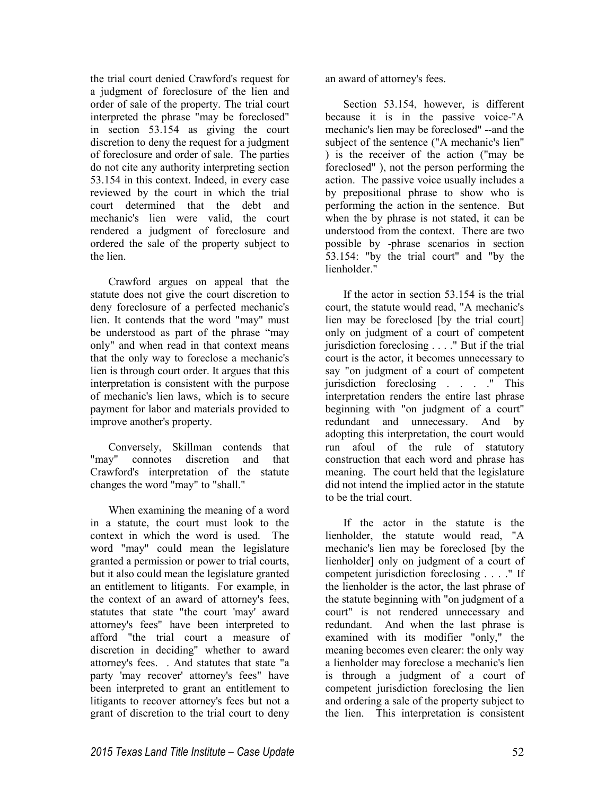the trial court denied Crawford's request for a judgment of foreclosure of the lien and order of sale of the property. The trial court interpreted the phrase "may be foreclosed" in section 53.154 as giving the court discretion to deny the request for a judgment of foreclosure and order of sale. The parties do not cite any authority interpreting section 53.154 in this context. Indeed, in every case reviewed by the court in which the trial court determined that the debt and mechanic's lien were valid, the court rendered a judgment of foreclosure and ordered the sale of the property subject to the lien.

Crawford argues on appeal that the statute does not give the court discretion to deny foreclosure of a perfected mechanic's lien. It contends that the word "may" must be understood as part of the phrase "may only" and when read in that context means that the only way to foreclose a mechanic's lien is through court order. It argues that this interpretation is consistent with the purpose of mechanic's lien laws, which is to secure payment for labor and materials provided to improve another's property.

Conversely, Skillman contends that "may" connotes discretion and that Crawford's interpretation of the statute changes the word "may" to "shall."

When examining the meaning of a word in a statute, the court must look to the context in which the word is used. The word "may" could mean the legislature granted a permission or power to trial courts, but it also could mean the legislature granted an entitlement to litigants. For example, in the context of an award of attorney's fees, statutes that state "the court 'may' award attorney's fees" have been interpreted to afford "the trial court a measure of discretion in deciding" whether to award attorney's fees. . And statutes that state "a party 'may recover' attorney's fees" have been interpreted to grant an entitlement to litigants to recover attorney's fees but not a grant of discretion to the trial court to deny

an award of attorney's fees.

Section 53.154, however, is different because it is in the passive voice-"A mechanic's lien may be foreclosed" --and the subject of the sentence ("A mechanic's lien" ) is the receiver of the action ("may be foreclosed" ), not the person performing the action. The passive voice usually includes a by prepositional phrase to show who is performing the action in the sentence. But when the by phrase is not stated, it can be understood from the context. There are two possible by -phrase scenarios in section 53.154: "by the trial court" and "by the lienholder."

If the actor in section 53.154 is the trial court, the statute would read, "A mechanic's lien may be foreclosed [by the trial court] only on judgment of a court of competent jurisdiction foreclosing . . . ." But if the trial court is the actor, it becomes unnecessary to say "on judgment of a court of competent jurisdiction foreclosing . . . ." This interpretation renders the entire last phrase beginning with "on judgment of a court" redundant and unnecessary. And by adopting this interpretation, the court would run afoul of the rule of statutory construction that each word and phrase has meaning. The court held that the legislature did not intend the implied actor in the statute to be the trial court.

If the actor in the statute is the lienholder, the statute would read, "A mechanic's lien may be foreclosed [by the lienholder] only on judgment of a court of competent jurisdiction foreclosing . . . ." If the lienholder is the actor, the last phrase of the statute beginning with "on judgment of a court" is not rendered unnecessary and redundant. And when the last phrase is examined with its modifier "only," the meaning becomes even clearer: the only way a lienholder may foreclose a mechanic's lien is through a judgment of a court of competent jurisdiction foreclosing the lien and ordering a sale of the property subject to the lien. This interpretation is consistent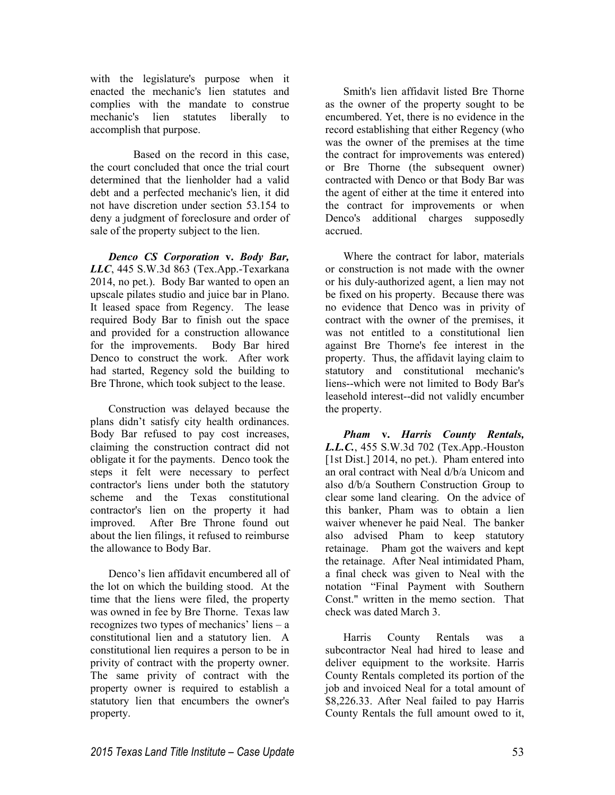with the legislature's purpose when it enacted the mechanic's lien statutes and complies with the mandate to construe mechanic's lien statutes liberally to accomplish that purpose.

 Based on the record in this case, the court concluded that once the trial court determined that the lienholder had a valid debt and a perfected mechanic's lien, it did not have discretion under section 53.154 to deny a judgment of foreclosure and order of sale of the property subject to the lien.

*Denco CS Corporation* **v.** *Body Bar, LLC*, 445 S.W.3d 863 (Tex.App.-Texarkana 2014, no pet.). Body Bar wanted to open an upscale pilates studio and juice bar in Plano. It leased space from Regency. The lease required Body Bar to finish out the space and provided for a construction allowance for the improvements. Body Bar hired Denco to construct the work. After work had started, Regency sold the building to Bre Throne, which took subject to the lease.

Construction was delayed because the plans didn't satisfy city health ordinances. Body Bar refused to pay cost increases, claiming the construction contract did not obligate it for the payments. Denco took the steps it felt were necessary to perfect contractor's liens under both the statutory scheme and the Texas constitutional contractor's lien on the property it had improved. After Bre Throne found out about the lien filings, it refused to reimburse the allowance to Body Bar.

Denco's lien affidavit encumbered all of the lot on which the building stood. At the time that the liens were filed, the property was owned in fee by Bre Thorne. Texas law recognizes two types of mechanics' liens – a constitutional lien and a statutory lien. A constitutional lien requires a person to be in privity of contract with the property owner. The same privity of contract with the property owner is required to establish a statutory lien that encumbers the owner's property.

Smith's lien affidavit listed Bre Thorne as the owner of the property sought to be encumbered. Yet, there is no evidence in the record establishing that either Regency (who was the owner of the premises at the time the contract for improvements was entered) or Bre Thorne (the subsequent owner) contracted with Denco or that Body Bar was the agent of either at the time it entered into the contract for improvements or when Denco's additional charges supposedly accrued.

Where the contract for labor, materials or construction is not made with the owner or his duly-authorized agent, a lien may not be fixed on his property. Because there was no evidence that Denco was in privity of contract with the owner of the premises, it was not entitled to a constitutional lien against Bre Thorne's fee interest in the property. Thus, the affidavit laying claim to statutory and constitutional mechanic's liens--which were not limited to Body Bar's leasehold interest--did not validly encumber the property.

*Pham* **v.** *Harris County Rentals, L.L.C.*, 455 S.W.3d 702 (Tex.App.-Houston [1st Dist.] 2014, no pet.). Pham entered into an oral contract with Neal d/b/a Unicom and also d/b/a Southern Construction Group to clear some land clearing. On the advice of this banker, Pham was to obtain a lien waiver whenever he paid Neal. The banker also advised Pham to keep statutory retainage. Pham got the waivers and kept the retainage. After Neal intimidated Pham, a final check was given to Neal with the notation "Final Payment with Southern Const." written in the memo section. That check was dated March 3.

Harris County Rentals was a subcontractor Neal had hired to lease and deliver equipment to the worksite. Harris County Rentals completed its portion of the job and invoiced Neal for a total amount of \$8,226.33. After Neal failed to pay Harris County Rentals the full amount owed to it,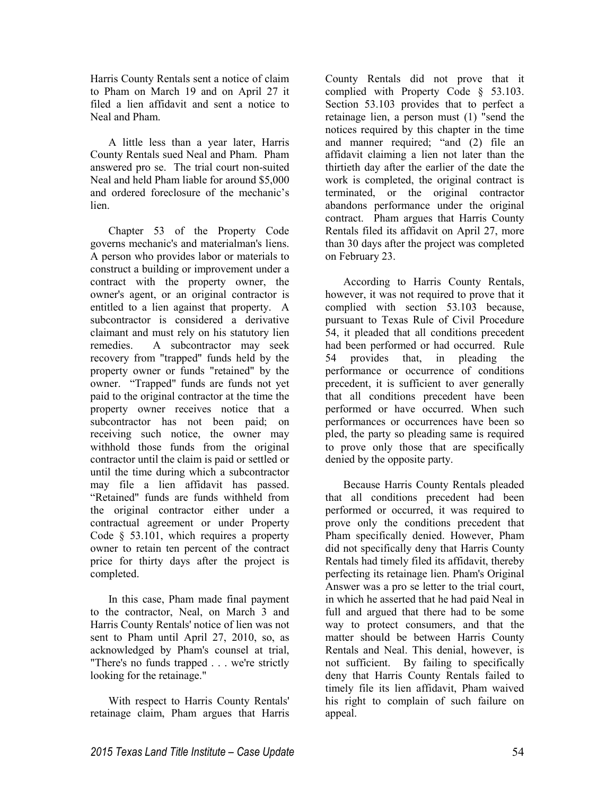Harris County Rentals sent a notice of claim to Pham on March 19 and on April 27 it filed a lien affidavit and sent a notice to Neal and Pham.

A little less than a year later, Harris County Rentals sued Neal and Pham. Pham answered pro se. The trial court non-suited Neal and held Pham liable for around \$5,000 and ordered foreclosure of the mechanic's lien.

Chapter 53 of the Property Code governs mechanic's and materialman's liens. A person who provides labor or materials to construct a building or improvement under a contract with the property owner, the owner's agent, or an original contractor is entitled to a lien against that property. A subcontractor is considered a derivative claimant and must rely on his statutory lien remedies. A subcontractor may seek recovery from "trapped" funds held by the property owner or funds "retained" by the owner. "Trapped" funds are funds not yet paid to the original contractor at the time the property owner receives notice that a subcontractor has not been paid; on receiving such notice, the owner may withhold those funds from the original contractor until the claim is paid or settled or until the time during which a subcontractor may file a lien affidavit has passed. "Retained" funds are funds withheld from the original contractor either under a contractual agreement or under Property Code § 53.101, which requires a property owner to retain ten percent of the contract price for thirty days after the project is completed.

In this case, Pham made final payment to the contractor, Neal, on March 3 and Harris County Rentals' notice of lien was not sent to Pham until April 27, 2010, so, as acknowledged by Pham's counsel at trial, "There's no funds trapped . . . we're strictly looking for the retainage."

With respect to Harris County Rentals' retainage claim, Pham argues that Harris County Rentals did not prove that it complied with Property Code § 53.103. Section 53.103 provides that to perfect a retainage lien, a person must (1) "send the notices required by this chapter in the time and manner required; "and (2) file an affidavit claiming a lien not later than the thirtieth day after the earlier of the date the work is completed, the original contract is terminated, or the original contractor abandons performance under the original contract. Pham argues that Harris County Rentals filed its affidavit on April 27, more than 30 days after the project was completed on February 23.

According to Harris County Rentals, however, it was not required to prove that it complied with section 53.103 because, pursuant to Texas Rule of Civil Procedure 54, it pleaded that all conditions precedent had been performed or had occurred. Rule 54 provides that, in pleading the performance or occurrence of conditions precedent, it is sufficient to aver generally that all conditions precedent have been performed or have occurred. When such performances or occurrences have been so pled, the party so pleading same is required to prove only those that are specifically denied by the opposite party.

Because Harris County Rentals pleaded that all conditions precedent had been performed or occurred, it was required to prove only the conditions precedent that Pham specifically denied. However, Pham did not specifically deny that Harris County Rentals had timely filed its affidavit, thereby perfecting its retainage lien. Pham's Original Answer was a pro se letter to the trial court, in which he asserted that he had paid Neal in full and argued that there had to be some way to protect consumers, and that the matter should be between Harris County Rentals and Neal. This denial, however, is not sufficient. By failing to specifically deny that Harris County Rentals failed to timely file its lien affidavit, Pham waived his right to complain of such failure on appeal.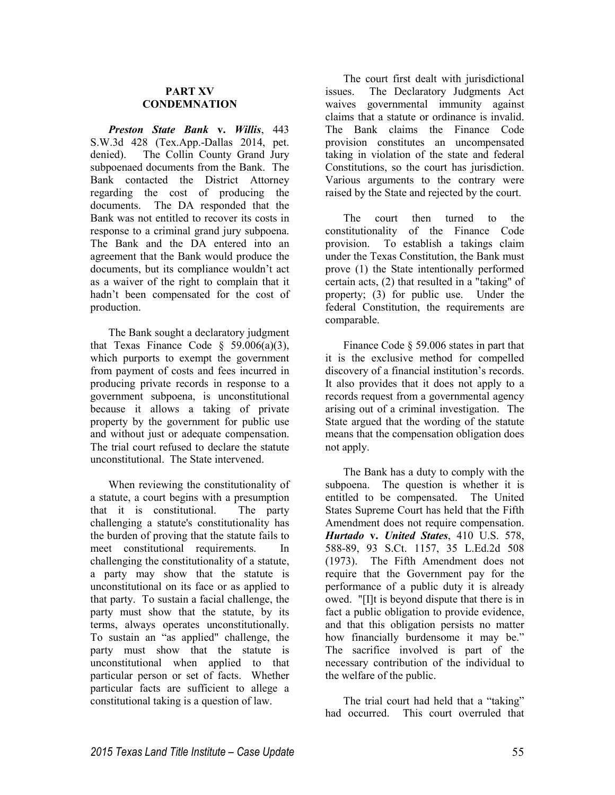#### **PART XV CONDEMNATION**

*Preston State Bank* **v.** *Willis*, 443 S.W.3d 428 (Tex.App.-Dallas 2014, pet. denied). The Collin County Grand Jury subpoenaed documents from the Bank. The Bank contacted the District Attorney regarding the cost of producing the documents. The DA responded that the Bank was not entitled to recover its costs in response to a criminal grand jury subpoena. The Bank and the DA entered into an agreement that the Bank would produce the documents, but its compliance wouldn't act as a waiver of the right to complain that it hadn't been compensated for the cost of production.

The Bank sought a declaratory judgment that Texas Finance Code  $\S$  59.006(a)(3), which purports to exempt the government from payment of costs and fees incurred in producing private records in response to a government subpoena, is unconstitutional because it allows a taking of private property by the government for public use and without just or adequate compensation. The trial court refused to declare the statute unconstitutional. The State intervened.

When reviewing the constitutionality of a statute, a court begins with a presumption that it is constitutional. The party challenging a statute's constitutionality has the burden of proving that the statute fails to meet constitutional requirements. In challenging the constitutionality of a statute, a party may show that the statute is unconstitutional on its face or as applied to that party. To sustain a facial challenge, the party must show that the statute, by its terms, always operates unconstitutionally. To sustain an "as applied" challenge, the party must show that the statute is unconstitutional when applied to that particular person or set of facts. Whether particular facts are sufficient to allege a constitutional taking is a question of law.

The court first dealt with jurisdictional issues. The Declaratory Judgments Act waives governmental immunity against claims that a statute or ordinance is invalid. The Bank claims the Finance Code provision constitutes an uncompensated taking in violation of the state and federal Constitutions, so the court has jurisdiction. Various arguments to the contrary were raised by the State and rejected by the court.

The court then turned to the constitutionality of the Finance Code provision. To establish a takings claim under the Texas Constitution, the Bank must prove (1) the State intentionally performed certain acts, (2) that resulted in a "taking" of property; (3) for public use. Under the federal Constitution, the requirements are comparable.

Finance Code § 59.006 states in part that it is the exclusive method for compelled discovery of a financial institution's records. It also provides that it does not apply to a records request from a governmental agency arising out of a criminal investigation. The State argued that the wording of the statute means that the compensation obligation does not apply.

The Bank has a duty to comply with the subpoena. The question is whether it is entitled to be compensated. The United States Supreme Court has held that the Fifth Amendment does not require compensation. *Hurtado* **v.** *United States*, 410 U.S. 578, 588-89, 93 S.Ct. 1157, 35 L.Ed.2d 508 (1973). The Fifth Amendment does not require that the Government pay for the performance of a public duty it is already owed. "[I]t is beyond dispute that there is in fact a public obligation to provide evidence, and that this obligation persists no matter how financially burdensome it may be." The sacrifice involved is part of the necessary contribution of the individual to the welfare of the public.

The trial court had held that a "taking" had occurred. This court overruled that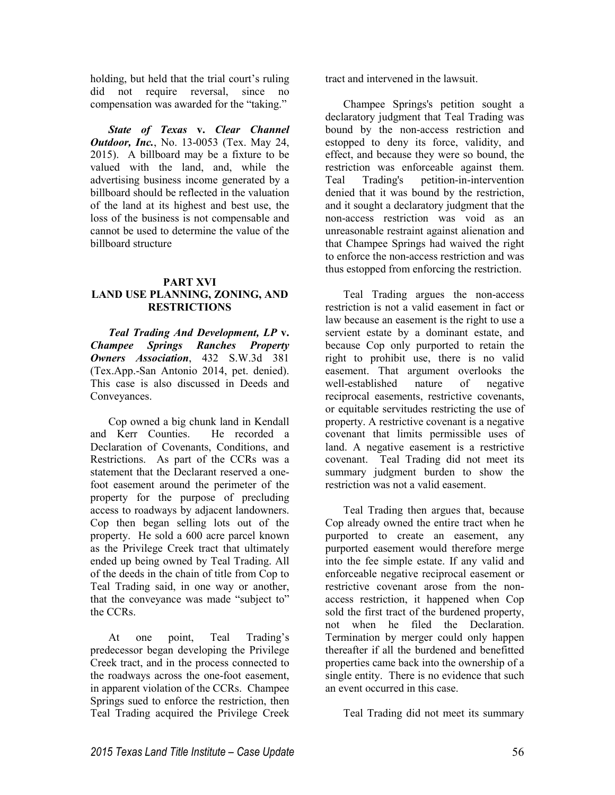holding, but held that the trial court's ruling did not require reversal, since no compensation was awarded for the "taking."

*State of Texas* **v.** *Clear Channel Outdoor, Inc.*, No. 13-0053 (Tex. May 24, 2015). A billboard may be a fixture to be valued with the land, and, while the advertising business income generated by a billboard should be reflected in the valuation of the land at its highest and best use, the loss of the business is not compensable and cannot be used to determine the value of the billboard structure

#### **PART XVI LAND USE PLANNING, ZONING, AND RESTRICTIONS**

*Teal Trading And Development, LP* **v.**  *Champee Springs Ranches Property Owners Association*, 432 S.W.3d 381 (Tex.App.-San Antonio 2014, pet. denied). This case is also discussed in Deeds and Conveyances.

Cop owned a big chunk land in Kendall and Kerr Counties. Declaration of Covenants, Conditions, and Restrictions. As part of the CCRs was a statement that the Declarant reserved a onefoot easement around the perimeter of the property for the purpose of precluding access to roadways by adjacent landowners. Cop then began selling lots out of the property. He sold a 600 acre parcel known as the Privilege Creek tract that ultimately ended up being owned by Teal Trading. All of the deeds in the chain of title from Cop to Teal Trading said, in one way or another, that the conveyance was made "subject to" the CCRs.

At one point, Teal Trading's predecessor began developing the Privilege Creek tract, and in the process connected to the roadways across the one-foot easement, in apparent violation of the CCRs. Champee Springs sued to enforce the restriction, then Teal Trading acquired the Privilege Creek

tract and intervened in the lawsuit.

Champee Springs's petition sought a declaratory judgment that Teal Trading was bound by the non-access restriction and estopped to deny its force, validity, and effect, and because they were so bound, the restriction was enforceable against them. Teal Trading's petition-in-intervention denied that it was bound by the restriction, and it sought a declaratory judgment that the non-access restriction was void as an unreasonable restraint against alienation and that Champee Springs had waived the right to enforce the non-access restriction and was thus estopped from enforcing the restriction.

Teal Trading argues the non-access restriction is not a valid easement in fact or law because an easement is the right to use a servient estate by a dominant estate, and because Cop only purported to retain the right to prohibit use, there is no valid easement. That argument overlooks the well-established nature of negative reciprocal easements, restrictive covenants, or equitable servitudes restricting the use of property. A restrictive covenant is a negative covenant that limits permissible uses of land. A negative easement is a restrictive covenant. Teal Trading did not meet its summary judgment burden to show the restriction was not a valid easement.

Teal Trading then argues that, because Cop already owned the entire tract when he purported to create an easement, any purported easement would therefore merge into the fee simple estate. If any valid and enforceable negative reciprocal easement or restrictive covenant arose from the nonaccess restriction, it happened when Cop sold the first tract of the burdened property, not when he filed the Declaration. Termination by merger could only happen thereafter if all the burdened and benefitted properties came back into the ownership of a single entity. There is no evidence that such an event occurred in this case.

Teal Trading did not meet its summary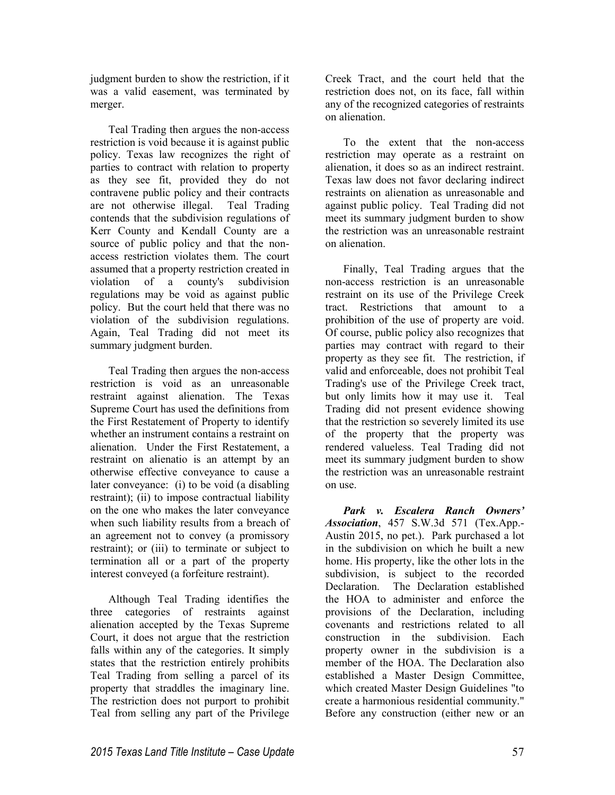judgment burden to show the restriction, if it was a valid easement, was terminated by merger.

Teal Trading then argues the non-access restriction is void because it is against public policy. Texas law recognizes the right of parties to contract with relation to property as they see fit, provided they do not contravene public policy and their contracts are not otherwise illegal. Teal Trading contends that the subdivision regulations of Kerr County and Kendall County are a source of public policy and that the nonaccess restriction violates them. The court assumed that a property restriction created in violation of a county's subdivision regulations may be void as against public policy. But the court held that there was no violation of the subdivision regulations. Again, Teal Trading did not meet its summary judgment burden.

Teal Trading then argues the non-access restriction is void as an unreasonable restraint against alienation. The Texas Supreme Court has used the definitions from the First Restatement of Property to identify whether an instrument contains a restraint on alienation. Under the First Restatement, a restraint on alienatio is an attempt by an otherwise effective conveyance to cause a later conveyance: (i) to be void (a disabling restraint); (ii) to impose contractual liability on the one who makes the later conveyance when such liability results from a breach of an agreement not to convey (a promissory restraint); or (iii) to terminate or subject to termination all or a part of the property interest conveyed (a forfeiture restraint).

Although Teal Trading identifies the three categories of restraints against alienation accepted by the Texas Supreme Court, it does not argue that the restriction falls within any of the categories. It simply states that the restriction entirely prohibits Teal Trading from selling a parcel of its property that straddles the imaginary line. The restriction does not purport to prohibit Teal from selling any part of the Privilege

Creek Tract, and the court held that the restriction does not, on its face, fall within any of the recognized categories of restraints on alienation.

To the extent that the non-access restriction may operate as a restraint on alienation, it does so as an indirect restraint. Texas law does not favor declaring indirect restraints on alienation as unreasonable and against public policy. Teal Trading did not meet its summary judgment burden to show the restriction was an unreasonable restraint on alienation.

Finally, Teal Trading argues that the non-access restriction is an unreasonable restraint on its use of the Privilege Creek tract. Restrictions that amount to a prohibition of the use of property are void. Of course, public policy also recognizes that parties may contract with regard to their property as they see fit. The restriction, if valid and enforceable, does not prohibit Teal Trading's use of the Privilege Creek tract, but only limits how it may use it. Teal Trading did not present evidence showing that the restriction so severely limited its use of the property that the property was rendered valueless. Teal Trading did not meet its summary judgment burden to show the restriction was an unreasonable restraint on use.

*Park v. Escalera Ranch Owners' Association*, 457 S.W.3d 571 (Tex.App.- Austin 2015, no pet.). Park purchased a lot in the subdivision on which he built a new home. His property, like the other lots in the subdivision, is subject to the recorded Declaration. The Declaration established the HOA to administer and enforce the provisions of the Declaration, including covenants and restrictions related to all construction in the subdivision. Each property owner in the subdivision is a member of the HOA. The Declaration also established a Master Design Committee, which created Master Design Guidelines "to create a harmonious residential community." Before any construction (either new or an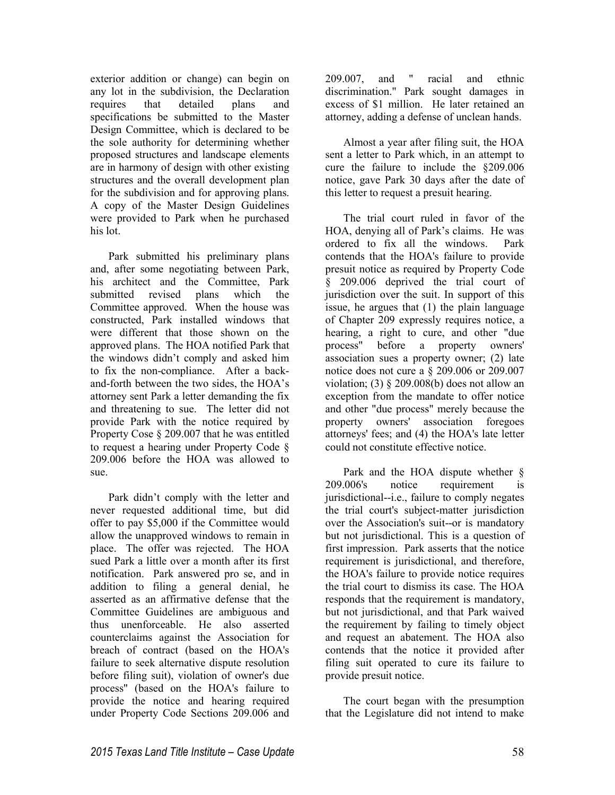exterior addition or change) can begin on any lot in the subdivision, the Declaration requires that detailed plans and specifications be submitted to the Master Design Committee, which is declared to be the sole authority for determining whether proposed structures and landscape elements are in harmony of design with other existing structures and the overall development plan for the subdivision and for approving plans. A copy of the Master Design Guidelines were provided to Park when he purchased his lot.

Park submitted his preliminary plans and, after some negotiating between Park, his architect and the Committee, Park submitted revised plans which the Committee approved. When the house was constructed, Park installed windows that were different that those shown on the approved plans. The HOA notified Park that the windows didn't comply and asked him to fix the non-compliance. After a backand-forth between the two sides, the HOA's attorney sent Park a letter demanding the fix and threatening to sue. The letter did not provide Park with the notice required by Property Cose § 209.007 that he was entitled to request a hearing under Property Code § 209.006 before the HOA was allowed to sue.

Park didn't comply with the letter and never requested additional time, but did offer to pay \$5,000 if the Committee would allow the unapproved windows to remain in place. The offer was rejected. The HOA sued Park a little over a month after its first notification. Park answered pro se, and in addition to filing a general denial, he asserted as an affirmative defense that the Committee Guidelines are ambiguous and thus unenforceable. He also asserted counterclaims against the Association for breach of contract (based on the HOA's failure to seek alternative dispute resolution before filing suit), violation of owner's due process" (based on the HOA's failure to provide the notice and hearing required under Property Code Sections 209.006 and

209.007, and " racial and ethnic discrimination." Park sought damages in excess of \$1 million. He later retained an attorney, adding a defense of unclean hands.

Almost a year after filing suit, the HOA sent a letter to Park which, in an attempt to cure the failure to include the §209.006 notice, gave Park 30 days after the date of this letter to request a presuit hearing.

The trial court ruled in favor of the HOA, denying all of Park's claims. He was ordered to fix all the windows. Park contends that the HOA's failure to provide presuit notice as required by Property Code § 209.006 deprived the trial court of jurisdiction over the suit. In support of this issue, he argues that (1) the plain language of Chapter 209 expressly requires notice, a hearing, a right to cure, and other "due process" before a property owners' association sues a property owner; (2) late notice does not cure a § 209.006 or 209.007 violation; (3)  $\S$  209.008(b) does not allow an exception from the mandate to offer notice and other "due process" merely because the property owners' association foregoes attorneys' fees; and (4) the HOA's late letter could not constitute effective notice.

Park and the HOA dispute whether § 209.006's notice requirement is jurisdictional--i.e., failure to comply negates the trial court's subject-matter jurisdiction over the Association's suit--or is mandatory but not jurisdictional. This is a question of first impression. Park asserts that the notice requirement is jurisdictional, and therefore, the HOA's failure to provide notice requires the trial court to dismiss its case. The HOA responds that the requirement is mandatory, but not jurisdictional, and that Park waived the requirement by failing to timely object and request an abatement. The HOA also contends that the notice it provided after filing suit operated to cure its failure to provide presuit notice.

The court began with the presumption that the Legislature did not intend to make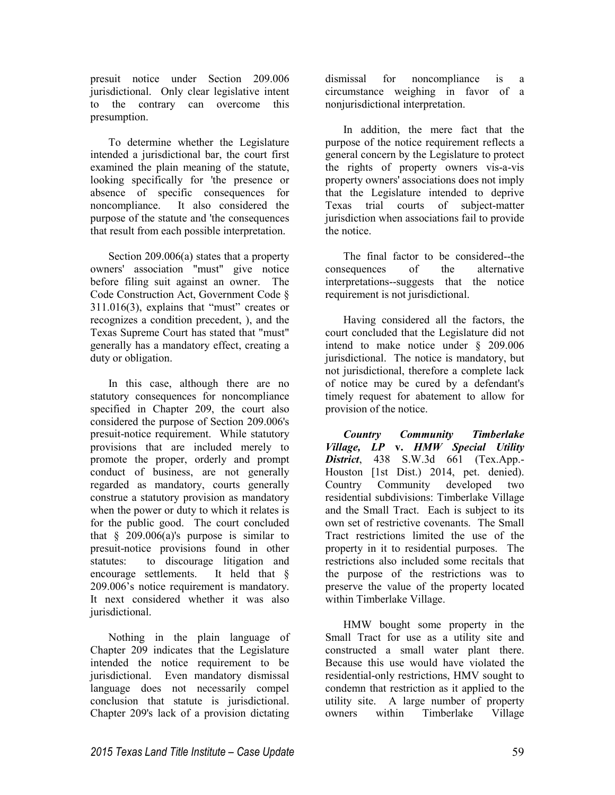presuit notice under Section 209.006 jurisdictional. Only clear legislative intent to the contrary can overcome this presumption.

To determine whether the Legislature intended a jurisdictional bar, the court first examined the plain meaning of the statute, looking specifically for 'the presence or absence of specific consequences for noncompliance. It also considered the purpose of the statute and 'the consequences that result from each possible interpretation.

Section 209.006(a) states that a property owners' association "must" give notice before filing suit against an owner. The Code Construction Act, Government Code § 311.016(3), explains that "must" creates or recognizes a condition precedent, ), and the Texas Supreme Court has stated that "must" generally has a mandatory effect, creating a duty or obligation.

In this case, although there are no statutory consequences for noncompliance specified in Chapter 209, the court also considered the purpose of Section 209.006's presuit-notice requirement. While statutory provisions that are included merely to promote the proper, orderly and prompt conduct of business, are not generally regarded as mandatory, courts generally construe a statutory provision as mandatory when the power or duty to which it relates is for the public good. The court concluded that  $§$  209.006(a)'s purpose is similar to presuit-notice provisions found in other statutes: to discourage litigation and encourage settlements. It held that § 209.006's notice requirement is mandatory. It next considered whether it was also jurisdictional.

Nothing in the plain language of Chapter 209 indicates that the Legislature intended the notice requirement to be jurisdictional. Even mandatory dismissal language does not necessarily compel conclusion that statute is jurisdictional. Chapter 209's lack of a provision dictating dismissal for noncompliance is a circumstance weighing in favor of a nonjurisdictional interpretation.

In addition, the mere fact that the purpose of the notice requirement reflects a general concern by the Legislature to protect the rights of property owners vis-a-vis property owners' associations does not imply that the Legislature intended to deprive Texas trial courts of subject-matter jurisdiction when associations fail to provide the notice.

The final factor to be considered--the consequences of the alternative interpretations--suggests that the notice requirement is not jurisdictional.

Having considered all the factors, the court concluded that the Legislature did not intend to make notice under § 209.006 jurisdictional. The notice is mandatory, but not jurisdictional, therefore a complete lack of notice may be cured by a defendant's timely request for abatement to allow for provision of the notice.

*Country Community Timberlake Village, LP* **v.** *HMW Special Utility District*, 438 S.W.3d 661 (Tex.App.- Houston [1st Dist.) 2014, pet. denied). Country Community developed two residential subdivisions: Timberlake Village and the Small Tract. Each is subject to its own set of restrictive covenants. The Small Tract restrictions limited the use of the property in it to residential purposes. The restrictions also included some recitals that the purpose of the restrictions was to preserve the value of the property located within Timberlake Village.

HMW bought some property in the Small Tract for use as a utility site and constructed a small water plant there. Because this use would have violated the residential-only restrictions, HMV sought to condemn that restriction as it applied to the utility site. A large number of property owners within Timberlake Village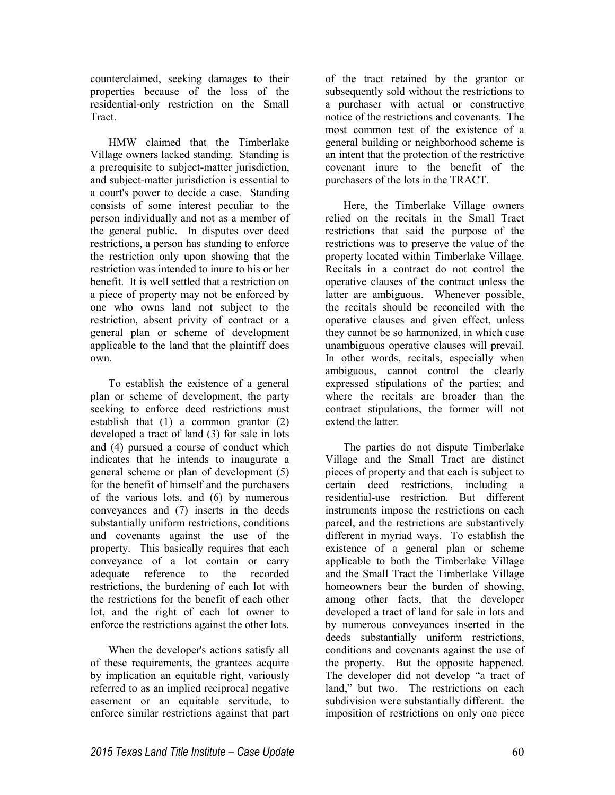counterclaimed, seeking damages to their properties because of the loss of the residential-only restriction on the Small Tract.

HMW claimed that the Timberlake Village owners lacked standing. Standing is a prerequisite to subject-matter jurisdiction, and subject-matter jurisdiction is essential to a court's power to decide a case. Standing consists of some interest peculiar to the person individually and not as a member of the general public. In disputes over deed restrictions, a person has standing to enforce the restriction only upon showing that the restriction was intended to inure to his or her benefit. It is well settled that a restriction on a piece of property may not be enforced by one who owns land not subject to the restriction, absent privity of contract or a general plan or scheme of development applicable to the land that the plaintiff does own.

To establish the existence of a general plan or scheme of development, the party seeking to enforce deed restrictions must establish that (1) a common grantor (2) developed a tract of land (3) for sale in lots and (4) pursued a course of conduct which indicates that he intends to inaugurate a general scheme or plan of development (5) for the benefit of himself and the purchasers of the various lots, and (6) by numerous conveyances and (7) inserts in the deeds substantially uniform restrictions, conditions and covenants against the use of the property. This basically requires that each conveyance of a lot contain or carry adequate reference to the recorded restrictions, the burdening of each lot with the restrictions for the benefit of each other lot, and the right of each lot owner to enforce the restrictions against the other lots.

When the developer's actions satisfy all of these requirements, the grantees acquire by implication an equitable right, variously referred to as an implied reciprocal negative easement or an equitable servitude, to enforce similar restrictions against that part

of the tract retained by the grantor or subsequently sold without the restrictions to a purchaser with actual or constructive notice of the restrictions and covenants. The most common test of the existence of a general building or neighborhood scheme is an intent that the protection of the restrictive covenant inure to the benefit of the purchasers of the lots in the TRACT.

Here, the Timberlake Village owners relied on the recitals in the Small Tract restrictions that said the purpose of the restrictions was to preserve the value of the property located within Timberlake Village. Recitals in a contract do not control the operative clauses of the contract unless the latter are ambiguous. Whenever possible, the recitals should be reconciled with the operative clauses and given effect, unless they cannot be so harmonized, in which case unambiguous operative clauses will prevail. In other words, recitals, especially when ambiguous, cannot control the clearly expressed stipulations of the parties; and where the recitals are broader than the contract stipulations, the former will not extend the latter.

The parties do not dispute Timberlake Village and the Small Tract are distinct pieces of property and that each is subject to certain deed restrictions, including a residential-use restriction. But different instruments impose the restrictions on each parcel, and the restrictions are substantively different in myriad ways. To establish the existence of a general plan or scheme applicable to both the Timberlake Village and the Small Tract the Timberlake Village homeowners bear the burden of showing, among other facts, that the developer developed a tract of land for sale in lots and by numerous conveyances inserted in the deeds substantially uniform restrictions, conditions and covenants against the use of the property. But the opposite happened. The developer did not develop "a tract of land," but two. The restrictions on each subdivision were substantially different. the imposition of restrictions on only one piece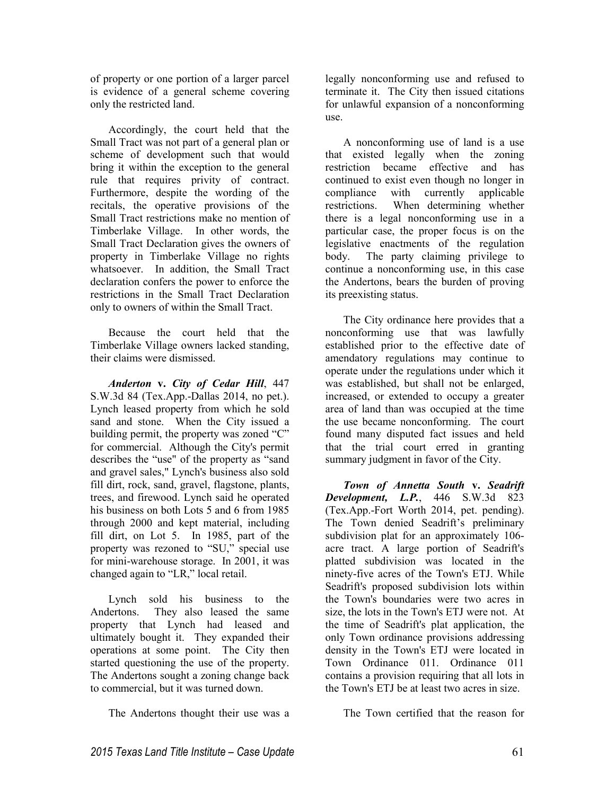of property or one portion of a larger parcel is evidence of a general scheme covering only the restricted land.

Accordingly, the court held that the Small Tract was not part of a general plan or scheme of development such that would bring it within the exception to the general rule that requires privity of contract. Furthermore, despite the wording of the recitals, the operative provisions of the Small Tract restrictions make no mention of Timberlake Village. In other words, the Small Tract Declaration gives the owners of property in Timberlake Village no rights whatsoever. In addition, the Small Tract declaration confers the power to enforce the restrictions in the Small Tract Declaration only to owners of within the Small Tract.

Because the court held that the Timberlake Village owners lacked standing, their claims were dismissed.

*Anderton* **v.** *City of Cedar Hill*, 447 S.W.3d 84 (Tex.App.-Dallas 2014, no pet.). Lynch leased property from which he sold sand and stone. When the City issued a building permit, the property was zoned "C" for commercial. Although the City's permit describes the "use" of the property as "sand and gravel sales," Lynch's business also sold fill dirt, rock, sand, gravel, flagstone, plants, trees, and firewood. Lynch said he operated his business on both Lots 5 and 6 from 1985 through 2000 and kept material, including fill dirt, on Lot 5. In 1985, part of the property was rezoned to "SU," special use for mini-warehouse storage. In 2001, it was changed again to "LR," local retail.

Lynch sold his business to the Andertons. They also leased the same property that Lynch had leased and ultimately bought it. They expanded their operations at some point. The City then started questioning the use of the property. The Andertons sought a zoning change back to commercial, but it was turned down.

The Andertons thought their use was a

legally nonconforming use and refused to terminate it. The City then issued citations for unlawful expansion of a nonconforming use.

A nonconforming use of land is a use that existed legally when the zoning restriction became effective and has continued to exist even though no longer in compliance with currently applicable restrictions. When determining whether there is a legal nonconforming use in a particular case, the proper focus is on the legislative enactments of the regulation body. The party claiming privilege to continue a nonconforming use, in this case the Andertons, bears the burden of proving its preexisting status.

The City ordinance here provides that a nonconforming use that was lawfully established prior to the effective date of amendatory regulations may continue to operate under the regulations under which it was established, but shall not be enlarged, increased, or extended to occupy a greater area of land than was occupied at the time the use became nonconforming. The court found many disputed fact issues and held that the trial court erred in granting summary judgment in favor of the City.

*Town of Annetta South* **v.** *Seadrift Development, L.P.*, 446 S.W.3d 823 (Tex.App.-Fort Worth 2014, pet. pending). The Town denied Seadrift's preliminary subdivision plat for an approximately 106 acre tract. A large portion of Seadrift's platted subdivision was located in the ninety-five acres of the Town's ETJ. While Seadrift's proposed subdivision lots within the Town's boundaries were two acres in size, the lots in the Town's ETJ were not. At the time of Seadrift's plat application, the only Town ordinance provisions addressing density in the Town's ETJ were located in Town Ordinance 011. Ordinance 011 contains a provision requiring that all lots in the Town's ETJ be at least two acres in size.

The Town certified that the reason for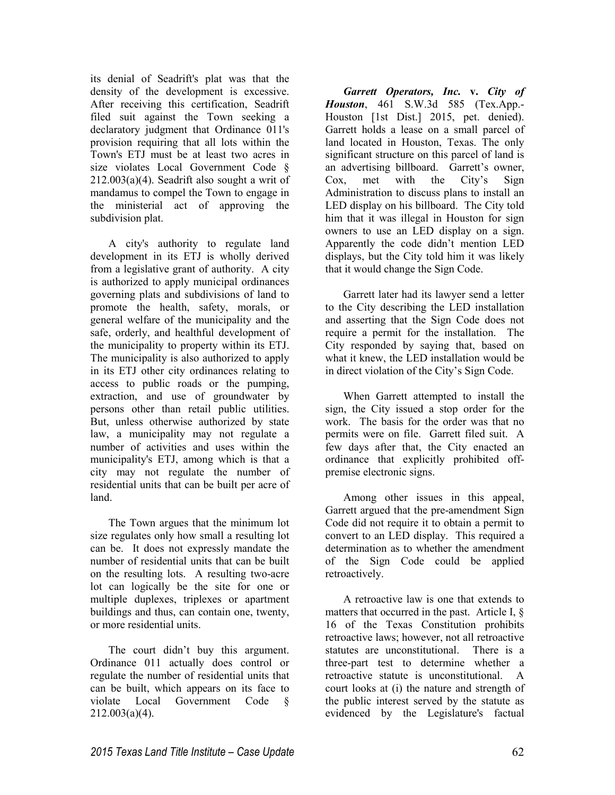its denial of Seadrift's plat was that the density of the development is excessive. After receiving this certification, Seadrift filed suit against the Town seeking a declaratory judgment that Ordinance 011's provision requiring that all lots within the Town's ETJ must be at least two acres in size violates Local Government Code § 212.003(a)(4). Seadrift also sought a writ of mandamus to compel the Town to engage in the ministerial act of approving the subdivision plat.

A city's authority to regulate land development in its ETJ is wholly derived from a legislative grant of authority. A city is authorized to apply municipal ordinances governing plats and subdivisions of land to promote the health, safety, morals, or general welfare of the municipality and the safe, orderly, and healthful development of the municipality to property within its ETJ. The municipality is also authorized to apply in its ETJ other city ordinances relating to access to public roads or the pumping, extraction, and use of groundwater by persons other than retail public utilities. But, unless otherwise authorized by state law, a municipality may not regulate a number of activities and uses within the municipality's ETJ, among which is that a city may not regulate the number of residential units that can be built per acre of land.

The Town argues that the minimum lot size regulates only how small a resulting lot can be. It does not expressly mandate the number of residential units that can be built on the resulting lots. A resulting two-acre lot can logically be the site for one or multiple duplexes, triplexes or apartment buildings and thus, can contain one, twenty, or more residential units.

The court didn't buy this argument. Ordinance 011 actually does control or regulate the number of residential units that can be built, which appears on its face to violate Local Government Code §  $212.003(a)(4)$ .

*Garrett Operators, Inc.* **v.** *City of Houston*, 461 S.W.3d 585 (Tex.App.- Houston [1st Dist.] 2015, pet. denied). Garrett holds a lease on a small parcel of land located in Houston, Texas. The only significant structure on this parcel of land is an advertising billboard. Garrett's owner, Cox, met with the City's Sign Administration to discuss plans to install an LED display on his billboard. The City told him that it was illegal in Houston for sign owners to use an LED display on a sign. Apparently the code didn't mention LED displays, but the City told him it was likely that it would change the Sign Code.

Garrett later had its lawyer send a letter to the City describing the LED installation and asserting that the Sign Code does not require a permit for the installation. The City responded by saying that, based on what it knew, the LED installation would be in direct violation of the City's Sign Code.

When Garrett attempted to install the sign, the City issued a stop order for the work. The basis for the order was that no permits were on file. Garrett filed suit. A few days after that, the City enacted an ordinance that explicitly prohibited offpremise electronic signs.

Among other issues in this appeal, Garrett argued that the pre-amendment Sign Code did not require it to obtain a permit to convert to an LED display. This required a determination as to whether the amendment of the Sign Code could be applied retroactively.

A retroactive law is one that extends to matters that occurred in the past. Article I, § 16 of the Texas Constitution prohibits retroactive laws; however, not all retroactive statutes are unconstitutional. There is a three-part test to determine whether a retroactive statute is unconstitutional. A court looks at (i) the nature and strength of the public interest served by the statute as evidenced by the Legislature's factual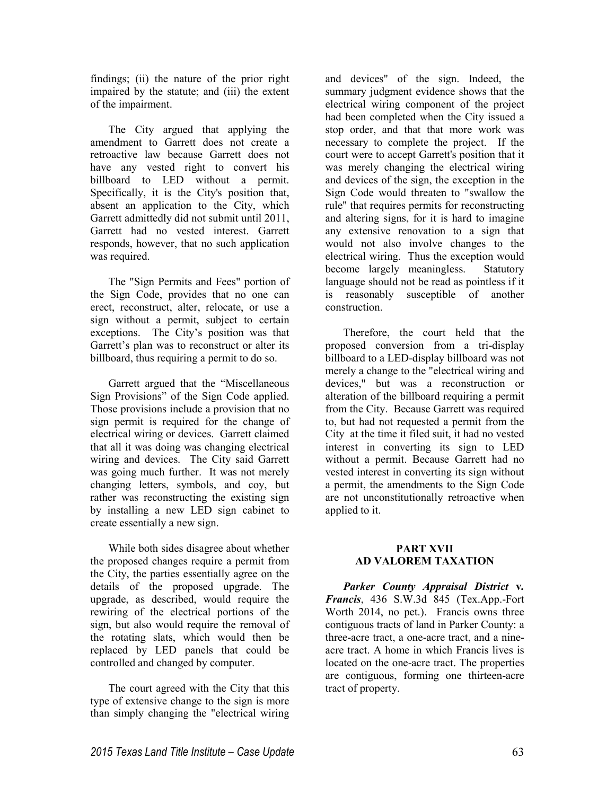findings; (ii) the nature of the prior right impaired by the statute; and (iii) the extent of the impairment.

The City argued that applying the amendment to Garrett does not create a retroactive law because Garrett does not have any vested right to convert his billboard to LED without a permit. Specifically, it is the City's position that, absent an application to the City, which Garrett admittedly did not submit until 2011, Garrett had no vested interest. Garrett responds, however, that no such application was required.

The "Sign Permits and Fees" portion of the Sign Code, provides that no one can erect, reconstruct, alter, relocate, or use a sign without a permit, subject to certain exceptions. The City's position was that Garrett's plan was to reconstruct or alter its billboard, thus requiring a permit to do so.

Garrett argued that the "Miscellaneous Sign Provisions" of the Sign Code applied. Those provisions include a provision that no sign permit is required for the change of electrical wiring or devices. Garrett claimed that all it was doing was changing electrical wiring and devices. The City said Garrett was going much further. It was not merely changing letters, symbols, and coy, but rather was reconstructing the existing sign by installing a new LED sign cabinet to create essentially a new sign.

While both sides disagree about whether the proposed changes require a permit from the City, the parties essentially agree on the details of the proposed upgrade. The upgrade, as described, would require the rewiring of the electrical portions of the sign, but also would require the removal of the rotating slats, which would then be replaced by LED panels that could be controlled and changed by computer.

The court agreed with the City that this type of extensive change to the sign is more than simply changing the "electrical wiring and devices" of the sign. Indeed, the summary judgment evidence shows that the electrical wiring component of the project had been completed when the City issued a stop order, and that that more work was necessary to complete the project. If the court were to accept Garrett's position that it was merely changing the electrical wiring and devices of the sign, the exception in the Sign Code would threaten to "swallow the rule" that requires permits for reconstructing and altering signs, for it is hard to imagine any extensive renovation to a sign that would not also involve changes to the electrical wiring. Thus the exception would become largely meaningless. Statutory language should not be read as pointless if it is reasonably susceptible of another construction.

Therefore, the court held that the proposed conversion from a tri-display billboard to a LED-display billboard was not merely a change to the "electrical wiring and devices," but was a reconstruction or alteration of the billboard requiring a permit from the City. Because Garrett was required to, but had not requested a permit from the City at the time it filed suit, it had no vested interest in converting its sign to LED without a permit. Because Garrett had no vested interest in converting its sign without a permit, the amendments to the Sign Code are not unconstitutionally retroactive when applied to it.

# **PART XVII AD VALOREM TAXATION**

*Parker County Appraisal District* **v***. Francis*, 436 S.W.3d 845 (Tex.App.-Fort Worth 2014, no pet.). Francis owns three contiguous tracts of land in Parker County: a three-acre tract, a one-acre tract, and a nineacre tract. A home in which Francis lives is located on the one-acre tract. The properties are contiguous, forming one thirteen-acre tract of property.